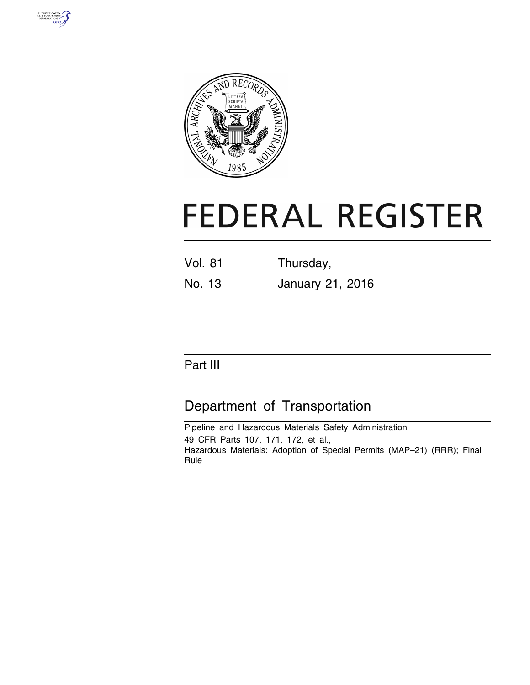



# **FEDERAL REGISTER**

| <b>Vol. 81</b> | Thursday, |
|----------------|-----------|
|                |           |

No. 13 January 21, 2016

## Part III

## Department of Transportation

Pipeline and Hazardous Materials Safety Administration 49 CFR Parts 107, 171, 172, et al., Hazardous Materials: Adoption of Special Permits (MAP–21) (RRR); Final Rule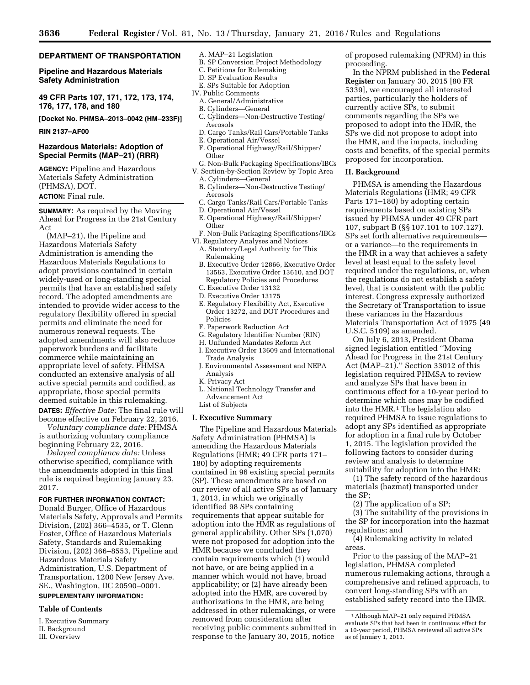#### **DEPARTMENT OF TRANSPORTATION**

#### **Pipeline and Hazardous Materials Safety Administration**

**49 CFR Parts 107, 171, 172, 173, 174, 176, 177, 178, and 180** 

**[Docket No. PHMSA–2013–0042 (HM–233F)]** 

**RIN 2137–AF00** 

#### **Hazardous Materials: Adoption of Special Permits (MAP–21) (RRR)**

**AGENCY:** Pipeline and Hazardous Materials Safety Administration (PHMSA), DOT. **ACTION:** Final rule.

**SUMMARY:** As required by the Moving Ahead for Progress in the 21st Century Act

(MAP–21), the Pipeline and Hazardous Materials Safety Administration is amending the Hazardous Materials Regulations to adopt provisions contained in certain widely-used or long-standing special permits that have an established safety record. The adopted amendments are intended to provide wider access to the regulatory flexibility offered in special permits and eliminate the need for numerous renewal requests. The adopted amendments will also reduce paperwork burdens and facilitate commerce while maintaining an appropriate level of safety. PHMSA conducted an extensive analysis of all active special permits and codified, as appropriate, those special permits deemed suitable in this rulemaking.

**DATES:** *Effective Date:* The final rule will become effective on February 22, 2016. *Voluntary compliance date:* PHMSA

is authorizing voluntary compliance beginning February 22, 2016.

*Delayed compliance date:* Unless otherwise specified, compliance with the amendments adopted in this final rule is required beginning January 23, 2017.

**FOR FURTHER INFORMATION CONTACT:** 

Donald Burger, Office of Hazardous Materials Safety, Approvals and Permits Division, (202) 366–4535, or T. Glenn Foster, Office of Hazardous Materials Safety, Standards and Rulemaking Division, (202) 366–8553, Pipeline and Hazardous Materials Safety Administration, U.S. Department of Transportation, 1200 New Jersey Ave. SE., Washington, DC 20590–0001.

#### **SUPPLEMENTARY INFORMATION:**

#### **Table of Contents**

I. Executive Summary II. Background III. Overview

- A. MAP–21 Legislation
- B. SP Conversion Project Methodology
- C. Petitions for Rulemaking
- D. SP Evaluation Results
- E. SPs Suitable for Adoption
- IV. Public Comments
- A. General/Administrative
- B. Cylinders—General C. Cylinders—Non-Destructive Testing/ Aerosols
- D. Cargo Tanks/Rail Cars/Portable Tanks
- E. Operational Air/Vessel
- F. Operational Highway/Rail/Shipper/ **Other**
- G. Non-Bulk Packaging Specifications/IBCs
- V. Section-by-Section Review by Topic Area A. Cylinders—General
	- B. Cylinders—Non-Destructive Testing/ Aerosols
- C. Cargo Tanks/Rail Cars/Portable Tanks
- D. Operational Air/Vessel
- E. Operational Highway/Rail/Shipper/ Other
- F. Non-Bulk Packaging Specifications/IBCs VI. Regulatory Analyses and Notices
- A. Statutory/Legal Authority for This Rulemaking
- B. Executive Order 12866, Executive Order 13563, Executive Order 13610, and DOT Regulatory Policies and Procedures
- C. Executive Order 13132
- D. Executive Order 13175
- E. Regulatory Flexibility Act, Executive Order 13272, and DOT Procedures and Policies
- F. Paperwork Reduction Act
- G. Regulatory Identifier Number (RIN)
- H. Unfunded Mandates Reform Act
- I. Executive Order 13609 and International Trade Analysis J. Environmental Assessment and NEPA
	- Analysis
- K. Privacy Act
- L. National Technology Transfer and Advancement Act

## List of Subjects

#### **I. Executive Summary**

The Pipeline and Hazardous Materials Safety Administration (PHMSA) is amending the Hazardous Materials Regulations (HMR; 49 CFR parts 171– 180) by adopting requirements contained in 96 existing special permits (SP). These amendments are based on our review of all active SPs as of January 1, 2013, in which we originally identified 98 SPs containing requirements that appear suitable for adoption into the HMR as regulations of general applicability. Other SPs (1,070) were not proposed for adoption into the HMR because we concluded they contain requirements which (1) would not have, or are being applied in a manner which would not have, broad applicability; or (2) have already been adopted into the HMR, are covered by authorizations in the HMR, are being addressed in other rulemakings, or were removed from consideration after receiving public comments submitted in response to the January 30, 2015, notice

of proposed rulemaking (NPRM) in this proceeding.

In the NPRM published in the **Federal Register** on January 30, 2015 [80 FR 5339], we encouraged all interested parties, particularly the holders of currently active SPs, to submit comments regarding the SPs we proposed to adopt into the HMR, the SPs we did not propose to adopt into the HMR, and the impacts, including costs and benefits, of the special permits proposed for incorporation.

#### **II. Background**

PHMSA is amending the Hazardous Materials Regulations (HMR; 49 CFR Parts 171–180) by adopting certain requirements based on existing SPs issued by PHMSA under 49 CFR part 107, subpart B (§§ 107.101 to 107.127). SPs set forth alternative requirements or a variance—to the requirements in the HMR in a way that achieves a safety level at least equal to the safety level required under the regulations, or, when the regulations do not establish a safety level, that is consistent with the public interest. Congress expressly authorized the Secretary of Transportation to issue these variances in the Hazardous Materials Transportation Act of 1975 (49 U.S.C. 5109) as amended.

On July 6, 2013, President Obama signed legislation entitled ''Moving Ahead for Progress in the 21st Century Act (MAP–21).'' Section 33012 of this legislation required PHMSA to review and analyze SPs that have been in continuous effect for a 10-year period to determine which ones may be codified into the HMR.1 The legislation also required PHMSA to issue regulations to adopt any SPs identified as appropriate for adoption in a final rule by October 1, 2015. The legislation provided the following factors to consider during review and analysis to determine suitability for adoption into the HMR:

(1) The safety record of the hazardous materials (hazmat) transported under the SP;

(2) The application of a SP;

(3) The suitability of the provisions in the SP for incorporation into the hazmat regulations; and

(4) Rulemaking activity in related areas.

Prior to the passing of the MAP–21 legislation, PHMSA completed numerous rulemaking actions, through a comprehensive and refined approach, to convert long-standing SPs with an established safety record into the HMR.

<sup>1</sup>Although MAP–21 only required PHMSA evaluate SPs that had been in continuous effect for a 10-year period, PHMSA reviewed all active SPs as of January 1, 2013.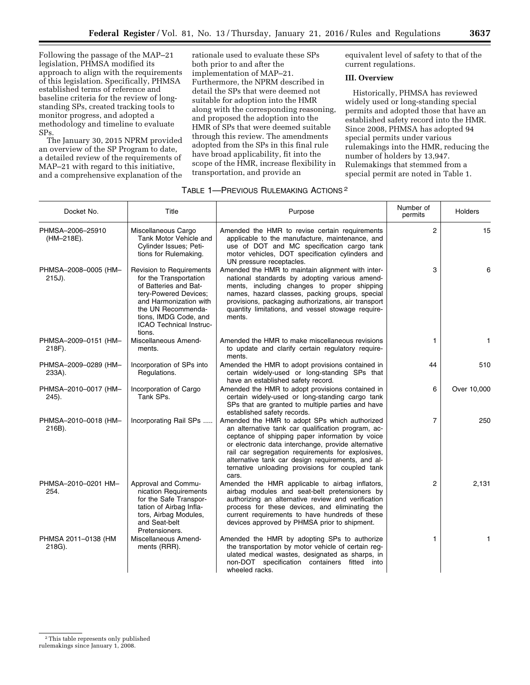Following the passage of the MAP–21 legislation, PHMSA modified its approach to align with the requirements of this legislation. Specifically, PHMSA established terms of reference and baseline criteria for the review of longstanding SPs, created tracking tools to monitor progress, and adopted a methodology and timeline to evaluate SPs.

The January 30, 2015 NPRM provided an overview of the SP Program to date, a detailed review of the requirements of MAP–21 with regard to this initiative, and a comprehensive explanation of the

rationale used to evaluate these SPs both prior to and after the implementation of MAP–21. Furthermore, the NPRM described in detail the SPs that were deemed not suitable for adoption into the HMR along with the corresponding reasoning, and proposed the adoption into the HMR of SPs that were deemed suitable through this review. The amendments adopted from the SPs in this final rule have broad applicability, fit into the scope of the HMR, increase flexibility in transportation, and provide an

equivalent level of safety to that of the current regulations.

#### **III. Overview**

Historically, PHMSA has reviewed widely used or long-standing special permits and adopted those that have an established safety record into the HMR. Since 2008, PHMSA has adopted 94 special permits under various rulemakings into the HMR, reducing the number of holders by 13,947. Rulemakings that stemmed from a special permit are noted in Table 1.

| Docket No.                        | Title                                                                                                                                                                                                              | Purpose                                                                                                                                                                                                                                                                                                                                                                             | Number of<br>permits | <b>Holders</b> |
|-----------------------------------|--------------------------------------------------------------------------------------------------------------------------------------------------------------------------------------------------------------------|-------------------------------------------------------------------------------------------------------------------------------------------------------------------------------------------------------------------------------------------------------------------------------------------------------------------------------------------------------------------------------------|----------------------|----------------|
| PHMSA-2006-25910<br>(HM-218E).    | Miscellaneous Cargo<br>Tank Motor Vehicle and<br>Cylinder Issues; Peti-<br>tions for Rulemaking.                                                                                                                   | Amended the HMR to revise certain requirements<br>applicable to the manufacture, maintenance, and<br>use of DOT and MC specification cargo tank<br>motor vehicles, DOT specification cylinders and<br>UN pressure receptacles.                                                                                                                                                      | 2                    | 15             |
| PHMSA-2008-0005 (HM-<br>$215J$ ). | Revision to Requirements<br>for the Transportation<br>of Batteries and Bat-<br>tery-Powered Devices;<br>and Harmonization with<br>the UN Recommenda-<br>tions, IMDG Code, and<br>ICAO Technical Instruc-<br>tions. | Amended the HMR to maintain alignment with inter-<br>national standards by adopting various amend-<br>ments, including changes to proper shipping<br>names, hazard classes, packing groups, special<br>provisions, packaging authorizations, air transport<br>quantity limitations, and vessel stowage require-<br>ments.                                                           | 3                    | 6              |
| PHMSA-2009-0151 (HM-<br>218F).    | Miscellaneous Amend-<br>ments.                                                                                                                                                                                     | Amended the HMR to make miscellaneous revisions<br>to update and clarify certain regulatory require-<br>ments.                                                                                                                                                                                                                                                                      | 1                    | 1              |
| PHMSA-2009-0289 (HM-<br>233A).    | Incorporation of SPs into<br>Regulations.                                                                                                                                                                          | Amended the HMR to adopt provisions contained in<br>certain widely-used or long-standing SPs that<br>have an established safety record.                                                                                                                                                                                                                                             | 44                   | 510            |
| PHMSA-2010-0017 (HM-<br>245).     | Incorporation of Cargo<br>Tank SPs.                                                                                                                                                                                | Amended the HMR to adopt provisions contained in<br>certain widely-used or long-standing cargo tank<br>SPs that are granted to multiple parties and have<br>established safety records.                                                                                                                                                                                             | 6                    | Over 10,000    |
| PHMSA-2010-0018 (HM-<br>216B).    | Incorporating Rail SPs                                                                                                                                                                                             | Amended the HMR to adopt SPs which authorized<br>an alternative tank car qualification program, ac-<br>ceptance of shipping paper information by voice<br>or electronic data interchange, provide alternative<br>rail car segregation requirements for explosives,<br>alternative tank car design requirements, and al-<br>ternative unloading provisions for coupled tank<br>cars. | 7                    | 250            |
| PHMSA-2010-0201 HM-<br>254.       | Approval and Commu-<br>nication Requirements<br>for the Safe Transpor-<br>tation of Airbag Infla-<br>tors, Airbag Modules,<br>and Seat-belt<br>Pretensioners.                                                      | Amended the HMR applicable to airbag inflators,<br>airbag modules and seat-belt pretensioners by<br>authorizing an alternative review and verification<br>process for these devices, and eliminating the<br>current requirements to have hundreds of these<br>devices approved by PHMSA prior to shipment.                                                                          | $\overline{2}$       | 2,131          |
| PHMSA 2011-0138 (HM<br>218G).     | Miscellaneous Amend-<br>ments (RRR).                                                                                                                                                                               | Amended the HMR by adopting SPs to authorize<br>the transportation by motor vehicle of certain reg-<br>ulated medical wastes, designated as sharps, in<br>non-DOT specification containers fitted into<br>wheeled racks.                                                                                                                                                            | 1                    | 1              |

#### TABLE 1—PREVIOUS RULEMAKING ACTIONS 2

<sup>2</sup>This table represents only published rulemakings since January 1, 2008.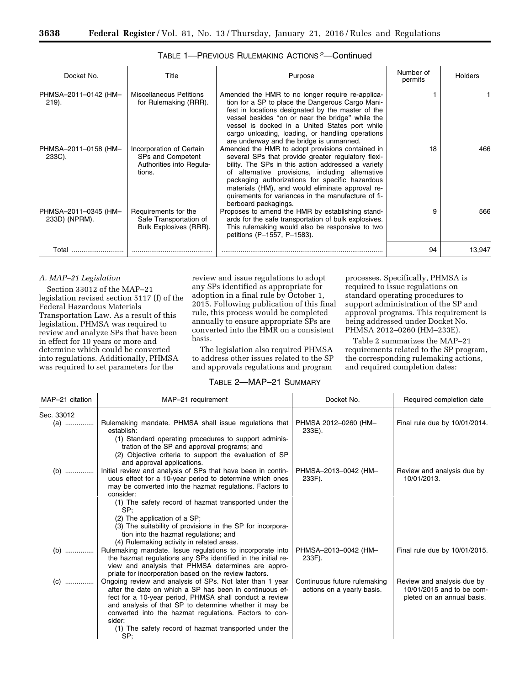| Docket No.                            | Title                                                                               | Purpose                                                                                                                                                                                                                                                                                                                                                                                               | Number of<br>permits | <b>Holders</b> |
|---------------------------------------|-------------------------------------------------------------------------------------|-------------------------------------------------------------------------------------------------------------------------------------------------------------------------------------------------------------------------------------------------------------------------------------------------------------------------------------------------------------------------------------------------------|----------------------|----------------|
| PHMSA-2011-0142 (HM-<br>$219$ ).      | <b>Miscellaneous Petitions</b><br>for Rulemaking (RRR).                             | Amended the HMR to no longer require re-applica-<br>tion for a SP to place the Dangerous Cargo Mani-<br>fest in locations designated by the master of the<br>vessel besides "on or near the bridge" while the<br>vessel is docked in a United States port while<br>cargo unloading, loading, or handling operations<br>are underway and the bridge is unmanned.                                       |                      |                |
| PHMSA-2011-0158 (HM-<br>233C).        | Incorporation of Certain<br>SPs and Competent<br>Authorities into Regula-<br>tions. | Amended the HMR to adopt provisions contained in<br>several SPs that provide greater regulatory flexi-<br>bility. The SPs in this action addressed a variety<br>of alternative provisions, including alternative<br>packaging authorizations for specific hazardous<br>materials (HM), and would eliminate approval re-<br>quirements for variances in the manufacture of fi-<br>berboard packagings. | 18                   | 466            |
| PHMSA-2011-0345 (HM-<br>233D) (NPRM). | Requirements for the<br>Safe Transportation of<br>Bulk Explosives (RRR).            | Proposes to amend the HMR by establishing stand-<br>ards for the safe transportation of bulk explosives.<br>This rulemaking would also be responsive to two<br>petitions (P-1557, P-1583).                                                                                                                                                                                                            | 9                    | 566            |
| Total                                 |                                                                                     |                                                                                                                                                                                                                                                                                                                                                                                                       | 94                   | 13,947         |

#### TABLE 1—PREVIOUS RULEMAKING ACTIONS 2—Continued

#### *A. MAP–21 Legislation*

Section 33012 of the MAP–21 legislation revised section 5117 (f) of the Federal Hazardous Materials Transportation Law. As a result of this legislation, PHMSA was required to review and analyze SPs that have been in effect for 10 years or more and determine which could be converted into regulations. Additionally, PHMSA was required to set parameters for the

review and issue regulations to adopt any SPs identified as appropriate for adoption in a final rule by October 1, 2015. Following publication of this final rule, this process would be completed annually to ensure appropriate SPs are converted into the HMR on a consistent basis.

The legislation also required PHMSA to address other issues related to the SP and approvals regulations and program

processes. Specifically, PHMSA is required to issue regulations on standard operating procedures to support administration of the SP and approval programs. This requirement is being addressed under Docket No. PHMSA 2012–0260 (HM–233E).

Table 2 summarizes the MAP–21 requirements related to the SP program, the corresponding rulemaking actions, and required completion dates:

#### TABLE 2—MAP–21 SUMMARY

| MAP-21 citation | MAP-21 requirement                                                                                                                                                                                                                                                                                                                                                     | Docket No.                                                 | Required completion date                                                              |
|-----------------|------------------------------------------------------------------------------------------------------------------------------------------------------------------------------------------------------------------------------------------------------------------------------------------------------------------------------------------------------------------------|------------------------------------------------------------|---------------------------------------------------------------------------------------|
| Sec. 33012      |                                                                                                                                                                                                                                                                                                                                                                        |                                                            |                                                                                       |
| (a)             | Rulemaking mandate. PHMSA shall issue regulations that<br>establish:                                                                                                                                                                                                                                                                                                   | PHMSA 2012-0260 (HM-<br>233E).                             | Final rule due by 10/01/2014.                                                         |
|                 | (1) Standard operating procedures to support adminis-<br>tration of the SP and approval programs; and<br>(2) Objective criteria to support the evaluation of SP                                                                                                                                                                                                        |                                                            |                                                                                       |
|                 | and approval applications.                                                                                                                                                                                                                                                                                                                                             |                                                            |                                                                                       |
| (b)             | Initial review and analysis of SPs that have been in contin-<br>uous effect for a 10-year period to determine which ones<br>may be converted into the hazmat regulations. Factors to<br>consider:                                                                                                                                                                      | PHMSA-2013-0042 (HM-<br>233F).                             | Review and analysis due by<br>10/01/2013.                                             |
|                 | (1) The safety record of hazmat transported under the<br>SP:                                                                                                                                                                                                                                                                                                           |                                                            |                                                                                       |
|                 | (2) The application of a SP;                                                                                                                                                                                                                                                                                                                                           |                                                            |                                                                                       |
|                 | (3) The suitability of provisions in the SP for incorpora-<br>tion into the hazmat regulations; and<br>(4) Rulemaking activity in related areas.                                                                                                                                                                                                                       |                                                            |                                                                                       |
| (b)             | Rulemaking mandate. Issue regulations to incorporate into<br>the hazmat regulations any SPs identified in the initial re-<br>view and analysis that PHMSA determines are appro-<br>priate for incorporation based on the review factors.                                                                                                                               | PHMSA-2013-0042 (HM-<br>233F).                             | Final rule due by 10/01/2015.                                                         |
| $(C)$           | Ongoing review and analysis of SPs. Not later than 1 year<br>after the date on which a SP has been in continuous ef-<br>fect for a 10-year period, PHMSA shall conduct a review<br>and analysis of that SP to determine whether it may be<br>converted into the hazmat regulations. Factors to con-<br>sider:<br>(1) The safety record of hazmat transported under the | Continuous future rulemaking<br>actions on a yearly basis. | Review and analysis due by<br>10/01/2015 and to be com-<br>pleted on an annual basis. |
|                 | SP;                                                                                                                                                                                                                                                                                                                                                                    |                                                            |                                                                                       |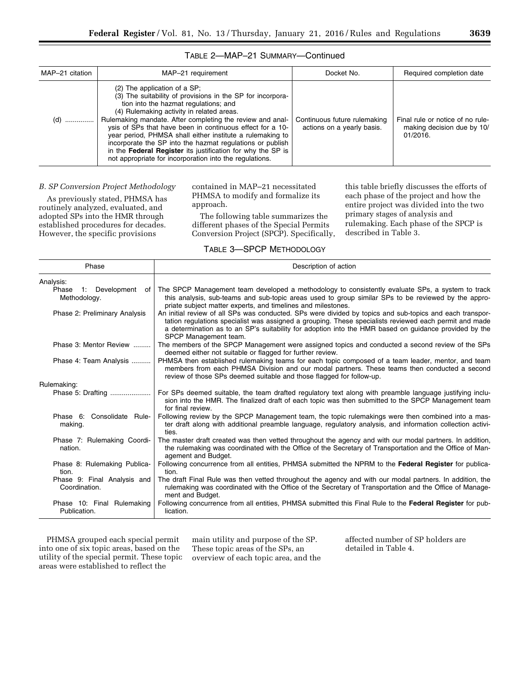| MAP-21 citation | MAP-21 requirement                                                                                                                                                                                                                                                                                                                                                                                                                                                                                                                                               | Docket No.                                                 | Required completion date                                                   |
|-----------------|------------------------------------------------------------------------------------------------------------------------------------------------------------------------------------------------------------------------------------------------------------------------------------------------------------------------------------------------------------------------------------------------------------------------------------------------------------------------------------------------------------------------------------------------------------------|------------------------------------------------------------|----------------------------------------------------------------------------|
| $(d)$           | $(2)$ The application of a SP.<br>(3) The suitability of provisions in the SP for incorpora-<br>tion into the hazmat regulations; and<br>(4) Rulemaking activity in related areas.<br>Rulemaking mandate. After completing the review and anal-<br>ysis of SPs that have been in continuous effect for a 10-<br>year period, PHMSA shall either institute a rulemaking to<br>incorporate the SP into the hazmat regulations or publish<br>in the Federal Register its justification for why the SP is<br>not appropriate for incorporation into the regulations. | Continuous future rulemaking<br>actions on a yearly basis. | Final rule or notice of no rule-<br>making decision due by 10/<br>01/2016. |

#### TABLE 2—MAP–21 SUMMARY—Continued

#### *B. SP Conversion Project Methodology*

As previously stated, PHMSA has routinely analyzed, evaluated, and adopted SPs into the HMR through established procedures for decades. However, the specific provisions

contained in MAP–21 necessitated PHMSA to modify and formalize its approach.

The following table summarizes the different phases of the Special Permits Conversion Project (SPCP). Specifically, this table briefly discusses the efforts of each phase of the project and how the entire project was divided into the two primary stages of analysis and rulemaking. Each phase of the SPCP is described in Table 3.

#### TABLE 3—SPCP METHODOLOGY

| Phase                                        | Description of action                                                                                                                                                                                                                                                                                                                                |
|----------------------------------------------|------------------------------------------------------------------------------------------------------------------------------------------------------------------------------------------------------------------------------------------------------------------------------------------------------------------------------------------------------|
| Analysis:                                    |                                                                                                                                                                                                                                                                                                                                                      |
| Phase<br>1: Development of<br>Methodology.   | The SPCP Management team developed a methodology to consistently evaluate SPs, a system to track<br>this analysis, sub-teams and sub-topic areas used to group similar SPs to be reviewed by the appro-<br>priate subject matter experts, and timelines and milestones.                                                                              |
| Phase 2: Preliminary Analysis                | An initial review of all SPs was conducted. SPs were divided by topics and sub-topics and each transpor-<br>tation regulations specialist was assigned a grouping. These specialists reviewed each permit and made<br>a determination as to an SP's suitability for adoption into the HMR based on quidance provided by the<br>SPCP Management team. |
| Phase 3: Mentor Review                       | The members of the SPCP Management were assigned topics and conducted a second review of the SPs<br>deemed either not suitable or flagged for further review.                                                                                                                                                                                        |
| Phase 4: Team Analysis                       | PHMSA then established rulemaking teams for each topic composed of a team leader, mentor, and team<br>members from each PHMSA Division and our modal partners. These teams then conducted a second<br>review of those SPs deemed suitable and those flagged for follow-up.                                                                           |
| Rulemaking:                                  |                                                                                                                                                                                                                                                                                                                                                      |
|                                              | For SPs deemed suitable, the team drafted regulatory text along with preamble language justifying inclu-<br>sion into the HMR. The finalized draft of each topic was then submitted to the SPCP Management team<br>for final review.                                                                                                                 |
| Phase 6: Consolidate Rule-<br>making.        | Following review by the SPCP Management team, the topic rulemakings were then combined into a mas-<br>ter draft along with additional preamble language, regulatory analysis, and information collection activi-<br>ties.                                                                                                                            |
| Phase 7: Rulemaking Coordi-<br>nation.       | The master draft created was then vetted throughout the agency and with our modal partners. In addition,<br>the rulemaking was coordinated with the Office of the Secretary of Transportation and the Office of Man-<br>agement and Budget.                                                                                                          |
| Phase 8: Rulemaking Publica-<br>tion.        | Following concurrence from all entities, PHMSA submitted the NPRM to the Federal Register for publica-<br>tion.                                                                                                                                                                                                                                      |
| Phase 9: Final Analysis and<br>Coordination. | The draft Final Rule was then vetted throughout the agency and with our modal partners. In addition, the<br>rulemaking was coordinated with the Office of the Secretary of Transportation and the Office of Manage-<br>ment and Budget.                                                                                                              |
| Phase 10: Final Rulemaking<br>Publication.   | Following concurrence from all entities, PHMSA submitted this Final Rule to the Federal Register for pub-<br>lication.                                                                                                                                                                                                                               |

PHMSA grouped each special permit into one of six topic areas, based on the utility of the special permit. These topic areas were established to reflect the

main utility and purpose of the SP. These topic areas of the SPs, an overview of each topic area, and the affected number of SP holders are detailed in Table 4.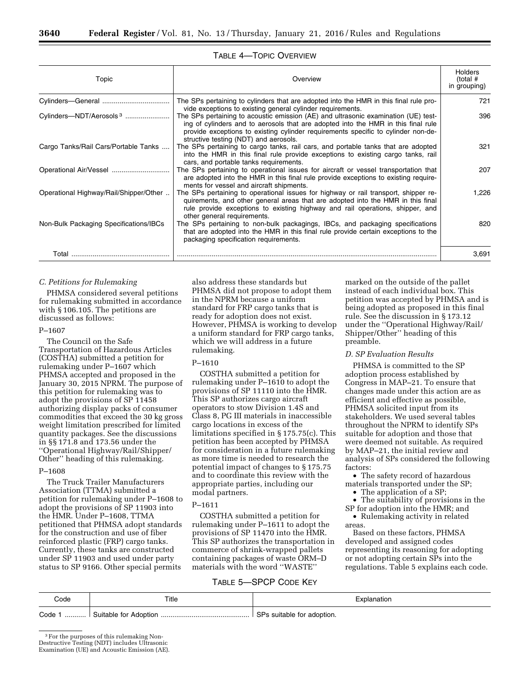| Topic                                  | Overview                                                                                                                                                                                                                                                                                                                                                            | <b>Holders</b><br>(total #<br>in grouping) |
|----------------------------------------|---------------------------------------------------------------------------------------------------------------------------------------------------------------------------------------------------------------------------------------------------------------------------------------------------------------------------------------------------------------------|--------------------------------------------|
|                                        | The SPs pertaining to cylinders that are adopted into the HMR in this final rule pro-                                                                                                                                                                                                                                                                               | 721                                        |
| Cylinders-NDT/Aerosols <sup>3</sup>    | vide exceptions to existing general cylinder requirements.<br>The SPs pertaining to acoustic emission (AE) and ultrasonic examination (UE) test-<br>ing of cylinders and to aerosols that are adopted into the HMR in this final rule<br>provide exceptions to existing cylinder requirements specific to cylinder non-de-<br>structive testing (NDT) and aerosols. | 396                                        |
| Cargo Tanks/Rail Cars/Portable Tanks   | The SPs pertaining to cargo tanks, rail cars, and portable tanks that are adopted<br>into the HMR in this final rule provide exceptions to existing cargo tanks, rail<br>cars, and portable tanks requirements.                                                                                                                                                     | 321                                        |
|                                        | The SPs pertaining to operational issues for aircraft or vessel transportation that<br>are adopted into the HMR in this final rule provide exceptions to existing require-<br>ments for vessel and aircraft shipments.                                                                                                                                              | 207                                        |
| Operational Highway/Rail/Shipper/Other | The SPs pertaining to operational issues for highway or rail transport, shipper re-<br>quirements, and other general areas that are adopted into the HMR in this final<br>rule provide exceptions to existing highway and rail operations, shipper, and<br>other general requirements.                                                                              | 1.226                                      |
| Non-Bulk Packaging Specifications/IBCs | The SPs pertaining to non-bulk packagings, IBCs, and packaging specifications<br>that are adopted into the HMR in this final rule provide certain exceptions to the<br>packaging specification requirements.                                                                                                                                                        | 820                                        |
| Total                                  |                                                                                                                                                                                                                                                                                                                                                                     | 3,691                                      |

#### TABLE 4—TOPIC OVERVIEW

#### *C. Petitions for Rulemaking*

PHMSA considered several petitions for rulemaking submitted in accordance with § 106.105. The petitions are discussed as follows:

#### P–1607

The Council on the Safe Transportation of Hazardous Articles (COSTHA) submitted a petition for rulemaking under P–1607 which PHMSA accepted and proposed in the January 30, 2015 NPRM. The purpose of this petition for rulemaking was to adopt the provisions of SP 11458 authorizing display packs of consumer commodities that exceed the 30 kg gross weight limitation prescribed for limited quantity packages. See the discussions in §§ 171.8 and 173.56 under the ''Operational Highway/Rail/Shipper/ Other'' heading of this rulemaking.

#### P–1608

The Truck Trailer Manufacturers Association (TTMA) submitted a petition for rulemaking under P–1608 to adopt the provisions of SP 11903 into the HMR. Under P–1608, TTMA petitioned that PHMSA adopt standards for the construction and use of fiber reinforced plastic (FRP) cargo tanks. Currently, these tanks are constructed under SP 11903 and used under party status to SP 9166. Other special permits

also address these standards but PHMSA did not propose to adopt them in the NPRM because a uniform standard for FRP cargo tanks that is ready for adoption does not exist. However, PHMSA is working to develop a uniform standard for FRP cargo tanks, which we will address in a future rulemaking.

#### P–1610

COSTHA submitted a petition for rulemaking under P–1610 to adopt the provisions of SP 11110 into the HMR. This SP authorizes cargo aircraft operators to stow Division 1.4S and Class 8, PG III materials in inaccessible cargo locations in excess of the limitations specified in § 175.75(c). This petition has been accepted by PHMSA for consideration in a future rulemaking as more time is needed to research the potential impact of changes to § 175.75 and to coordinate this review with the appropriate parties, including our modal partners.

#### P–1611

COSTHA submitted a petition for rulemaking under P–1611 to adopt the provisions of SP 11470 into the HMR. This SP authorizes the transportation in commerce of shrink-wrapped pallets containing packages of waste ORM–D materials with the word ''WASTE''

#### TABLE 5—SPCP CODE KEY

marked on the outside of the pallet instead of each individual box. This petition was accepted by PHMSA and is being adopted as proposed in this final rule. See the discussion in § 173.12 under the ''Operational Highway/Rail/ Shipper/Other'' heading of this preamble.

#### *D. SP Evaluation Results*

PHMSA is committed to the SP adoption process established by Congress in MAP–21. To ensure that changes made under this action are as efficient and effective as possible, PHMSA solicited input from its stakeholders. We used several tables throughout the NPRM to identify SPs suitable for adoption and those that were deemed not suitable. As required by MAP–21, the initial review and analysis of SPs considered the following factors:

• The safety record of hazardous materials transported under the SP;

• The application of a SP; • The suitability of provisions in the SP for adoption into the HMR; and

• Rulemaking activity in related areas.

Based on these factors, PHMSA developed and assigned codes representing its reasoning for adopting or not adopting certain SPs into the regulations. Table 5 explains each code.

| Code   | Title                 | Explanation                          |
|--------|-----------------------|--------------------------------------|
| Code 1 | Suitable for Adoption | <b>SPs</b><br>suitable for adoption. |

<sup>3</sup>For the purposes of this rulemaking Non-Destructive Testing (NDT) includes Ultrasonic

Examination (UE) and Acoustic Emission (AE).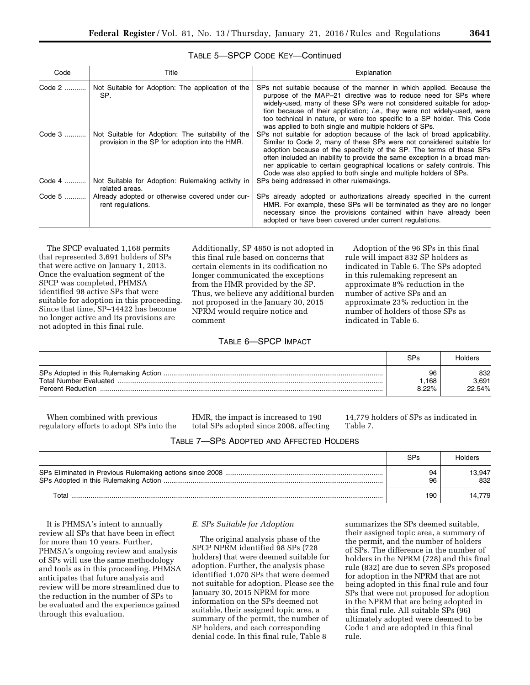| Code                | Title                                                                                                                                                           | Explanation                                                                                                                                                                                                                                                                                                                                                                                                                                                                                                                                                                                       |
|---------------------|-----------------------------------------------------------------------------------------------------------------------------------------------------------------|---------------------------------------------------------------------------------------------------------------------------------------------------------------------------------------------------------------------------------------------------------------------------------------------------------------------------------------------------------------------------------------------------------------------------------------------------------------------------------------------------------------------------------------------------------------------------------------------------|
| Code 2   <br>Code 3 | Not Suitable for Adoption: The application of the<br>SP.<br>Not Suitable for Adoption: The suitability of the<br>provision in the SP for adoption into the HMR. | SPs not suitable because of the manner in which applied. Because the<br>purpose of the MAP-21 directive was to reduce need for SPs where<br>widely-used, many of these SPs were not considered suitable for adop-<br>tion because of their application; <i>i.e.</i> , they were not widely-used, were<br>too technical in nature, or were too specific to a SP holder. This Code<br>was applied to both single and multiple holders of SPs.<br>SPs not suitable for adoption because of the lack of broad applicability.<br>Similar to Code 2, many of these SPs were not considered suitable for |
| Code 4              | Not Suitable for Adoption: Rulemaking activity in                                                                                                               | adoption because of the specificity of the SP. The terms of these SPs<br>often included an inability to provide the same exception in a broad man-<br>ner applicable to certain geographical locations or safety controls. This<br>Code was also applied to both single and multiple holders of SPs.<br>SPs being addressed in other rulemakings.                                                                                                                                                                                                                                                 |
|                     | related areas.                                                                                                                                                  |                                                                                                                                                                                                                                                                                                                                                                                                                                                                                                                                                                                                   |
| Code 5              | Already adopted or otherwise covered under cur-<br>rent regulations.                                                                                            | SPs already adopted or authorizations already specified in the current<br>HMR. For example, these SPs will be terminated as they are no longer<br>necessary since the provisions contained within have already been<br>adopted or have been covered under current regulations.                                                                                                                                                                                                                                                                                                                    |

#### TABLE 5—SPCP CODE KEY—Continued

The SPCP evaluated 1,168 permits that represented 3,691 holders of SPs that were active on January 1, 2013. Once the evaluation segment of the SPCP was completed, PHMSA identified 98 active SPs that were suitable for adoption in this proceeding. Since that time, SP–14422 has become no longer active and its provisions are not adopted in this final rule.

Additionally, SP 4850 is not adopted in this final rule based on concerns that certain elements in its codification no longer communicated the exceptions from the HMR provided by the SP. Thus, we believe any additional burden not proposed in the January 30, 2015 NPRM would require notice and comment

#### Adoption of the 96 SPs in this final rule will impact 832 SP holders as indicated in Table 6. The SPs adopted in this rulemaking represent an approximate 8% reduction in the number of active SPs and an approximate 23% reduction in the number of holders of those SPs as indicated in Table 6.

#### TABLE 6—SPCP IMPACT

|                                                           | SPs                 | Holders                |
|-----------------------------------------------------------|---------------------|------------------------|
| <b>Total Number Evaluated</b><br><b>Percent Reduction</b> | 96<br>.168<br>8.22% | 832<br>3.691<br>22.54% |

When combined with previous regulatory efforts to adopt SPs into the HMR, the impact is increased to 190 total SPs adopted since 2008, affecting 14,779 holders of SPs as indicated in Table 7.

| TABLE 7-SPS ADOPTED AND AFFECTED HOLDERS |  |  |
|------------------------------------------|--|--|
|------------------------------------------|--|--|

|       | SPs      | Holders       |
|-------|----------|---------------|
|       | 94<br>96 | 13.947<br>832 |
| Total | 190      | 14.779        |

It is PHMSA's intent to annually review all SPs that have been in effect for more than 10 years. Further, PHMSA's ongoing review and analysis of SPs will use the same methodology and tools as in this proceeding. PHMSA anticipates that future analysis and review will be more streamlined due to the reduction in the number of SPs to be evaluated and the experience gained through this evaluation.

#### *E. SPs Suitable for Adoption*

The original analysis phase of the SPCP NPRM identified 98 SPs (728 holders) that were deemed suitable for adoption. Further, the analysis phase identified 1,070 SPs that were deemed not suitable for adoption. Please see the January 30, 2015 NPRM for more information on the SPs deemed not suitable, their assigned topic area, a summary of the permit, the number of SP holders, and each corresponding denial code. In this final rule, Table 8

summarizes the SPs deemed suitable, their assigned topic area, a summary of the permit, and the number of holders of SPs. The difference in the number of holders in the NPRM (728) and this final rule (832) are due to seven SPs proposed for adoption in the NPRM that are not being adopted in this final rule and four SPs that were not proposed for adoption in the NPRM that are being adopted in this final rule. All suitable SPs (96) ultimately adopted were deemed to be Code 1 and are adopted in this final rule.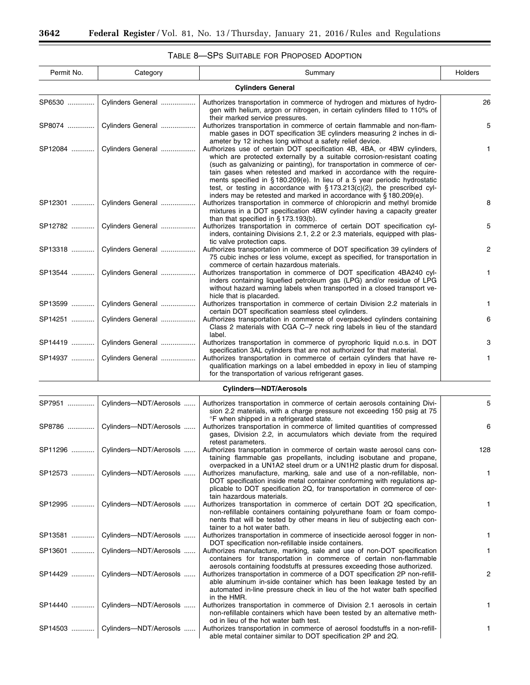۲

| Permit No. | Category                          | Summary                                                                                                                                                                                                                                                                                                                                                                                                                                                                                                                                                                                                  | Holders |
|------------|-----------------------------------|----------------------------------------------------------------------------------------------------------------------------------------------------------------------------------------------------------------------------------------------------------------------------------------------------------------------------------------------------------------------------------------------------------------------------------------------------------------------------------------------------------------------------------------------------------------------------------------------------------|---------|
|            |                                   | <b>Cylinders General</b>                                                                                                                                                                                                                                                                                                                                                                                                                                                                                                                                                                                 |         |
| SP6530     | Cylinders General                 | Authorizes transportation in commerce of hydrogen and mixtures of hydro-<br>gen with helium, argon or nitrogen, in certain cylinders filled to 110% of                                                                                                                                                                                                                                                                                                                                                                                                                                                   | 26      |
| SP8074     | Cylinders General                 | their marked service pressures.<br>Authorizes transportation in commerce of certain flammable and non-flam-<br>mable gases in DOT specification 3E cylinders measuring 2 inches in di-                                                                                                                                                                                                                                                                                                                                                                                                                   | 5       |
| SP12084    | Cylinders General                 | ameter by 12 inches long without a safety relief device.<br>Authorizes use of certain DOT specification 4B, 4BA, or 4BW cylinders,<br>which are protected externally by a suitable corrosion-resistant coating<br>(such as galvanizing or painting), for transportation in commerce of cer-<br>tain gases when retested and marked in accordance with the require-<br>ments specified in $\S 180.209(e)$ . In lieu of a 5 year periodic hydrostatic<br>test, or testing in accordance with $\S 173.213(c)(2)$ , the prescribed cyl-<br>inders may be retested and marked in accordance with §180.209(e). | 1       |
| SP12301    | Cylinders General                 | Authorizes transportation in commerce of chloropicrin and methyl bromide<br>mixtures in a DOT specification 4BW cylinder having a capacity greater<br>than that specified in $\S$ 173.193(b).                                                                                                                                                                                                                                                                                                                                                                                                            | 8       |
| SP12782    | Cylinders General                 | Authorizes transportation in commerce of certain DOT specification cyl-<br>inders, containing Divisions 2.1, 2.2 or 2.3 materials, equipped with plas-<br>tic valve protection caps.                                                                                                                                                                                                                                                                                                                                                                                                                     | 5       |
| SP13318    | Cylinders General                 | Authorizes transportation in commerce of DOT specification 39 cylinders of<br>75 cubic inches or less volume, except as specified, for transportation in<br>commerce of certain hazardous materials.                                                                                                                                                                                                                                                                                                                                                                                                     | 2       |
| SP13544    | Cylinders General                 | Authorizes transportation in commerce of DOT specification 4BA240 cyl-<br>inders containing liquefied petroleum gas (LPG) and/or residue of LPG<br>without hazard warning labels when transported in a closed transport ve-<br>hicle that is placarded.                                                                                                                                                                                                                                                                                                                                                  | 1       |
| SP13599    | Cylinders General                 | Authorizes transportation in commerce of certain Division 2.2 materials in<br>certain DOT specification seamless steel cylinders.                                                                                                                                                                                                                                                                                                                                                                                                                                                                        | 1       |
| SP14251    | Cylinders General                 | Authorizes transportation in commerce of overpacked cylinders containing<br>Class 2 materials with CGA C-7 neck ring labels in lieu of the standard<br>label.                                                                                                                                                                                                                                                                                                                                                                                                                                            | 6       |
| SP14419    | Cylinders General                 | Authorizes transportation in commerce of pyrophoric liquid n.o.s. in DOT<br>specification 3AL cylinders that are not authorized for that material.                                                                                                                                                                                                                                                                                                                                                                                                                                                       | 3       |
| SP14937    | Cylinders General                 | Authorizes transportation in commerce of certain cylinders that have re-<br>qualification markings on a label embedded in epoxy in lieu of stamping<br>for the transportation of various refrigerant gases.                                                                                                                                                                                                                                                                                                                                                                                              | 1       |
|            |                                   | <b>Cylinders-NDT/Aerosols</b>                                                                                                                                                                                                                                                                                                                                                                                                                                                                                                                                                                            |         |
| SP7951     | Cylinders-NDT/Aerosols            | Authorizes transportation in commerce of certain aerosols containing Divi-<br>sion 2.2 materials, with a charge pressure not exceeding 150 psig at 75<br>°F when shipped in a refrigerated state.                                                                                                                                                                                                                                                                                                                                                                                                        | 5       |
| SP8786     | Cylinders-NDT/Aerosols            | Authorizes transportation in commerce of limited quantities of compressed<br>gases, Division 2.2, in accumulators which deviate from the required<br>retest parameters.                                                                                                                                                                                                                                                                                                                                                                                                                                  | 6       |
|            | SP11296    Cylinders-NDT/Aerosols | Authorizes transportation in commerce of certain waste aerosol cans con-<br>taining flammable gas propellants, including isobutane and propane,<br>overpacked in a UN1A2 steel drum or a UN1H2 plastic drum for disposal                                                                                                                                                                                                                                                                                                                                                                                 | 128     |
| SP12573    | Cylinders-NDT/Aerosols            | Authorizes manufacture, marking, sale and use of a non-refillable, non-<br>DOT specification inside metal container conforming with regulations ap-<br>plicable to DOT specification 2Q, for transportation in commerce of cer-<br>tain hazardous materials.                                                                                                                                                                                                                                                                                                                                             | 1       |
| SP12995    | Cylinders-NDT/Aerosols            | Authorizes transportation in commerce of certain DOT 2Q specification,<br>non-refillable containers containing polyurethane foam or foam compo-<br>nents that will be tested by other means in lieu of subjecting each con-<br>tainer to a hot water bath.                                                                                                                                                                                                                                                                                                                                               | 1       |
| SP13581    | Cylinders-NDT/Aerosols            | Authorizes transportation in commerce of insecticide aerosol fogger in non-<br>DOT specification non-refillable inside containers.                                                                                                                                                                                                                                                                                                                                                                                                                                                                       | 1.      |
| SP13601    | Cylinders-NDT/Aerosols            | Authorizes manufacture, marking, sale and use of non-DOT specification<br>containers for transportation in commerce of certain non-flammable<br>aerosols containing foodstuffs at pressures exceeding those authorized.                                                                                                                                                                                                                                                                                                                                                                                  | 1       |
| SP14429    | Cylinders-NDT/Aerosols            | Authorizes transportation in commerce of a DOT specification 2P non-refill-<br>able aluminum in-side container which has been leakage tested by an<br>automated in-line pressure check in lieu of the hot water bath specified                                                                                                                                                                                                                                                                                                                                                                           | 2       |
| SP14440    | Cylinders-NDT/Aerosols            | in the HMR.<br>Authorizes transportation in commerce of Division 2.1 aerosols in certain<br>non-refillable containers which have been tested by an alternative meth-                                                                                                                                                                                                                                                                                                                                                                                                                                     | 1       |
| SP14503    | Cylinders-NDT/Aerosols            | od in lieu of the hot water bath test.<br>Authorizes transportation in commerce of aerosol foodstuffs in a non-refill-<br>able metal container similar to DOT specification 2P and 2Q.                                                                                                                                                                                                                                                                                                                                                                                                                   | 1.      |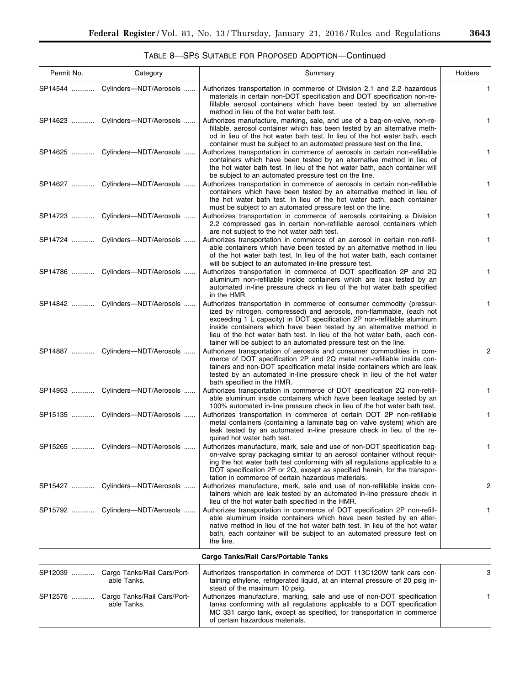### TABLE 8—SPS SUITABLE FOR PROPOSED ADOPTION—Continued

| Permit No. | Category                                   | Summary                                                                                                                                                                                                                                                                                                                                                                                                                                            | Holders |
|------------|--------------------------------------------|----------------------------------------------------------------------------------------------------------------------------------------------------------------------------------------------------------------------------------------------------------------------------------------------------------------------------------------------------------------------------------------------------------------------------------------------------|---------|
| SP14544    | Cylinders-NDT/Aerosols                     | Authorizes transportation in commerce of Division 2.1 and 2.2 hazardous<br>materials in certain non-DOT specification and DOT specification non-re-<br>fillable aerosol containers which have been tested by an alternative<br>method in lieu of the hot water bath test.                                                                                                                                                                          | 1       |
| SP14623    | Cylinders-NDT/Aerosols                     | Authorizes manufacture, marking, sale, and use of a bag-on-valve, non-re-<br>fillable, aerosol container which has been tested by an alternative meth-<br>od in lieu of the hot water bath test. In lieu of the hot water bath, each<br>container must be subject to an automated pressure test on the line.                                                                                                                                       | 1       |
| SP14625    | Cylinders-NDT/Aerosols                     | Authorizes transportation in commerce of aerosols in certain non-refillable<br>containers which have been tested by an alternative method in lieu of<br>the hot water bath test. In lieu of the hot water bath, each container will<br>be subject to an automated pressure test on the line.                                                                                                                                                       | 1       |
| SP14627    | Cylinders-NDT/Aerosols                     | Authorizes transportation in commerce of aerosols in certain non-refillable<br>containers which have been tested by an alternative method in lieu of<br>the hot water bath test. In lieu of the hot water bath, each container<br>must be subject to an automated pressure test on the line.                                                                                                                                                       | 1       |
| SP14723    | Cylinders-NDT/Aerosols                     | Authorizes transportation in commerce of aerosols containing a Division<br>2.2 compressed gas in certain non-refillable aerosol containers which<br>are not subject to the hot water bath test.                                                                                                                                                                                                                                                    | 1.      |
| SP14724    | Cylinders-NDT/Aerosols                     | Authorizes transportation in commerce of an aerosol in certain non-refill-<br>able containers which have been tested by an alternative method in lieu<br>of the hot water bath test. In lieu of the hot water bath, each container<br>will be subject to an automated in-line pressure test.                                                                                                                                                       | 1.      |
| SP14786    | Cylinders-NDT/Aerosols                     | Authorizes transportation in commerce of DOT specification 2P and 2Q<br>aluminum non-refillable inside containers which are leak tested by an<br>automated in-line pressure check in lieu of the hot water bath specified<br>in the HMR.                                                                                                                                                                                                           | 1       |
| SP14842    | Cylinders-NDT/Aerosols                     | Authorizes transportation in commerce of consumer commodity (pressur-<br>ized by nitrogen, compressed) and aerosols, non-flammable, (each not<br>exceeding 1 L capacity) in DOT specification 2P non-refillable aluminum<br>inside containers which have been tested by an alternative method in<br>lieu of the hot water bath test. In lieu of the hot water bath, each con-<br>tainer will be subject to an automated pressure test on the line. | 1       |
| SP14887    | Cylinders--- NDT/Aerosols                  | Authorizes transportation of aerosols and consumer commodities in com-<br>merce of DOT specification 2P and 2Q metal non-refillable inside con-<br>tainers and non-DOT specification metal inside containers which are leak<br>tested by an automated in-line pressure check in lieu of the hot water<br>bath specified in the HMR.                                                                                                                | 2       |
| SP14953    | Cylinders-NDT/Aerosols                     | Authorizes transportation in commerce of DOT specification 2Q non-refill-<br>able aluminum inside containers which have been leakage tested by an<br>100% automated in-line pressure check in lieu of the hot water bath test.                                                                                                                                                                                                                     | 1.      |
| SP15135    | Cylinders-NDT/Aerosols                     | Authorizes transportation in commerce of certain DOT 2P non-refillable<br>metal containers (containing a laminate bag on valve system) which are<br>leak tested by an automated in-line pressure check in lieu of the re-<br>quired hot water bath test.                                                                                                                                                                                           | 1       |
| SP15265    | Cylinders-NDT/Aerosols                     | Authorizes manufacture, mark, sale and use of non-DOT specification bag-<br>on-valve spray packaging similar to an aerosol container without requir-<br>ing the hot water bath test conforming with all regulations applicable to a<br>DOT specification 2P or 2Q, except as specified herein, for the transpor-<br>tation in commerce of certain hazardous materials.                                                                             | 1       |
| SP15427    | Cylinders--- NDT/Aerosols                  | Authorizes manufacture, mark, sale and use of non-refillable inside con-<br>tainers which are leak tested by an automated in-line pressure check in<br>lieu of the hot water bath specified in the HMR.                                                                                                                                                                                                                                            | 2       |
| SP15792    | Cylinders--- NDT/Aerosols                  | Authorizes transportation in commerce of DOT specification 2P non-refill-<br>able aluminum inside containers which have been tested by an alter-<br>native method in lieu of the hot water bath test. In lieu of the hot water<br>bath, each container will be subject to an automated pressure test on<br>the line.                                                                                                                               | 1.      |
|            |                                            | Cargo Tanks/Rail Cars/Portable Tanks                                                                                                                                                                                                                                                                                                                                                                                                               |         |
| SP12039    | Cargo Tanks/Rail Cars/Port-<br>able Tanks. | Authorizes transportation in commerce of DOT 113C120W tank cars con-<br>taining ethylene, refrigerated liquid, at an internal pressure of 20 psig in-<br>stead of the maximum 10 psig.                                                                                                                                                                                                                                                             | 3       |
| SP12576    | Cargo Tanks/Rail Cars/Port-<br>able Tanks. | Authorizes manufacture, marking, sale and use of non-DOT specification<br>tanks conforming with all regulations applicable to a DOT specification<br>MC 331 cargo tank, except as specified, for transportation in commerce<br>of certain hazardous materials.                                                                                                                                                                                     | 1       |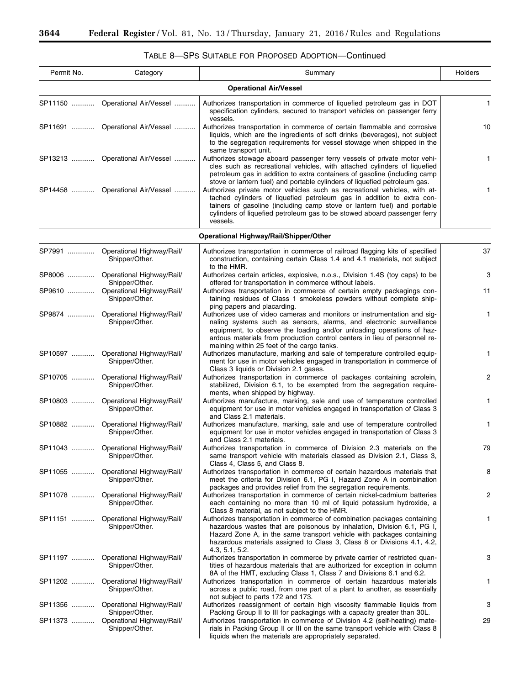Ξ

| Permit No. | Category                                               | Summary                                                                                                                                                                                                                                                                                                                                             | Holders      |
|------------|--------------------------------------------------------|-----------------------------------------------------------------------------------------------------------------------------------------------------------------------------------------------------------------------------------------------------------------------------------------------------------------------------------------------------|--------------|
|            |                                                        | <b>Operational Air/Vessel</b>                                                                                                                                                                                                                                                                                                                       |              |
| SP11150    | Operational Air/Vessel                                 | Authorizes transportation in commerce of liquefied petroleum gas in DOT<br>specification cylinders, secured to transport vehicles on passenger ferry<br>vessels.                                                                                                                                                                                    | $\mathbf{1}$ |
| SP11691    | Operational Air/Vessel                                 | Authorizes transportation in commerce of certain flammable and corrosive<br>liquids, which are the ingredients of soft drinks (beverages), not subject<br>to the segregation requirements for vessel stowage when shipped in the                                                                                                                    | 10           |
| SP13213    | Operational Air/Vessel                                 | same transport unit.<br>Authorizes stowage aboard passenger ferry vessels of private motor vehi-<br>cles such as recreational vehicles, with attached cylinders of liquefied<br>petroleum gas in addition to extra containers of gasoline (including camp<br>stove or lantern fuel) and portable cylinders of liquefied petroleum gas.              | 1            |
| SP14458    | Operational Air/Vessel                                 | Authorizes private motor vehicles such as recreational vehicles, with at-<br>tached cylinders of liquefied petroleum gas in addition to extra con-<br>tainers of gasoline (including camp stove or lantern fuel) and portable<br>cylinders of liquefied petroleum gas to be stowed aboard passenger ferry<br>vessels.                               | 1            |
|            |                                                        | Operational Highway/Rail/Shipper/Other                                                                                                                                                                                                                                                                                                              |              |
| SP7991     | Operational Highway/Rail/<br>Shipper/Other.            | Authorizes transportation in commerce of railroad flagging kits of specified<br>construction, containing certain Class 1.4 and 4.1 materials, not subject<br>to the HMR.                                                                                                                                                                            | 37           |
| SP8006     | Operational Highway/Rail/<br>Shipper/Other.            | Authorizes certain articles, explosive, n.o.s., Division 1.4S (toy caps) to be<br>offered for transportation in commerce without labels.                                                                                                                                                                                                            | 3            |
| SP9610     | Operational Highway/Rail/<br>Shipper/Other.            | Authorizes transportation in commerce of certain empty packagings con-<br>taining residues of Class 1 smokeless powders without complete ship-<br>ping papers and placarding.                                                                                                                                                                       | 11           |
| SP9874     | Operational Highway/Rail/<br>Shipper/Other.            | Authorizes use of video cameras and monitors or instrumentation and sig-<br>naling systems such as sensors, alarms, and electronic surveillance<br>equipment, to observe the loading and/or unloading operations of haz-<br>ardous materials from production control centers in lieu of personnel re-<br>maining within 25 feet of the cargo tanks. | 1            |
| SP10597    | Operational Highway/Rail/<br>Shipper/Other.            | Authorizes manufacture, marking and sale of temperature controlled equip-<br>ment for use in motor vehicles engaged in transportation in commerce of<br>Class 3 liquids or Division 2.1 gases.                                                                                                                                                      | 1            |
| SP10705    | Operational Highway/Rail/<br>Shipper/Other.            | Authorizes transportation in commerce of packages containing acrolein,<br>stabilized, Division 6.1, to be exempted from the segregation require-<br>ments, when shipped by highway.                                                                                                                                                                 | 2            |
| SP10803    | Operational Highway/Rail/<br>Shipper/Other.            | Authorizes manufacture, marking, sale and use of temperature controlled<br>equipment for use in motor vehicles engaged in transportation of Class 3<br>and Class 2.1 materials.                                                                                                                                                                     | 1            |
| SP10882    | Operational Highway/Rail/<br>Shipper/Other.            | Authorizes manufacture, marking, sale and use of temperature controlled<br>equipment for use in motor vehicles engaged in transportation of Class 3<br>and Class 2.1 materials.                                                                                                                                                                     | 1            |
|            | SP11043    Operational Highway/Rail/<br>Shipper/Other. | Authorizes transportation in commerce of Division 2.3 materials on the<br>same transport vehicle with materials classed as Division 2.1, Class 3,<br>Class 4, Class 5, and Class 8.                                                                                                                                                                 | 79           |
| SP11055    | Operational Highway/Rail/<br>Shipper/Other.            | Authorizes transportation in commerce of certain hazardous materials that<br>meet the criteria for Division 6.1, PG I, Hazard Zone A in combination<br>packages and provides relief from the segregation requirements.                                                                                                                              | 8            |
| SP11078    | Operational Highway/Rail/<br>Shipper/Other.            | Authorizes transportation in commerce of certain nickel-cadmium batteries<br>each containing no more than 10 ml of liquid potassium hydroxide, a<br>Class 8 material, as not subject to the HMR.                                                                                                                                                    | 2            |
| SP11151    | Operational Highway/Rail/<br>Shipper/Other.            | Authorizes transportation in commerce of combination packages containing<br>hazardous wastes that are poisonous by inhalation, Division 6.1, PG I,<br>Hazard Zone A, in the same transport vehicle with packages containing<br>hazardous materials assigned to Class 3, Class 8 or Divisions 4.1, 4.2,<br>4.3, 5.1, 5.2.                            | 1            |
| SP11197    | Operational Highway/Rail/<br>Shipper/Other.            | Authorizes transportation in commerce by private carrier of restricted quan-<br>tities of hazardous materials that are authorized for exception in column<br>8A of the HMT, excluding Class 1, Class 7 and Divisions 6.1 and 6.2.                                                                                                                   | 3            |
| SP11202    | Operational Highway/Rail/<br>Shipper/Other.            | Authorizes transportation in commerce of certain hazardous materials<br>across a public road, from one part of a plant to another, as essentially<br>not subject to parts 172 and 173.                                                                                                                                                              | 1            |
| SP11356    | Operational Highway/Rail/<br>Shipper/Other.            | Authorizes reassignment of certain high viscosity flammable liquids from<br>Packing Group II to III for packagings with a capacity greater than 30L.                                                                                                                                                                                                | 3            |
| SP11373    | Operational Highway/Rail/<br>Shipper/Other.            | Authorizes transportation in commerce of Division 4.2 (self-heating) mate-<br>rials in Packing Group II or III on the same transport vehicle with Class 8<br>liquids when the materials are appropriately separated.                                                                                                                                | 29           |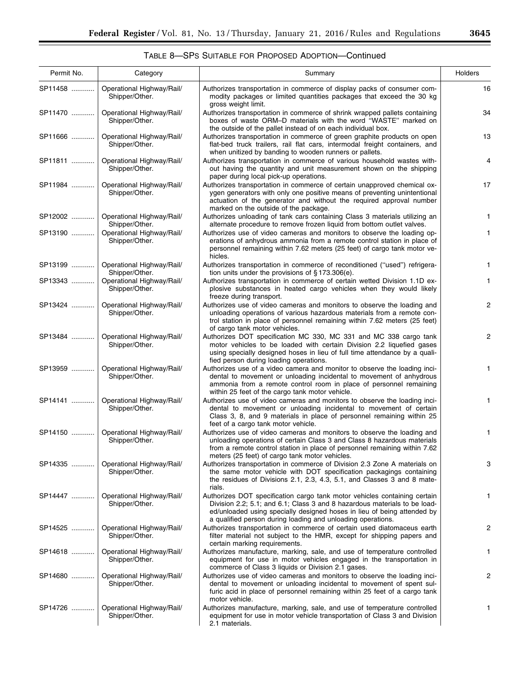### TABLE 8—SPS SUITABLE FOR PROPOSED ADOPTION—Continued

| Permit No. | Category                                    | Summary                                                                                                                                                                                                                                                                                          | Holders      |
|------------|---------------------------------------------|--------------------------------------------------------------------------------------------------------------------------------------------------------------------------------------------------------------------------------------------------------------------------------------------------|--------------|
| SP11458    | Operational Highway/Rail/<br>Shipper/Other. | Authorizes transportation in commerce of display packs of consumer com-<br>modity packages or limited quantities packages that exceed the 30 kg<br>gross weight limit.                                                                                                                           | 16           |
| SP11470    | Operational Highway/Rail/<br>Shipper/Other. | Authorizes transportation in commerce of shrink wrapped pallets containing<br>boxes of waste ORM-D materials with the word "WASTE" marked on<br>the outside of the pallet instead of on each individual box.                                                                                     | 34           |
| SP11666    | Operational Highway/Rail/<br>Shipper/Other. | Authorizes transportation in commerce of green graphite products on open<br>flat-bed truck trailers, rail flat cars, intermodal freight containers, and<br>when unitized by banding to wooden runners or pallets.                                                                                | 13           |
| SP11811    | Operational Highway/Rail/<br>Shipper/Other. | Authorizes transportation in commerce of various household wastes with-<br>out having the quantity and unit measurement shown on the shipping<br>paper during local pick-up operations.                                                                                                          | 4            |
| SP11984    | Operational Highway/Rail/<br>Shipper/Other. | Authorizes transportation in commerce of certain unapproved chemical ox-<br>ygen generators with only one positive means of preventing unintentional<br>actuation of the generator and without the required approval number<br>marked on the outside of the package.                             | 17           |
| SP12002    | Operational Highway/Rail/<br>Shipper/Other. | Authorizes unloading of tank cars containing Class 3 materials utilizing an<br>alternate procedure to remove frozen liquid from bottom outlet valves.                                                                                                                                            | 1.           |
| SP13190    | Operational Highway/Rail/<br>Shipper/Other. | Authorizes use of video cameras and monitors to observe the loading op-<br>erations of anhydrous ammonia from a remote control station in place of<br>personnel remaining within 7.62 meters (25 feet) of cargo tank motor ve-<br>hicles.                                                        | 1            |
| SP13199    | Operational Highway/Rail/<br>Shipper/Other. | Authorizes transportation in commerce of reconditioned ("used") refrigera-<br>tion units under the provisions of $\S 173.306(e)$ .                                                                                                                                                               | 1.           |
| SP13343    | Operational Highway/Rail/<br>Shipper/Other. | Authorizes transportation in commerce of certain wetted Division 1.1D ex-<br>plosive substances in heated cargo vehicles when they would likely<br>freeze during transport.                                                                                                                      | $\mathbf{1}$ |
| SP13424    | Operational Highway/Rail/<br>Shipper/Other. | Authorizes use of video cameras and monitors to observe the loading and<br>unloading operations of various hazardous materials from a remote con-<br>trol station in place of personnel remaining within 7.62 meters (25 feet)<br>of cargo tank motor vehicles.                                  | 2            |
| SP13484    | Operational Highway/Rail/<br>Shipper/Other. | Authorizes DOT specification MC 330, MC 331 and MC 338 cargo tank<br>motor vehicles to be loaded with certain Division 2.2 liquefied gases<br>using specially designed hoses in lieu of full time attendance by a quali-<br>fied person during loading operations.                               | 2            |
| SP13959    | Operational Highway/Rail/<br>Shipper/Other. | Authorizes use of a video camera and monitor to observe the loading inci-<br>dental to movement or unloading incidental to movement of anhydrous<br>ammonia from a remote control room in place of personnel remaining<br>within 25 feet of the cargo tank motor vehicle.                        | 1            |
| SP14141    | Operational Highway/Rail/<br>Shipper/Other. | Authorizes use of video cameras and monitors to observe the loading inci-<br>dental to movement or unloading incidental to movement of certain<br>Class 3, 8, and 9 materials in place of personnel remaining within 25<br>feet of a cargo tank motor vehicle.                                   | 1            |
| SP14150    | Operational Highway/Rail/<br>Shipper/Other. | Authorizes use of video cameras and monitors to observe the loading and<br>unloading operations of certain Class 3 and Class 8 hazardous materials<br>from a remote control station in place of personnel remaining within 7.62<br>meters (25 feet) of cargo tank motor vehicles.                | 1            |
| SP14335    | Operational Highway/Rail/<br>Shipper/Other. | Authorizes transportation in commerce of Division 2.3 Zone A materials on<br>the same motor vehicle with DOT specification packagings containing<br>the residues of Divisions 2.1, 2.3, 4.3, 5.1, and Classes 3 and 8 mate-<br>rials.                                                            | 3            |
| SP14447    | Operational Highway/Rail/<br>Shipper/Other. | Authorizes DOT specification cargo tank motor vehicles containing certain<br>Division 2.2; 5.1; and 6.1; Class 3 and 8 hazardous materials to be load-<br>ed/unloaded using specially designed hoses in lieu of being attended by<br>a qualified person during loading and unloading operations. | $\mathbf{1}$ |
| SP14525    | Operational Highway/Rail/<br>Shipper/Other. | Authorizes transportation in commerce of certain used diatomaceus earth<br>filter material not subject to the HMR, except for shipping papers and<br>certain marking requirements.                                                                                                               | 2            |
| SP14618    | Operational Highway/Rail/<br>Shipper/Other. | Authorizes manufacture, marking, sale, and use of temperature controlled<br>equipment for use in motor vehicles engaged in the transportation in<br>commerce of Class 3 liquids or Division 2.1 gases.                                                                                           | 1.           |
| SP14680    | Operational Highway/Rail/<br>Shipper/Other. | Authorizes use of video cameras and monitors to observe the loading inci-<br>dental to movement or unloading incidental to movement of spent sul-<br>furic acid in place of personnel remaining within 25 feet of a cargo tank<br>motor vehicle.                                                 | 2            |
| SP14726    | Operational Highway/Rail/<br>Shipper/Other. | Authorizes manufacture, marking, sale, and use of temperature controlled<br>equipment for use in motor vehicle transportation of Class 3 and Division<br>2.1 materials.                                                                                                                          | 1            |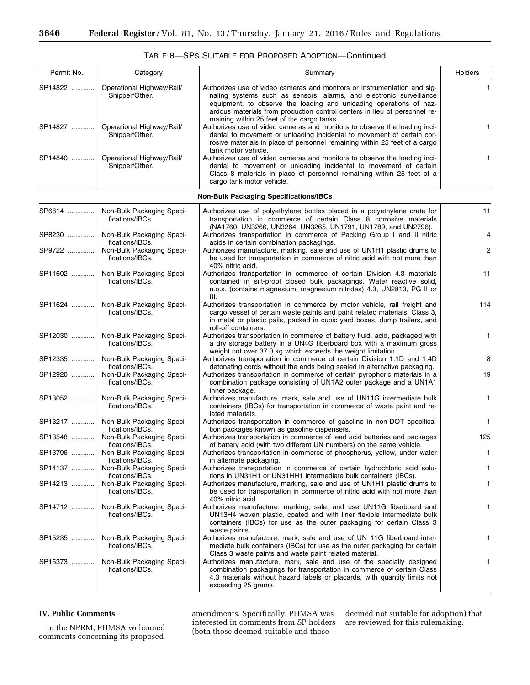| Permit No. | Category                                                        | Summary                                                                                                                                                                                                                                                                                                                                          | Holders        |
|------------|-----------------------------------------------------------------|--------------------------------------------------------------------------------------------------------------------------------------------------------------------------------------------------------------------------------------------------------------------------------------------------------------------------------------------------|----------------|
| SP14822    | Operational Highway/Rail/<br>Shipper/Other.                     | Authorizes use of video cameras and monitors or instrumentation and sig-<br>naling systems such as sensors, alarms, and electronic surveillance<br>equipment, to observe the loading and unloading operations of haz-<br>ardous materials from production control centers in lieu of personnel re-<br>maining within 25 feet of the cargo tanks. | $\mathbf{1}$   |
| SP14827    | Operational Highway/Rail/<br>Shipper/Other.                     | Authorizes use of video cameras and monitors to observe the loading inci-<br>dental to movement or unloading incidental to movement of certain cor-<br>rosive materials in place of personnel remaining within 25 feet of a cargo<br>tank motor vehicle.                                                                                         | 1              |
| SP14840    | Operational Highway/Rail/<br>Shipper/Other.                     | Authorizes use of video cameras and monitors to observe the loading inci-<br>dental to movement or unloading incidental to movement of certain<br>Class 8 materials in place of personnel remaining within 25 feet of a<br>cargo tank motor vehicle.                                                                                             | 1              |
|            |                                                                 | <b>Non-Bulk Packaging Specifications/IBCs</b>                                                                                                                                                                                                                                                                                                    |                |
| SP6614     | Non-Bulk Packaging Speci-<br>fications/IBCs.                    | Authorizes use of polyethylene bottles placed in a polyethylene crate for<br>transportation in commerce of certain Class 8 corrosive materials<br>(NA1760, UN3266, UN3264, UN3265, UN1791, UN1789, and UN2796).                                                                                                                                  | 11             |
| SP8230     | Non-Bulk Packaging Speci-<br>fications/IBCs.                    | Authorizes transportation in commerce of Packing Group I and II nitric<br>acids in certain combination packagings.                                                                                                                                                                                                                               | 4              |
| SP9722     | Non-Bulk Packaging Speci-<br>fications/IBCs.                    | Authorizes manufacture, marking, sale and use of UN1H1 plastic drums to<br>be used for transportation in commerce of nitric acid with not more than<br>40% nitric acid.                                                                                                                                                                          | $\overline{c}$ |
| SP11602    | Non-Bulk Packaging Speci-<br>fications/IBCs.                    | Authorizes transportation in commerce of certain Division 4.3 materials<br>contained in sift-proof closed bulk packagings. Water reactive solid,<br>n.o.s. (contains magnesium, magnesium nitrides) 4.3, UN2813, PG II or<br>III.                                                                                                                | 11             |
| SP11624    | Non-Bulk Packaging Speci-<br>fications/IBCs.                    | Authorizes transportation in commerce by motor vehicle, rail freight and<br>cargo vessel of certain waste paints and paint related materials, Class 3,<br>in metal or plastic pails, packed in cubic yard boxes, dump trailers, and<br>roll-off containers.                                                                                      | 114            |
| SP12030    | Non-Bulk Packaging Speci-<br>fications/IBCs.                    | Authorizes transportation in commerce of battery fluid, acid, packaged with<br>a dry storage battery in a UN4G fiberboard box with a maximum gross<br>weight not over 37.0 kg which exceeds the weight limitation.                                                                                                                               | 1.             |
| SP12335    | Non-Bulk Packaging Speci-<br>fications/IBCs.                    | Authorizes transportation in commerce of certain Division 1.1D and 1.4D<br>detonating cords without the ends being sealed in alternative packaging.                                                                                                                                                                                              | 8              |
| SP12920    | Non-Bulk Packaging Speci-<br>fications/IBCs.                    | Authorizes transportation in commerce of certain pyrophoric materials in a<br>combination package consisting of UN1A2 outer package and a UN1A1<br>inner package.                                                                                                                                                                                | 19             |
| SP13052    | Non-Bulk Packaging Speci-<br>fications/IBCs.                    | Authorizes manufacture, mark, sale and use of UN11G intermediate bulk<br>containers (IBCs) for transportation in commerce of waste paint and re-<br>lated materials.                                                                                                                                                                             | 1              |
| SP13217    | Non-Bulk Packaging Speci-<br>fications/IBCs.                    | Authorizes transportation in commerce of gasoline in non-DOT specifica-<br>tion packages known as gasoline dispensers.                                                                                                                                                                                                                           | $\mathbf{1}$   |
| SP13548    | Non-Bulk Packaging Speci-<br>fications/IBCs.                    | Authorizes transportation in commerce of lead acid batteries and packages<br>of battery acid (with two different UN numbers) on the same vehicle.                                                                                                                                                                                                | 125            |
|            | SP13796    Non-Bulk Packaging Speci-                            | Authorizes transportation in commerce of phosphorus, yellow, under water<br>in alternate packaging.                                                                                                                                                                                                                                              | 1              |
| SP14137    | fications/IBCs.<br>Non-Bulk Packaging Speci-                    | Authorizes transportation in commerce of certain hydrochloric acid solu-                                                                                                                                                                                                                                                                         | 1.             |
| SP14213    | fications/IBCs.<br>Non-Bulk Packaging Speci-<br>fications/IBCs. | tions in UN31H1 or UN31HH1 intermediate bulk containers (IBCs).<br>Authorizes manufacture, marking, sale and use of UN1H1 plastic drums to<br>be used for transportation in commerce of nitric acid with not more than<br>40% nitric acid.                                                                                                       | 1              |
| SP14712    | Non-Bulk Packaging Speci-<br>fications/IBCs.                    | Authorizes manufacture, marking, sale, and use UN11G fiberboard and<br>UN13H4 woven plastic, coated and with liner flexible intermediate bulk<br>containers (IBCs) for use as the outer packaging for certain Class 3<br>waste paints.                                                                                                           | 1              |
| SP15235    | Non-Bulk Packaging Speci-<br>fications/IBCs.                    | Authorizes manufacture, mark, sale and use of UN 11G fiberboard inter-<br>mediate bulk containers (IBCs) for use as the outer packaging for certain<br>Class 3 waste paints and waste paint related material.                                                                                                                                    | 1.             |
| SP15373    | Non-Bulk Packaging Speci-<br>fications/IBCs.                    | Authorizes manufacture, mark, sale and use of the specially designed<br>combination packagings for transportation in commerce of certain Class<br>4.3 materials without hazard labels or placards, with quantity limits not<br>exceeding 25 grams.                                                                                               | 1.             |

#### **IV. Public Comments**

In the NPRM, PHMSA welcomed comments concerning its proposed

amendments. Specifically, PHMSA was interested in comments from SP holders (both those deemed suitable and those

deemed not suitable for adoption) that are reviewed for this rulemaking.

-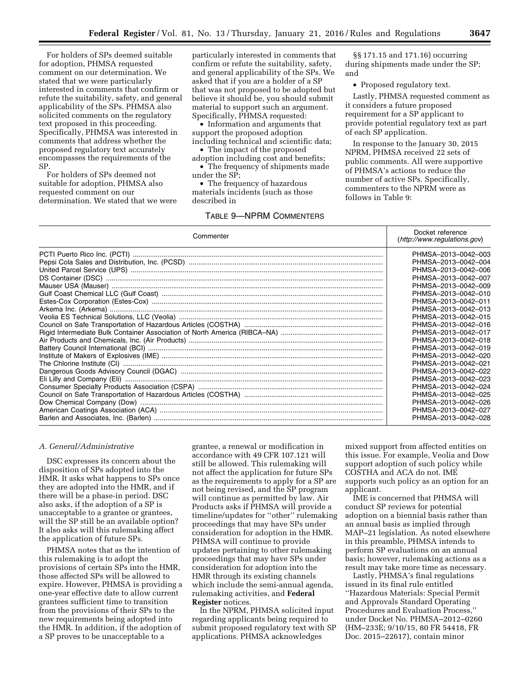For holders of SPs deemed suitable for adoption, PHMSA requested comment on our determination. We stated that we were particularly interested in comments that confirm or refute the suitability, safety, and general applicability of the SPs. PHMSA also solicited comments on the regulatory text proposed in this proceeding. Specifically, PHMSA was interested in comments that address whether the proposed regulatory text accurately encompasses the requirements of the SP.

For holders of SPs deemed not suitable for adoption, PHMSA also requested comment on our determination. We stated that we were

particularly interested in comments that confirm or refute the suitability, safety, and general applicability of the SPs. We asked that if you are a holder of a SP that was not proposed to be adopted but believe it should be, you should submit material to support such an argument. Specifically, PHMSA requested:

• Information and arguments that support the proposed adoption including technical and scientific data;

• The impact of the proposed

adoption including cost and benefits; • The frequency of shipments made under the SP;

• The frequency of hazardous materials incidents (such as those described in

#### TABLE 9—NPRM COMMENTERS

§§ 171.15 and 171.16) occurring during shipments made under the SP; and

• Proposed regulatory text.

Lastly, PHMSA requested comment as it considers a future proposed requirement for a SP applicant to provide potential regulatory text as part of each SP application.

In response to the January 30, 2015 NPRM, PHMSA received 22 sets of public comments. All were supportive of PHMSA's actions to reduce the number of active SPs. Specifically, commenters to the NPRM were as follows in Table 9:

| Commenter | Docket reference<br>(http://www.readulations.gov) |
|-----------|---------------------------------------------------|
|           | PHMSA-2013-0042-003                               |
|           | PHMSA-2013-0042-004                               |
|           | PHMSA-2013-0042-006                               |
|           | PHMSA-2013-0042-007                               |
|           | PHMSA-2013-0042-009                               |
|           | PHMSA-2013-0042-010                               |
|           | PHMSA-2013-0042-011                               |
|           | PHMSA-2013-0042-013                               |
|           | PHMSA-2013-0042-015                               |
|           | PHMSA-2013-0042-016                               |
|           | PHMSA-2013-0042-017                               |
|           | PHMSA-2013-0042-018                               |
|           | PHMSA-2013-0042-019                               |
|           | PHMSA-2013-0042-020                               |
|           | PHMSA-2013-0042-021                               |
|           | PHMSA-2013-0042-022                               |
|           | PHMSA-2013-0042-023                               |
|           | PHMSA-2013-0042-024                               |
|           | PHMSA-2013-0042-025                               |
|           | PHMSA-2013-0042-026                               |
|           | PHMSA-2013-0042-027                               |
|           | PHMSA-2013-0042-028                               |

#### *A. General/Administrative*

DSC expresses its concern about the disposition of SPs adopted into the HMR. It asks what happens to SPs once they are adopted into the HMR, and if there will be a phase-in period. DSC also asks, if the adoption of a SP is unacceptable to a grantee or grantees, will the SP still be an available option? It also asks will this rulemaking affect the application of future SPs.

PHMSA notes that as the intention of this rulemaking is to adopt the provisions of certain SPs into the HMR, those affected SPs will be allowed to expire. However, PHMSA is providing a one-year effective date to allow current grantees sufficient time to transition from the provisions of their SPs to the new requirements being adopted into the HMR. In addition, if the adoption of a SP proves to be unacceptable to a

grantee, a renewal or modification in accordance with 49 CFR 107.121 will still be allowed. This rulemaking will not affect the application for future SPs as the requirements to apply for a SP are not being revised, and the SP program will continue as permitted by law. Air Products asks if PHMSA will provide a timeline/updates for ''other'' rulemaking proceedings that may have SPs under consideration for adoption in the HMR. PHMSA will continue to provide updates pertaining to other rulemaking proceedings that may have SPs under consideration for adoption into the HMR through its existing channels which include the semi-annual agenda, rulemaking activities, and **Federal Register** notices.

In the NPRM, PHMSA solicited input regarding applicants being required to submit proposed regulatory text with SP applications. PHMSA acknowledges

mixed support from affected entities on this issue. For example, Veolia and Dow support adoption of such policy while COSTHA and ACA do not. IME supports such policy as an option for an applicant.

IME is concerned that PHMSA will conduct SP reviews for potential adoption on a biennial basis rather than an annual basis as implied through MAP–21 legislation. As noted elsewhere in this preamble, PHMSA intends to perform SP evaluations on an annual basis; however, rulemaking actions as a result may take more time as necessary.

Lastly, PHMSA's final regulations issued in its final rule entitled ''Hazardous Materials: Special Permit and Approvals Standard Operating Procedures and Evaluation Process,'' under Docket No. PHMSA–2012–0260 (HM–233E; 9/10/15, 80 FR 54418, FR Doc. 2015–22617), contain minor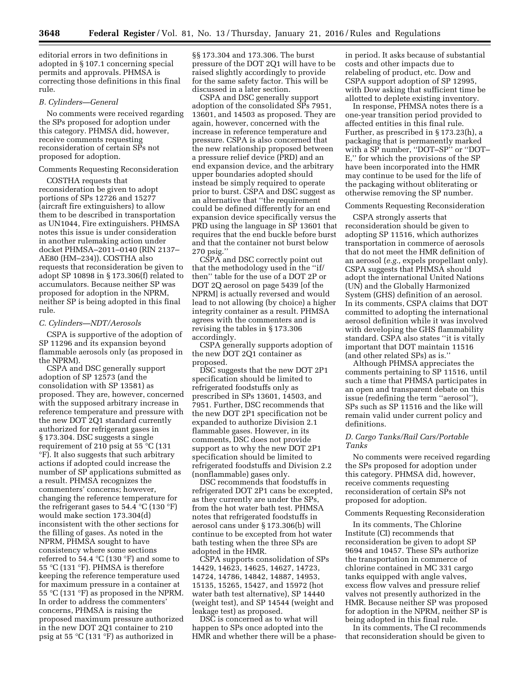editorial errors in two definitions in adopted in § 107.1 concerning special permits and approvals. PHMSA is correcting those definitions in this final rule.

#### *B. Cylinders—General*

No comments were received regarding the SPs proposed for adoption under this category. PHMSA did, however, receive comments requesting reconsideration of certain SPs not proposed for adoption.

#### Comments Requesting Reconsideration

COSTHA requests that reconsideration be given to adopt portions of SPs 12726 and 15277 (aircraft fire extinguishers) to allow them to be described in transportation as UN1044, Fire extinguishers. PHMSA notes this issue is under consideration in another rulemaking action under docket PHMSA–2011–0140 (RIN 2137– AE80 (HM–234)). COSTHA also requests that reconsideration be given to adopt SP 10898 in § 173.306(f) related to accumulators. Because neither SP was proposed for adoption in the NPRM, neither SP is being adopted in this final rule.

#### *C. Cylinders—NDT/Aerosols*

CSPA is supportive of the adoption of SP 11296 and its expansion beyond flammable aerosols only (as proposed in the NPRM).

CSPA and DSC generally support adoption of SP 12573 (and the consolidation with SP 13581) as proposed. They are, however, concerned with the supposed arbitrary increase in reference temperature and pressure with the new DOT 2Q1 standard currently authorized for refrigerant gases in § 173.304. DSC suggests a single requirement of 210 psig at 55 °C (131 °F). It also suggests that such arbitrary actions if adopted could increase the number of SP applications submitted as a result. PHMSA recognizes the commenters' concerns; however, changing the reference temperature for the refrigerant gases to 54.4  $^{\circ}$ C (130  $^{\circ}$ F) would make section 173.304(d) inconsistent with the other sections for the filling of gases. As noted in the NPRM, PHMSA sought to have consistency where some sections referred to 54.4 °C (130 °F) and some to 55 °C (131 °F). PHMSA is therefore keeping the reference temperature used for maximum pressure in a container at 55 °C (131 °F) as proposed in the NPRM. In order to address the commenters' concerns, PHMSA is raising the proposed maximum pressure authorized in the new DOT 2Q1 container to 210 psig at 55 °C (131 °F) as authorized in

§§ 173.304 and 173.306. The burst pressure of the DOT 2Q1 will have to be raised slightly accordingly to provide for the same safety factor. This will be discussed in a later section.

CSPA and DSC generally support adoption of the consolidated SPs 7951, 13601, and 14503 as proposed. They are again, however, concerned with the increase in reference temperature and pressure. CSPA is also concerned that the new relationship proposed between a pressure relief device (PRD) and an end expansion device, and the arbitrary upper boundaries adopted should instead be simply required to operate prior to burst. CSPA and DSC suggest as an alternative that ''the requirement could be defined differently for an end expansion device specifically versus the PRD using the language in SP 13601 that requires that the end buckle before burst and that the container not burst below 270 psig.''

CSPA and DSC correctly point out that the methodology used in the ''if/ then'' table for the use of a DOT 2P or DOT 2Q aerosol on page 5439 [of the NPRM] is actually reversed and would lead to not allowing (by choice) a higher integrity container as a result. PHMSA agrees with the commenters and is revising the tables in § 173.306 accordingly.

CSPA generally supports adoption of the new DOT 2Q1 container as proposed.

DSC suggests that the new DOT 2P1 specification should be limited to refrigerated foodstuffs only as prescribed in SPs 13601, 14503, and 7951. Further, DSC recommends that the new DOT 2P1 specification not be expanded to authorize Division 2.1 flammable gases. However, in its comments, DSC does not provide support as to why the new DOT 2P1 specification should be limited to refrigerated foodstuffs and Division 2.2 (nonflammable) gases only.

DSC recommends that foodstuffs in refrigerated DOT 2P1 cans be excepted, as they currently are under the SPs, from the hot water bath test. PHMSA notes that refrigerated foodstuffs in aerosol cans under § 173.306(b) will continue to be excepted from hot water bath testing when the three SPs are adopted in the HMR.

CSPA supports consolidation of SPs 14429, 14623, 14625, 14627, 14723, 14724, 14786, 14842, 14887, 14953, 15135, 15265, 15427, and 15972 (hot water bath test alternative), SP 14440 (weight test), and SP 14544 (weight and leakage test) as proposed.

DSC is concerned as to what will happen to SPs once adopted into the HMR and whether there will be a phasein period. It asks because of substantial costs and other impacts due to relabeling of product, etc. Dow and CSPA support adoption of SP 12995, with Dow asking that sufficient time be allotted to deplete existing inventory.

In response, PHMSA notes there is a one-year transition period provided to affected entities in this final rule. Further, as prescribed in § 173.23(h), a packaging that is permanently marked with a SP number, ''DOT–SP'' or ''DOT– E,'' for which the provisions of the SP have been incorporated into the HMR may continue to be used for the life of the packaging without obliterating or otherwise removing the SP number.

#### Comments Requesting Reconsideration

CSPA strongly asserts that reconsideration should be given to adopting SP 11516, which authorizes transportation in commerce of aerosols that do not meet the HMR definition of an aerosol (*e.g.,* expels propellant only). CSPA suggests that PHMSA should adopt the international United Nations (UN) and the Globally Harmonized System (GHS) definition of an aerosol. In its comments, CSPA claims that DOT committed to adopting the international aerosol definition while it was involved with developing the GHS flammability standard. CSPA also states ''it is vitally important that DOT maintain 11516 (and other related SPs) as is.''

Although PHMSA appreciates the comments pertaining to SP 11516, until such a time that PHMSA participates in an open and transparent debate on this issue (redefining the term ''aerosol''), SPs such as SP 11516 and the like will remain valid under current policy and definitions.

#### *D. Cargo Tanks/Rail Cars/Portable Tanks*

No comments were received regarding the SPs proposed for adoption under this category. PHMSA did, however, receive comments requesting reconsideration of certain SPs not proposed for adoption.

#### Comments Requesting Reconsideration

In its comments, The Chlorine Institute (CI) recommends that reconsideration be given to adopt SP 9694 and 10457. These SPs authorize the transportation in commerce of chlorine contained in MC 331 cargo tanks equipped with angle valves, excess flow valves and pressure relief valves not presently authorized in the HMR. Because neither SP was proposed for adoption in the NPRM, neither SP is being adopted in this final rule.

In its comments, The CI recommends that reconsideration should be given to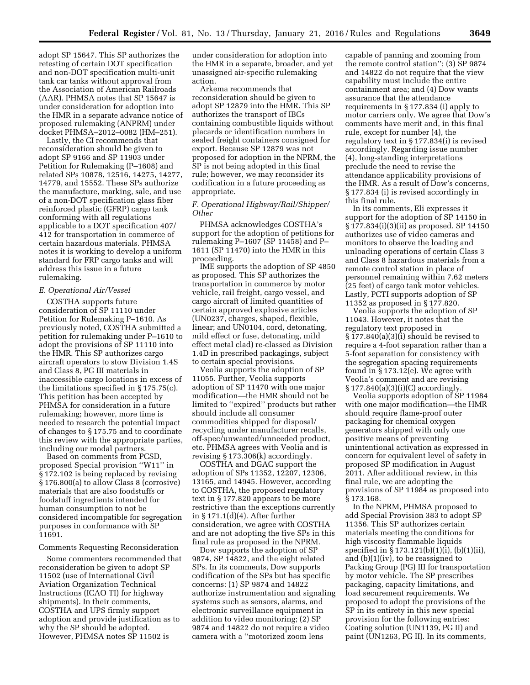adopt SP 15647. This SP authorizes the retesting of certain DOT specification and non-DOT specification multi-unit tank car tanks without approval from the Association of American Railroads (AAR). PHMSA notes that SP 15647 is under consideration for adoption into the HMR in a separate advance notice of proposed rulemaking (ANPRM) under docket PHMSA–2012–0082 (HM–251).

Lastly, the CI recommends that reconsideration should be given to adopt SP 9166 and SP 11903 under Petition for Rulemaking (P–1608) and related SPs 10878, 12516, 14275, 14277, 14779, and 15552. These SPs authorize the manufacture, marking, sale, and use of a non-DOT specification glass fiber reinforced plastic (GFRP) cargo tank conforming with all regulations applicable to a DOT specification 407/ 412 for transportation in commerce of certain hazardous materials. PHMSA notes it is working to develop a uniform standard for FRP cargo tanks and will address this issue in a future rulemaking.

#### *E. Operational Air/Vessel*

COSTHA supports future consideration of SP 11110 under Petition for Rulemaking P–1610. As previously noted, COSTHA submitted a petition for rulemaking under P–1610 to adopt the provisions of SP 11110 into the HMR. This SP authorizes cargo aircraft operators to stow Division 1.4S and Class 8, PG III materials in inaccessible cargo locations in excess of the limitations specified in § 175.75(c). This petition has been accepted by PHMSA for consideration in a future rulemaking; however, more time is needed to research the potential impact of changes to § 175.75 and to coordinate this review with the appropriate parties, including our modal partners.

Based on comments from PCSD, proposed Special provision ''W11'' in § 172.102 is being replaced by revising § 176.800(a) to allow Class 8 (corrosive) materials that are also foodstuffs or foodstuff ingredients intended for human consumption to not be considered incompatible for segregation purposes in conformance with SP 11691.

#### Comments Requesting Reconsideration

Some commenters recommended that reconsideration be given to adopt SP 11502 (use of International Civil Aviation Organization Technical Instructions (ICAO TI) for highway shipments). In their comments, COSTHA and UPS firmly support adoption and provide justification as to why the SP should be adopted. However, PHMSA notes SP 11502 is

under consideration for adoption into the HMR in a separate, broader, and yet unassigned air-specific rulemaking action.

Arkema recommends that reconsideration should be given to adopt SP 12879 into the HMR. This SP authorizes the transport of IBCs containing combustible liquids without placards or identification numbers in sealed freight containers consigned for export. Because SP 12879 was not proposed for adoption in the NPRM, the SP is not being adopted in this final rule; however, we may reconsider its codification in a future proceeding as appropriate.

#### *F. Operational Highway/Rail/Shipper/ Other*

PHMSA acknowledges COSTHA's support for the adoption of petitions for rulemaking P–1607 (SP 11458) and P– 1611 (SP 11470) into the HMR in this proceeding.

IME supports the adoption of SP 4850 as proposed. This SP authorizes the transportation in commerce by motor vehicle, rail freight, cargo vessel, and cargo aircraft of limited quantities of certain approved explosive articles (UN0237, charges, shaped, flexible, linear; and UN0104, cord, detonating, mild effect or fuse, detonating, mild effect metal clad) re-classed as Division 1.4D in prescribed packagings, subject to certain special provisions.

Veolia supports the adoption of SP 11055. Further, Veolia supports adoption of SP 11470 with one major modification—the HMR should not be limited to ''expired'' products but rather should include all consumer commodities shipped for disposal/ recycling under manufacturer recalls, off-spec/unwanted/unneeded product, etc. PHMSA agrees with Veolia and is revising § 173.306(k) accordingly.

COSTHA and DGAC support the adoption of SPs 11352, 12207, 12306, 13165, and 14945. However, according to COSTHA, the proposed regulatory text in § 177.820 appears to be more restrictive than the exceptions currently in § 171.1(d)(4). After further consideration, we agree with COSTHA and are not adopting the five SPs in this final rule as proposed in the NPRM.

Dow supports the adoption of SP 9874, SP 14822, and the eight related SPs. In its comments, Dow supports codification of the SPs but has specific concerns: (1) SP 9874 and 14822 authorize instrumentation and signaling systems such as sensors, alarms, and electronic surveillance equipment in addition to video monitoring; (2) SP 9874 and 14822 do not require a video camera with a ''motorized zoom lens

capable of panning and zooming from the remote control station''; (3) SP 9874 and 14822 do not require that the view capability must include the entire containment area; and (4) Dow wants assurance that the attendance requirements in § 177.834 (i) apply to motor carriers only. We agree that Dow's comments have merit and, in this final rule, except for number (4), the regulatory text in § 177.834(i) is revised accordingly. Regarding issue number (4), long-standing interpretations preclude the need to revise the attendance applicability provisions of the HMR. As a result of Dow's concerns, § 177.834 (i) is revised accordingly in this final rule.

In its comments, Eli expresses it support for the adoption of SP 14150 in § 177.834(i)(3)(ii) as proposed. SP 14150 authorizes use of video cameras and monitors to observe the loading and unloading operations of certain Class 3 and Class 8 hazardous materials from a remote control station in place of personnel remaining within 7.62 meters (25 feet) of cargo tank motor vehicles. Lastly, PCTI supports adoption of SP 11352 as proposed in § 177.820.

Veolia supports the adoption of SP 11043. However, it notes that the regulatory text proposed in § 177.840(a)(3)(i) should be revised to require a 4-foot separation rather than a 5-foot separation for consistency with the segregation spacing requirements found in § 173.12(e). We agree with Veolia's comment and are revising § 177.840(a)(3)(i)(C) accordingly.

Veolia supports adoption of SP 11984 with one major modification—the HMR should require flame-proof outer packaging for chemical oxygen generators shipped with only one positive means of preventing unintentional activation as expressed in concern for equivalent level of safety in proposed SP modification in August 2011. After additional review, in this final rule, we are adopting the provisions of SP 11984 as proposed into § 173.168.

In the NPRM, PHMSA proposed to add Special Provision 383 to adopt SP 11356. This SP authorizes certain materials meeting the conditions for high viscosity flammable liquids specified in § 173.121(b)(1)(i), (b)(1)(ii), and (b)(1)(iv), to be reassigned to Packing Group (PG) III for transportation by motor vehicle. The SP prescribes packaging, capacity limitations, and load securement requirements. We proposed to adopt the provisions of the SP in its entirety in this new special provision for the following entries: Coating solution (UN1139, PG II) and paint (UN1263, PG II). In its comments,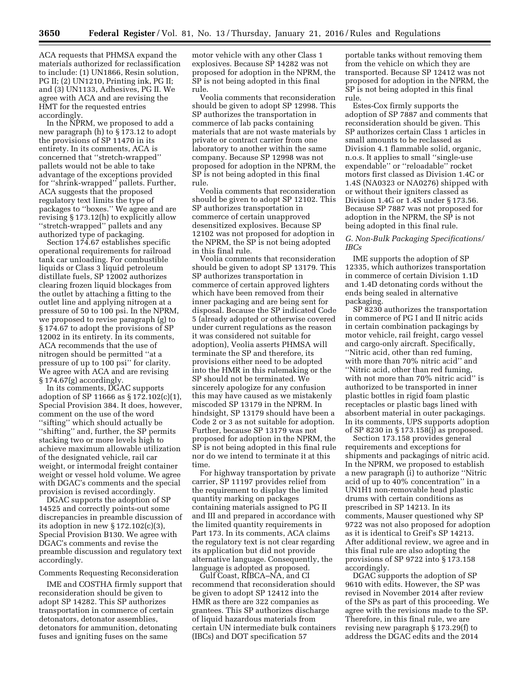ACA requests that PHMSA expand the materials authorized for reclassification to include: (1) UN1866, Resin solution, PG II; (2) UN1210, Printing ink, PG II; and (3) UN1133, Adhesives, PG II. We agree with ACA and are revising the HMT for the requested entries accordingly.

In the NPRM, we proposed to add a new paragraph (h) to § 173.12 to adopt the provisions of SP 11470 in its entirety. In its comments, ACA is concerned that ''stretch-wrapped'' pallets would not be able to take advantage of the exceptions provided for ''shrink-wrapped'' pallets. Further, ACA suggests that the proposed regulatory text limits the type of packages to ''boxes.'' We agree and are revising § 173.12(h) to explicitly allow ''stretch-wrapped'' pallets and any authorized type of packaging.

Section 174.67 establishes specific operational requirements for railroad tank car unloading. For combustible liquids or Class 3 liquid petroleum distillate fuels, SP 12002 authorizes clearing frozen liquid blockages from the outlet by attaching a fitting to the outlet line and applying nitrogen at a pressure of 50 to 100 psi. In the NPRM, we proposed to revise paragraph (g) to § 174.67 to adopt the provisions of SP 12002 in its entirety. In its comments, ACA recommends that the use of nitrogen should be permitted ''at a pressure of up to 100 psi'' for clarity. We agree with ACA and are revising § 174.67(g) accordingly.

In its comments, DGAC supports adoption of SP 11666 as § 172.102(c)(1), Special Provision 384. It does, however, comment on the use of the word ''sifting'' which should actually be ''shifting'' and, further, the SP permits stacking two or more levels high to achieve maximum allowable utilization of the designated vehicle, rail car weight, or intermodal freight container weight or vessel hold volume. We agree with DGAC's comments and the special provision is revised accordingly.

DGAC supports the adoption of SP 14525 and correctly points-out some discrepancies in preamble discussion of its adoption in new § 172.102(c)(3), Special Provision B130. We agree with DGAC's comments and revise the preamble discussion and regulatory text accordingly.

#### Comments Requesting Reconsideration

IME and COSTHA firmly support that reconsideration should be given to adopt SP 14282. This SP authorizes transportation in commerce of certain detonators, detonator assemblies, detonators for ammunition, detonating fuses and igniting fuses on the same

motor vehicle with any other Class 1 explosives. Because SP 14282 was not proposed for adoption in the NPRM, the SP is not being adopted in this final rule.

Veolia comments that reconsideration should be given to adopt SP 12998. This SP authorizes the transportation in commerce of lab packs containing materials that are not waste materials by private or contract carrier from one laboratory to another within the same company. Because SP 12998 was not proposed for adoption in the NPRM, the SP is not being adopted in this final rule.

Veolia comments that reconsideration should be given to adopt SP 12102. This SP authorizes transportation in commerce of certain unapproved desensitized explosives. Because SP 12102 was not proposed for adoption in the NPRM, the SP is not being adopted in this final rule.

Veolia comments that reconsideration should be given to adopt SP 13179. This SP authorizes transportation in commerce of certain approved lighters which have been removed from their inner packaging and are being sent for disposal. Because the SP indicated Code 5 (already adopted or otherwise covered under current regulations as the reason it was considered not suitable for adoption), Veolia asserts PHMSA will terminate the SP and therefore, its provisions either need to be adopted into the HMR in this rulemaking or the SP should not be terminated. We sincerely apologize for any confusion this may have caused as we mistakenly miscoded SP 13179 in the NPRM. In hindsight, SP 13179 should have been a Code 2 or 3 as not suitable for adoption. Further, because SP 13179 was not proposed for adoption in the NPRM, the SP is not being adopted in this final rule nor do we intend to terminate it at this time.

For highway transportation by private carrier, SP 11197 provides relief from the requirement to display the limited quantity marking on packages containing materials assigned to PG II and III and prepared in accordance with the limited quantity requirements in Part 173. In its comments, ACA claims the regulatory text is not clear regarding its application but did not provide alternative language. Consequently, the language is adopted as proposed.

Gulf Coast, RIBCA–NA, and CI recommend that reconsideration should be given to adopt SP 12412 into the HMR as there are 322 companies as grantees. This SP authorizes discharge of liquid hazardous materials from certain UN intermediate bulk containers (IBCs) and DOT specification 57

portable tanks without removing them from the vehicle on which they are transported. Because SP 12412 was not proposed for adoption in the NPRM, the SP is not being adopted in this final rule.

Estes-Cox firmly supports the adoption of SP 7887 and comments that reconsideration should be given. This SP authorizes certain Class 1 articles in small amounts to be reclassed as Division 4.1 flammable solid, organic, n.o.s. It applies to small ''single-use expendable'' or ''reloadable'' rocket motors first classed as Division 1.4C or 1.4S (NA0323 or NA0276) shipped with or without their igniters classed as Division 1.4G or 1.4S under § 173.56. Because SP 7887 was not proposed for adoption in the NPRM, the SP is not being adopted in this final rule.

#### *G. Non-Bulk Packaging Specifications/ IBCs*

IME supports the adoption of SP 12335, which authorizes transportation in commerce of certain Division 1.1D and 1.4D detonating cords without the ends being sealed in alternative packaging.

SP 8230 authorizes the transportation in commerce of PG I and II nitric acids in certain combination packagings by motor vehicle, rail freight, cargo vessel and cargo-only aircraft. Specifically, ''Nitric acid, other than red fuming, with more than 70% nitric acid'' and ''Nitric acid, other than red fuming, with not more than 70% nitric acid'' is authorized to be transported in inner plastic bottles in rigid foam plastic receptacles or plastic bags lined with absorbent material in outer packagings. In its comments, UPS supports adoption of SP 8230 in § 173.158(j) as proposed.

Section 173.158 provides general requirements and exceptions for shipments and packagings of nitric acid. In the NPRM, we proposed to establish a new paragraph (i) to authorize ''Nitric acid of up to 40% concentration'' in a UN1H1 non-removable head plastic drums with certain conditions as prescribed in SP 14213. In its comments, Mauser questioned why SP 9722 was not also proposed for adoption as it is identical to Greif's SP 14213. After additional review, we agree and in this final rule are also adopting the provisions of SP 9722 into § 173.158 accordingly.

DGAC supports the adoption of SP 9610 with edits. However, the SP was revised in November 2014 after review of the SPs as part of this proceeding. We agree with the revisions made to the SP. Therefore, in this final rule, we are revising new paragraph § 173.29(f) to address the DGAC edits and the 2014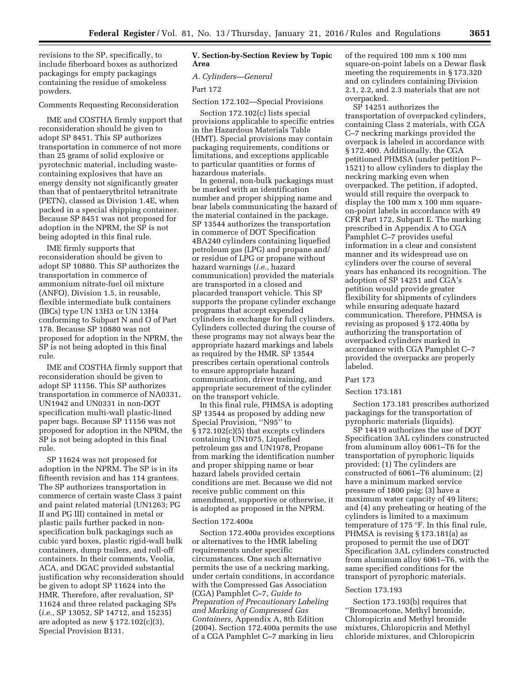revisions to the SP, specifically, to include fiberboard boxes as authorized packagings for empty packagings containing the residue of smokeless powders.

#### Comments Requesting Reconsideration

IME and COSTHA firmly support that reconsideration should be given to adopt SP 8451. This SP authorizes transportation in commerce of not more than 25 grams of solid explosive or pyrotechnic material, including wastecontaining explosives that have an energy density not significantly greater than that of pentaerythritol tetranitrate (PETN), classed as Division 1.4E, when packed in a special shipping container. Because SP 8451 was not proposed for adoption in the NPRM, the SP is not being adopted in this final rule.

IME firmly supports that reconsideration should be given to adopt SP 10880. This SP authorizes the transportation in commerce of ammonium nitrate-fuel oil mixture (ANFO), Division 1.5, in reusable, flexible intermediate bulk containers (IBCs) type UN 13H3 or UN 13H4 conforming to Subpart N and O of Part 178. Because SP 10880 was not proposed for adoption in the NPRM, the SP is not being adopted in this final rule.

IME and COSTHA firmly support that reconsideration should be given to adopt SP 11156. This SP authorizes transportation in commerce of NA0331, UN1942 and UN0331 in non-DOT specification multi-wall plastic-lined paper bags. Because SP 11156 was not proposed for adoption in the NPRM, the SP is not being adopted in this final rule.

SP 11624 was not proposed for adoption in the NPRM. The SP is in its fifteenth revision and has 114 grantees. The SP authorizes transportation in commerce of certain waste Class 3 paint and paint related material (UN1263; PG II and PG III) contained in metal or plastic pails further packed in nonspecification bulk packagings such as cubic yard boxes, plastic rigid-wall bulk containers, dump trailers, and roll-off containers. In their comments, Veolia, ACA, and DGAC provided substantial justification why reconsideration should be given to adopt SP 11624 into the HMR. Therefore, after revaluation, SP 11624 and three related packaging SPs (*i.e.,* SP 13052, SP 14712, and 15235) are adopted as new  $\S 172.102(c)(3)$ , Special Provision B131.

#### **V. Section-by-Section Review by Topic Area**

#### *A. Cylinders—General*

Part 172

Section 172.102—Special Provisions

Section 172.102(c) lists special provisions applicable to specific entries in the Hazardous Materials Table (HMT). Special provisions may contain packaging requirements, conditions or limitations, and exceptions applicable to particular quantities or forms of hazardous materials.

In general, non-bulk packagings must be marked with an identification number and proper shipping name and bear labels communicating the hazard of the material contained in the package. SP 13544 authorizes the transportation in commerce of DOT Specification 4BA240 cylinders containing liquefied petroleum gas (LPG) and propane and/ or residue of LPG or propane without hazard warnings (*i.e.,* hazard communication) provided the materials are transported in a closed and placarded transport vehicle. This SP supports the propane cylinder exchange programs that accept expended cylinders in exchange for full cylinders. Cylinders collected during the course of these programs may not always bear the appropriate hazard markings and labels as required by the HMR. SP 13544 prescribes certain operational controls to ensure appropriate hazard communication, driver training, and appropriate securement of the cylinder on the transport vehicle.

In this final rule, PHMSA is adopting SP 13544 as proposed by adding new Special Provision, ''N95'' to § 172.102(c)(5) that excepts cylinders containing UN1075, Liquefied petroleum gas and UN1978, Propane from marking the identification number and proper shipping name or bear hazard labels provided certain conditions are met. Because we did not receive public comment on this amendment, supportive or otherwise, it is adopted as proposed in the NPRM.

#### Section 172.400a

Section 172.400a provides exceptions or alternatives to the HMR labeling requirements under specific circumstances. One such alternative permits the use of a neckring marking, under certain conditions, in accordance with the Compressed Gas Association (CGA) Pamphlet C–7, *Guide to Preparation of Precautionary Labeling and Marking of Compressed Gas Containers,* Appendix A, 8th Edition (2004). Section 172.400a permits the use of a CGA Pamphlet C–7 marking in lieu

of the required 100 mm x 100 mm square-on-point labels on a Dewar flask meeting the requirements in § 173.320 and on cylinders containing Division 2.1, 2.2, and 2.3 materials that are not overpacked.

SP 14251 authorizes the transportation of overpacked cylinders, containing Class 2 materials, with CGA C–7 neckring markings provided the overpack is labeled in accordance with § 172.400. Additionally, the CGA petitioned PHMSA (under petition P– 1521) to allow cylinders to display the neckring marking even when overpacked. The petition, if adopted, would still require the overpack to display the 100 mm x 100 mm squareon-point labels in accordance with 49 CFR Part 172, Subpart E. The marking prescribed in Appendix A to CGA Pamphlet C–7 provides useful information in a clear and consistent manner and its widespread use on cylinders over the course of several years has enhanced its recognition. The adoption of SP 14251 and CGA's petition would provide greater flexibility for shipments of cylinders while ensuring adequate hazard communication. Therefore, PHMSA is revising as proposed § 172.400a by authorizing the transportation of overpacked cylinders marked in accordance with CGA Pamphlet C–7 provided the overpacks are properly labeled.

#### Part 173

#### Section 173.181

Section 173.181 prescribes authorized packagings for the transportation of pyrophoric materials (liquids).

SP 14419 authorizes the use of DOT Specification 3AL cylinders constructed from aluminum alloy 6061–T6 for the transportation of pyrophoric liquids provided: (1) The cylinders are constructed of 6061–T6 aluminum; (2) have a minimum marked service pressure of 1800 psig; (3) have a maximum water capacity of 49 liters; and (4) any preheating or heating of the cylinders is limited to a maximum temperature of 175 °F. In this final rule, PHMSA is revising § 173.181(a) as proposed to permit the use of DOT Specification 3AL cylinders constructed from aluminum alloy 6061–T6, with the same specified conditions for the transport of pyrophoric materials.

#### Section 173.193

Section 173.193(b) requires that ''Bromoacetone, Methyl bromide, Chloropicrin and Methyl bromide mixtures, Chloropicrin and Methyl chloride mixtures, and Chloropicrin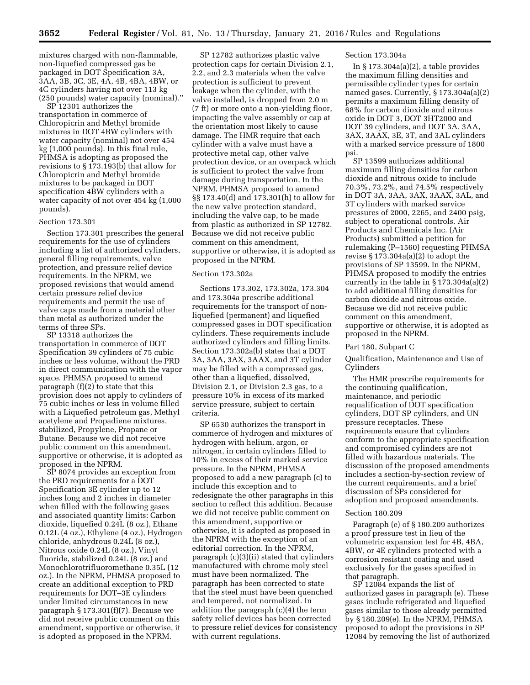mixtures charged with non-flammable, non-liquefied compressed gas be packaged in DOT Specification 3A, 3AA, 3B, 3C, 3E, 4A, 4B, 4BA, 4BW, or 4C cylinders having not over 113 kg (250 pounds) water capacity (nominal).''

SP 12301 authorizes the transportation in commerce of Chloropicrin and Methyl bromide mixtures in DOT 4BW cylinders with water capacity (nominal) not over 454 kg (1,000 pounds). In this final rule, PHMSA is adopting as proposed the revisions to § 173.193(b) that allow for Chloropicrin and Methyl bromide mixtures to be packaged in DOT specification 4BW cylinders with a water capacity of not over 454 kg (1,000 pounds).

#### Section 173.301

Section 173.301 prescribes the general requirements for the use of cylinders including a list of authorized cylinders, general filling requirements, valve protection, and pressure relief device requirements. In the NPRM, we proposed revisions that would amend certain pressure relief device requirements and permit the use of valve caps made from a material other than metal as authorized under the terms of three SPs.

SP 13318 authorizes the transportation in commerce of DOT Specification 39 cylinders of 75 cubic inches or less volume, without the PRD in direct communication with the vapor space. PHMSA proposed to amend paragraph (f)(2) to state that this provision does not apply to cylinders of 75 cubic inches or less in volume filled with a Liquefied petroleum gas, Methyl acetylene and Propadiene mixtures, stabilized, Propylene, Propane or Butane. Because we did not receive public comment on this amendment, supportive or otherwise, it is adopted as proposed in the NPRM.

SP 8074 provides an exception from the PRD requirements for a DOT Specification 3E cylinder up to 12 inches long and 2 inches in diameter when filled with the following gases and associated quantity limits: Carbon dioxide, liquefied 0.24L (8 oz.), Ethane 0.12L (4 oz.), Ethylene (4 oz.), Hydrogen chloride, anhydrous 0.24L (8 oz.), Nitrous oxide 0.24L (8 oz.), Vinyl fluoride, stabilized 0.24L (8 oz.) and Monochlorotrifluoromethane 0.35L (12 oz.). In the NPRM, PHMSA proposed to create an additional exception to PRD requirements for DOT–3E cylinders under limited circumstances in new paragraph § 173.301(f)(7). Because we did not receive public comment on this amendment, supportive or otherwise, it is adopted as proposed in the NPRM.

SP 12782 authorizes plastic valve protection caps for certain Division 2.1, 2.2, and 2.3 materials when the valve protection is sufficient to prevent leakage when the cylinder, with the valve installed, is dropped from 2.0 m (7 ft) or more onto a non-yielding floor, impacting the valve assembly or cap at the orientation most likely to cause damage. The HMR require that each cylinder with a valve must have a protective metal cap, other valve protection device, or an overpack which is sufficient to protect the valve from damage during transportation. In the NPRM, PHMSA proposed to amend §§ 173.40(d) and 173.301(h) to allow for the new valve protection standard, including the valve cap, to be made from plastic as authorized in SP 12782. Because we did not receive public comment on this amendment, supportive or otherwise, it is adopted as proposed in the NPRM.

#### Section 173.302a

Sections 173.302, 173.302a, 173.304 and 173.304a prescribe additional requirements for the transport of nonliquefied (permanent) and liquefied compressed gases in DOT specification cylinders. These requirements include authorized cylinders and filling limits. Section 173.302a(b) states that a DOT 3A, 3AA, 3AX, 3AAX, and 3T cylinder may be filled with a compressed gas, other than a liquefied, dissolved, Division 2.1, or Division 2.3 gas, to a pressure 10% in excess of its marked service pressure, subject to certain criteria.

SP 6530 authorizes the transport in commerce of hydrogen and mixtures of hydrogen with helium, argon, or nitrogen, in certain cylinders filled to 10% in excess of their marked service pressure. In the NPRM, PHMSA proposed to add a new paragraph (c) to include this exception and to redesignate the other paragraphs in this section to reflect this addition. Because we did not receive public comment on this amendment, supportive or otherwise, it is adopted as proposed in the NPRM with the exception of an editorial correction. In the NPRM, paragraph (c)(3)(ii) stated that cylinders manufactured with chrome moly steel must have been normalized. The paragraph has been corrected to state that the steel must have been quenched and tempered, not normalized. In addition the paragraph (c)(4) the term safety relief devices has been corrected to pressure relief devices for consistency with current regulations.

#### Section 173.304a

In § 173.304a(a)(2), a table provides the maximum filling densities and permissible cylinder types for certain named gases. Currently, § 173.304a(a)(2) permits a maximum filling density of 68% for carbon dioxide and nitrous oxide in DOT 3, DOT 3HT2000 and DOT 39 cylinders, and DOT 3A, 3AA, 3AX, 3AAX, 3E, 3T, and 3AL cylinders with a marked service pressure of 1800 psi.

SP 13599 authorizes additional maximum filling densities for carbon dioxide and nitrous oxide to include 70.3%, 73.2%, and 74.5% respectively in DOT 3A, 3AA, 3AX, 3AAX, 3AL, and 3T cylinders with marked service pressures of 2000, 2265, and 2400 psig, subject to operational controls. Air Products and Chemicals Inc. (Air Products) submitted a petition for rulemaking (P–1560) requesting PHMSA revise  $\S 173.304a(a)(2)$  to adopt the provisions of SP 13599. In the NPRM, PHMSA proposed to modify the entries currently in the table in § 173.304a(a)(2) to add additional filling densities for carbon dioxide and nitrous oxide. Because we did not receive public comment on this amendment, supportive or otherwise, it is adopted as proposed in the NPRM.

#### Part 180, Subpart C

Qualification, Maintenance and Use of Cylinders

The HMR prescribe requirements for the continuing qualification, maintenance, and periodic requalification of DOT specification cylinders, DOT SP cylinders, and UN pressure receptacles. These requirements ensure that cylinders conform to the appropriate specification and compromised cylinders are not filled with hazardous materials. The discussion of the proposed amendments includes a section-by-section review of the current requirements, and a brief discussion of SPs considered for adoption and proposed amendments.

#### Section 180.209

Paragraph (e) of § 180.209 authorizes a proof pressure test in lieu of the volumetric expansion test for 4B, 4BA, 4BW, or 4E cylinders protected with a corrosion resistant coating and used exclusively for the gases specified in that paragraph.

SP 12084 expands the list of authorized gases in paragraph (e). These gases include refrigerated and liquefied gases similar to those already permitted by § 180.209(e). In the NPRM, PHMSA proposed to adopt the provisions in SP 12084 by removing the list of authorized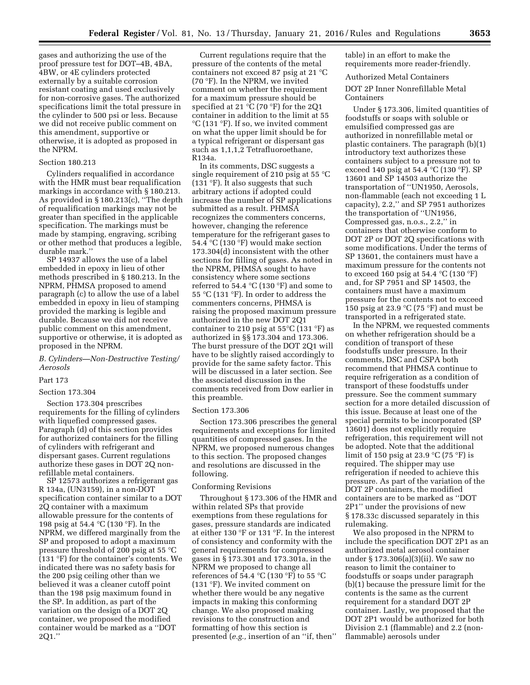gases and authorizing the use of the proof pressure test for DOT–4B, 4BA, 4BW, or 4E cylinders protected externally by a suitable corrosion resistant coating and used exclusively for non-corrosive gases. The authorized specifications limit the total pressure in the cylinder to 500 psi or less. Because we did not receive public comment on this amendment, supportive or otherwise, it is adopted as proposed in the NPRM.

#### Section 180.213

Cylinders requalified in accordance with the HMR must bear requalification markings in accordance with § 180.213. As provided in § 180.213(c), ''The depth of requalification markings may not be greater than specified in the applicable specification. The markings must be made by stamping, engraving, scribing or other method that produces a legible, durable mark.''

SP 14937 allows the use of a label embedded in epoxy in lieu of other methods prescribed in § 180.213. In the NPRM, PHMSA proposed to amend paragraph (c) to allow the use of a label embedded in epoxy in lieu of stamping provided the marking is legible and durable. Because we did not receive public comment on this amendment, supportive or otherwise, it is adopted as proposed in the NPRM.

#### *B. Cylinders—Non-Destructive Testing/ Aerosols*

#### Part 173

#### Section 173.304

Section 173.304 prescribes requirements for the filling of cylinders with liquefied compressed gases. Paragraph (d) of this section provides for authorized containers for the filling of cylinders with refrigerant and dispersant gases. Current regulations authorize these gases in DOT 2Q nonrefillable metal containers.

SP 12573 authorizes a refrigerant gas R 134a, (UN3159), in a non-DOT specification container similar to a DOT 2Q container with a maximum allowable pressure for the contents of 198 psig at 54.4 °C (130 °F). In the NPRM, we differed marginally from the SP and proposed to adopt a maximum pressure threshold of 200 psig at 55 °C (131 °F) for the container's contents. We indicated there was no safety basis for the 200 psig ceiling other than we believed it was a cleaner cutoff point than the 198 psig maximum found in the SP. In addition, as part of the variation on the design of a DOT 2Q container, we proposed the modified container would be marked as a ''DOT 2Q1.''

Current regulations require that the pressure of the contents of the metal containers not exceed 87 psig at 21 °C (70 °F). In the NPRM, we invited comment on whether the requirement for a maximum pressure should be specified at 21 °C (70 °F) for the 2Q1 container in addition to the limit at 55 °C (131 °F). If so, we invited comment on what the upper limit should be for a typical refrigerant or dispersant gas such as 1,1,1,2 Tetrafluoroethane, R134a.

In its comments, DSC suggests a single requirement of 210 psig at 55 °C (131 °F). It also suggests that such arbitrary actions if adopted could increase the number of SP applications submitted as a result. PHMSA recognizes the commenters concerns, however, changing the reference temperature for the refrigerant gases to 54.4 °C (130 °F) would make section 173.304(d) inconsistent with the other sections for filling of gases. As noted in the NPRM, PHMSA sought to have consistency where some sections referred to 54.4 °C (130 °F) and some to 55 °C (131 °F). In order to address the commenters concerns, PHMSA is raising the proposed maximum pressure authorized in the new DOT 2Q1 container to 210 psig at  $55^{\circ}$ C (131  $^{\circ}$ F) as authorized in §§ 173.304 and 173.306. The burst pressure of the DOT 2Q1 will have to be slightly raised accordingly to provide for the same safety factor. This will be discussed in a later section. See the associated discussion in the comments received from Dow earlier in this preamble.

#### Section 173.306

Section 173.306 prescribes the general requirements and exceptions for limited quantities of compressed gases. In the NPRM, we proposed numerous changes to this section. The proposed changes and resolutions are discussed in the following.

#### Conforming Revisions

Throughout § 173.306 of the HMR and within related SPs that provide exemptions from these regulations for gases, pressure standards are indicated at either 130 °F or 131 °F. In the interest of consistency and conformity with the general requirements for compressed gases in § 173.301 and 173.301a, in the NPRM we proposed to change all references of 54.4 °C (130 °F) to 55 °C (131 °F). We invited comment on whether there would be any negative impacts in making this conforming change. We also proposed making revisions to the construction and formatting of how this section is presented (*e.g.,* insertion of an ''if, then''

table) in an effort to make the requirements more reader-friendly.

#### Authorized Metal Containers

DOT 2P Inner Nonrefillable Metal Containers

Under § 173.306, limited quantities of foodstuffs or soaps with soluble or emulsified compressed gas are authorized in nonrefillable metal or plastic containers. The paragraph (b)(1) introductory text authorizes these containers subject to a pressure not to exceed 140 psig at 54.4 °C (130 °F). SP 13601 and SP 14503 authorize the transportation of ''UN1950, Aerosols, non-flammable (each not exceeding 1 L capacity), 2.2,'' and SP 7951 authorizes the transportation of ''UN1956, Compressed gas, n.o.s., 2.2,'' in containers that otherwise conform to DOT 2P or DOT 2Q specifications with some modifications. Under the terms of SP 13601, the containers must have a maximum pressure for the contents not to exceed 160 psig at 54.4 °C (130 °F) and, for SP 7951 and SP 14503, the containers must have a maximum pressure for the contents not to exceed 150 psig at 23.9 °C (75 °F) and must be transported in a refrigerated state.

In the NPRM, we requested comments on whether refrigeration should be a condition of transport of these foodstuffs under pressure. In their comments, DSC and CSPA both recommend that PHMSA continue to require refrigeration as a condition of transport of these foodstuffs under pressure. See the comment summary section for a more detailed discussion of this issue. Because at least one of the special permits to be incorporated (SP 13601) does not explicitly require refrigeration, this requirement will not be adopted. Note that the additional limit of 150 psig at 23.9  $\mathrm{C}(75 \mathrm{~}^{\circ}\mathrm{F})$  is required. The shipper may use refrigeration if needed to achieve this pressure. As part of the variation of the DOT 2P containers, the modified containers are to be marked as ''DOT 2P1'' under the provisions of new § 178.33c discussed separately in this rulemaking.

We also proposed in the NPRM to include the specification DOT 2P1 as an authorized metal aerosol container under § 173.306(a)(3)(ii). We saw no reason to limit the container to foodstuffs or soaps under paragraph (b)(1) because the pressure limit for the contents is the same as the current requirement for a standard DOT 2P container. Lastly, we proposed that the DOT 2P1 would be authorized for both Division 2.1 (flammable) and 2.2 (nonflammable) aerosols under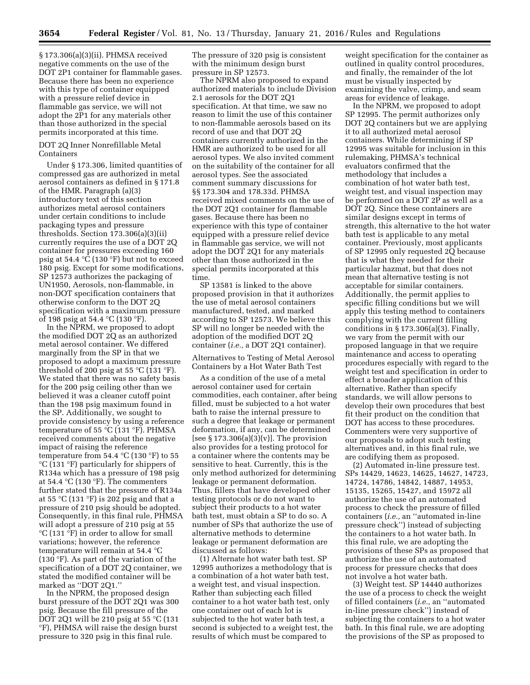§ 173.306(a)(3)(ii). PHMSA received negative comments on the use of the DOT 2P1 container for flammable gases. Because there has been no experience with this type of container equipped with a pressure relief device in flammable gas service, we will not adopt the 2P1 for any materials other than those authorized in the special permits incorporated at this time.

#### DOT 2Q Inner Nonrefillable Metal Containers

Under § 173.306, limited quantities of compressed gas are authorized in metal aerosol containers as defined in § 171.8 of the HMR. Paragraph (a)(3) introductory text of this section authorizes metal aerosol containers under certain conditions to include packaging types and pressure thresholds. Section 173.306(a)(3)(ii) currently requires the use of a DOT 2Q container for pressures exceeding 160 psig at 54.4 °C (130 °F) but not to exceed 180 psig. Except for some modifications, SP 12573 authorizes the packaging of UN1950, Aerosols, non-flammable, in non-DOT specification containers that otherwise conform to the DOT 2Q specification with a maximum pressure of 198 psig at 54.4 °C (130 °F).

In the NPRM, we proposed to adopt the modified DOT 2Q as an authorized metal aerosol container. We differed marginally from the SP in that we proposed to adopt a maximum pressure threshold of 200 psig at 55 °C (131 °F). We stated that there was no safety basis for the 200 psig ceiling other than we believed it was a cleaner cutoff point than the 198 psig maximum found in the SP. Additionally, we sought to provide consistency by using a reference temperature of 55 °C (131 °F). PHMSA received comments about the negative impact of raising the reference temperature from  $54.4 \text{ }^{\circ}C$  (130  $\text{ }^{\circ}F$ ) to 55 °C (131 °F) particularly for shippers of R134a which has a pressure of 198 psig at 54.4 °C (130 °F). The commenters further stated that the pressure of R134a at 55 °C (131 °F) is 202 psig and that a pressure of 210 psig should be adopted. Consequently, in this final rule, PHMSA will adopt a pressure of 210 psig at 55 °C (131 °F) in order to allow for small variations; however, the reference temperature will remain at 54.4 °C (130 °F). As part of the variation of the specification of a DOT 2Q container, we stated the modified container will be marked as ''DOT 2Q1.''

In the NPRM, the proposed design burst pressure of the DOT 2Q1 was 300 psig. Because the fill pressure of the DOT 2Q1 will be 210 psig at 55 °C (131 °F), PHMSA will raise the design burst pressure to 320 psig in this final rule.

The pressure of 320 psig is consistent with the minimum design burst pressure in SP 12573.

The NPRM also proposed to expand authorized materials to include Division 2.1 aerosols for the DOT 2Q1 specification. At that time, we saw no reason to limit the use of this container to non-flammable aerosols based on its record of use and that DOT 2Q containers currently authorized in the HMR are authorized to be used for all aerosol types. We also invited comment on the suitability of the container for all aerosol types. See the associated comment summary discussions for §§ 173.304 and 178.33d. PHMSA received mixed comments on the use of the DOT 2Q1 container for flammable gases. Because there has been no experience with this type of container equipped with a pressure relief device in flammable gas service, we will not adopt the DOT 2Q1 for any materials other than those authorized in the special permits incorporated at this time

SP 13581 is linked to the above proposed provision in that it authorizes the use of metal aerosol containers manufactured, tested, and marked according to SP 12573. We believe this SP will no longer be needed with the adoption of the modified DOT 2Q container (*i.e.,* a DOT 2Q1 container).

#### Alternatives to Testing of Metal Aerosol Containers by a Hot Water Bath Test

As a condition of the use of a metal aerosol container used for certain commodities, each container, after being filled, must be subjected to a hot water bath to raise the internal pressure to such a degree that leakage or permanent deformation, if any, can be determined [see  $\S 173.306(a)(3)(v)$ ]. The provision also provides for a testing protocol for a container where the contents may be sensitive to heat. Currently, this is the only method authorized for determining leakage or permanent deformation. Thus, fillers that have developed other testing protocols or do not want to subject their products to a hot water bath test, must obtain a SP to do so. A number of SPs that authorize the use of alternative methods to determine leakage or permanent deformation are discussed as follows:

(1) Alternate hot water bath test. SP 12995 authorizes a methodology that is a combination of a hot water bath test, a weight test, and visual inspection. Rather than subjecting each filled container to a hot water bath test, only one container out of each lot is subjected to the hot water bath test, a second is subjected to a weight test, the results of which must be compared to

weight specification for the container as outlined in quality control procedures, and finally, the remainder of the lot must be visually inspected by examining the valve, crimp, and seam areas for evidence of leakage.

In the NPRM, we proposed to adopt SP 12995. The permit authorizes only DOT 2Q containers but we are applying it to all authorized metal aerosol containers. While determining if SP 12995 was suitable for inclusion in this rulemaking, PHMSA's technical evaluators confirmed that the methodology that includes a combination of hot water bath test, weight test, and visual inspection may be performed on a DOT 2P as well as a DOT 2Q. Since these containers are similar designs except in terms of strength, this alternative to the hot water bath test is applicable to any metal container. Previously, most applicants of SP 12995 only requested 2Q because that is what they needed for their particular hazmat, but that does not mean that alternative testing is not acceptable for similar containers. Additionally, the permit applies to specific filling conditions but we will apply this testing method to containers complying with the current filling conditions in § 173.306(a)(3). Finally, we vary from the permit with our proposed language in that we require maintenance and access to operating procedures especially with regard to the weight test and specification in order to effect a broader application of this alternative. Rather than specify standards, we will allow persons to develop their own procedures that best fit their product on the condition that DOT has access to these procedures. Commenters were very supportive of our proposals to adopt such testing alternatives and, in this final rule, we are codifying them as proposed.

(2) Automated in-line pressure test. SPs 14429, 14623, 14625, 14627, 14723, 14724, 14786, 14842, 14887, 14953, 15135, 15265, 15427, and 15972 all authorize the use of an automated process to check the pressure of filled containers (*i.e.,* an ''automated in-line pressure check'') instead of subjecting the containers to a hot water bath. In this final rule, we are adopting the provisions of these SPs as proposed that authorize the use of an automated process for pressure checks that does not involve a hot water bath.

(3) Weight test. SP 14440 authorizes the use of a process to check the weight of filled containers (*i.e.,* an ''automated in-line pressure check'') instead of subjecting the containers to a hot water bath. In this final rule, we are adopting the provisions of the SP as proposed to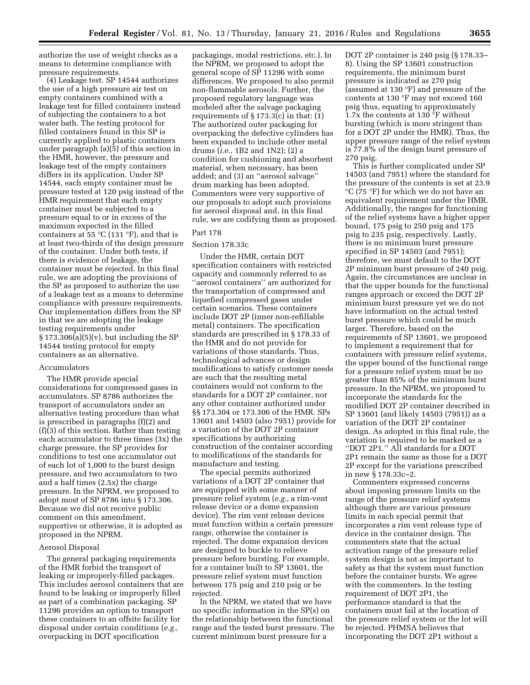authorize the use of weight checks as a means to determine compliance with pressure requirements.

(4) Leakage test. SP 14544 authorizes the use of a high pressure air test on empty containers combined with a leakage test for filled containers instead of subjecting the containers to a hot water bath. The testing protocol for filled containers found in this SP is currently applied to plastic containers under paragraph (a)(5) of this section in the HMR, however, the pressure and leakage test of the empty containers differs in its application. Under SP 14544, each empty container must be pressure tested at 120 psig instead of the HMR requirement that each empty container must be subjected to a pressure equal to or in excess of the maximum expected in the filled containers at 55  $\mathrm{C}$  (131  $\mathrm{F}$ ), and that is at least two-thirds of the design pressure of the container. Under both tests, if there is evidence of leakage, the container must be rejected. In this final rule, we are adopting the provisions of the SP as proposed to authorize the use of a leakage test as a means to determine compliance with pressure requirements. Our implementation differs from the SP in that we are adopting the leakage testing requirements under  $§ 173.306(a)(5)(v)$ , but including the SP 14544 testing protocol for empty containers as an alternative.

#### Accumulators

The HMR provide special considerations for compressed gases in accumulators. SP 8786 authorizes the transport of accumulators under an alternative testing procedure than what is prescribed in paragraphs (f)(2) and (f)(3) of this section. Rather than testing each accumulator to three times (3x) the charge pressure, the SP provides for conditions to test one accumulator out of each lot of 1,000 to the burst design pressure, and two accumulators to two and a half times (2.5x) the charge pressure. In the NPRM, we proposed to adopt most of SP 8786 into § 173.306. Because we did not receive public comment on this amendment, supportive or otherwise, it is adopted as proposed in the NPRM.

#### Aerosol Disposal

The general packaging requirements of the HMR forbid the transport of leaking or improperly-filled packages. This includes aerosol containers that are found to be leaking or improperly filled as part of a combination packaging. SP 11296 provides an option to transport these containers to an offsite facility for disposal under certain conditions (*e.g.,*  overpacking in DOT specification

packagings, modal restrictions, etc.). In the NPRM, we proposed to adopt the general scope of SP 11296 with some differences. We proposed to also permit non-flammable aerosols. Further, the proposed regulatory language was modeled after the salvage packaging requirements of  $\S 173.3(c)$  in that: (1) The authorized outer packaging for overpacking the defective cylinders has been expanded to include other metal drums (*i.e.,* 1B2 and 1N2); (2) a condition for cushioning and absorbent material, when necessary, has been added; and (3) an ''aerosol salvage'' drum marking has been adopted. Commenters were very supportive of our proposals to adopt such provisions for aerosol disposal and, in this final rule, we are codifying them as proposed.

#### Part 178

#### Section 178.33c

Under the HMR, certain DOT specification containers with restricted capacity and commonly referred to as ''aerosol containers'' are authorized for the transportation of compressed and liquefied compressed gases under certain scenarios. These containers include DOT 2P (inner non-refillable metal) containers. The specification standards are prescribed in § 178.33 of the HMR and do not provide for variations of those standards. Thus, technological advances or design modifications to satisfy customer needs are such that the resulting metal containers would not conform to the standards for a DOT 2P container, nor any other container authorized under §§ 173.304 or 173.306 of the HMR. SPs 13601 and 14503 (also 7951) provide for a variation of the DOT 2P container specifications by authorizing construction of the container according to modifications of the standards for manufacture and testing.

The special permits authorized variations of a DOT 2P container that are equipped with some manner of pressure relief system (*e.g.,* a rim-vent release device or a dome expansion device). The rim vent release devices must function within a certain pressure range, otherwise the container is rejected. The dome expansion devices are designed to buckle to relieve pressure before bursting. For example, for a container built to SP 13601, the pressure relief system must function between 175 psig and 210 psig or be rejected.

In the NPRM, we stated that we have no specific information in the SP(s) on the relationship between the functional range and the tested burst pressure. The current minimum burst pressure for a

DOT 2P container is 240 psig (§ 178.33– 8). Using the SP 13601 construction requirements, the minimum burst pressure is indicated as 270 psig (assumed at 130 °F) and pressure of the contents at 130 °F may not exceed 160 psig thus, equating to approximately 1.7x the contents at 130 °F without bursting (which is more stringent than for a DOT 2P under the HMR). Thus, the upper pressure range of the relief system is 77.8% of the design burst pressure of 270 psig.

This is further complicated under SP 14503 (and 7951) where the standard for the pressure of the contents is set at 23.9 °C (75 °F) for which we do not have an equivalent requirement under the HMR. Additionally, the ranges for functioning of the relief systems have a higher upper bound, 175 psig to 250 psig and 175 psig to 235 psig, respectively. Lastly, there is no minimum burst pressure specified in SP 14503 (and 7951); therefore, we must default to the DOT 2P minimum burst pressure of 240 psig. Again, the circumstances are unclear in that the upper bounds for the functional ranges approach or exceed the DOT 2P minimum burst pressure yet we do not have information on the actual tested burst pressure which could be much larger. Therefore, based on the requirements of SP 13601, we proposed to implement a requirement that for containers with pressure relief systems, the upper bound of the functional range for a pressure relief system must be no greater than 85% of the minimum burst pressure. In the NPRM, we proposed to incorporate the standards for the modified DOT 2P container described in SP 13601 (and likely 14503 (7951)) as a variation of the DOT 2P container design. As adopted in this final rule, the variation is required to be marked as a ''DOT 2P1.'' All standards for a DOT 2P1 remain the same as those for a DOT 2P except for the variations prescribed in new § 178.33c–2.

Commenters expressed concerns about imposing pressure limits on the range of the pressure relief systems although there are various pressure limits in each special permit that incorporates a rim vent release type of device in the container design. The commenters state that the actual activation range of the pressure relief system design is not as important to safety as that the system must function before the container bursts. We agree with the commenters. In the testing requirement of DOT 2P1, the performance standard is that the containers must fail at the location of the pressure relief system or the lot will be rejected. PHMSA believes that incorporating the DOT 2P1 without a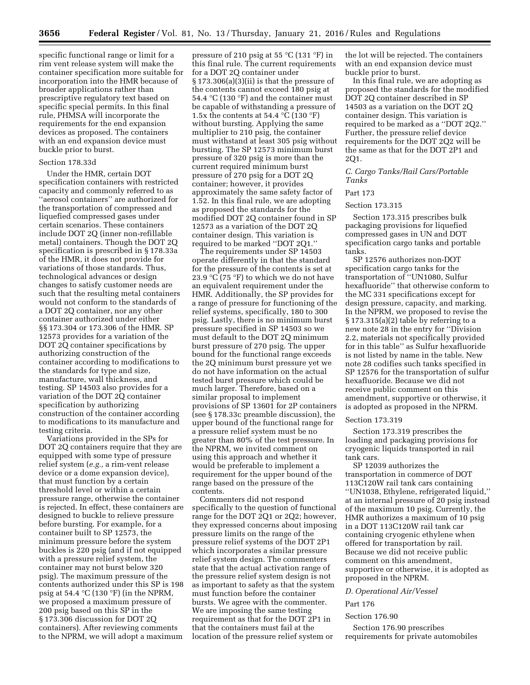specific functional range or limit for a rim vent release system will make the container specification more suitable for incorporation into the HMR because of broader applications rather than prescriptive regulatory text based on specific special permits. In this final rule, PHMSA will incorporate the requirements for the end expansion devices as proposed. The containers with an end expansion device must buckle prior to burst.

#### Section 178.33d

Under the HMR, certain DOT specification containers with restricted capacity and commonly referred to as ''aerosol containers'' are authorized for the transportation of compressed and liquefied compressed gases under certain scenarios. These containers include DOT 2Q (inner non-refillable metal) containers. Though the DOT 2Q specification is prescribed in § 178.33a of the HMR, it does not provide for variations of those standards. Thus, technological advances or design changes to satisfy customer needs are such that the resulting metal containers would not conform to the standards of a DOT 2Q container, nor any other container authorized under either §§ 173.304 or 173.306 of the HMR. SP 12573 provides for a variation of the DOT 2Q container specifications by authorizing construction of the container according to modifications to the standards for type and size, manufacture, wall thickness, and testing. SP 14503 also provides for a variation of the DOT 2Q container specification by authorizing construction of the container according to modifications to its manufacture and testing criteria.

Variations provided in the SPs for DOT 2Q containers require that they are equipped with some type of pressure relief system (*e.g.,* a rim-vent release device or a dome expansion device), that must function by a certain threshold level or within a certain pressure range, otherwise the container is rejected. In effect, these containers are designed to buckle to relieve pressure before bursting. For example, for a container built to SP 12573, the minimum pressure before the system buckles is 220 psig (and if not equipped with a pressure relief system, the container may not burst below 320 psig). The maximum pressure of the contents authorized under this SP is 198 psig at 54.4  $\rm{°C}$  (130  $\rm{°F}$ ) (in the NPRM, we proposed a maximum pressure of 200 psig based on this SP in the § 173.306 discussion for DOT 2Q containers). After reviewing comments to the NPRM, we will adopt a maximum

pressure of 210 psig at 55 °C (131 °F) in this final rule. The current requirements for a DOT 2Q container under § 173.306(a)(3)(ii) is that the pressure of the contents cannot exceed 180 psig at 54.4 °C (130 °F) and the container must be capable of withstanding a pressure of 1.5x the contents at 54.4  $\mathrm{C}(130 \mathrm{~}^{\circ}\mathrm{F})$ without bursting. Applying the same multiplier to 210 psig, the container must withstand at least 305 psig without bursting. The SP 12573 minimum burst pressure of 320 psig is more than the current required minimum burst pressure of 270 psig for a DOT 2Q container; however, it provides approximately the same safety factor of 1.52. In this final rule, we are adopting as proposed the standards for the modified DOT 2Q container found in SP 12573 as a variation of the DOT 2Q container design. This variation is required to be marked ''DOT 2Q1.''

The requirements under SP 14503 operate differently in that the standard for the pressure of the contents is set at 23.9 °C (75 °F) to which we do not have an equivalent requirement under the HMR. Additionally, the SP provides for a range of pressure for functioning of the relief systems, specifically, 180 to 300 psig. Lastly, there is no minimum burst pressure specified in SP 14503 so we must default to the DOT 2Q minimum burst pressure of 270 psig. The upper bound for the functional range exceeds the 2Q minimum burst pressure yet we do not have information on the actual tested burst pressure which could be much larger. Therefore, based on a similar proposal to implement provisions of SP 13601 for 2P containers (see § 178.33c preamble discussion), the upper bound of the functional range for a pressure relief system must be no greater than 80% of the test pressure. In the NPRM, we invited comment on using this approach and whether it would be preferable to implement a requirement for the upper bound of the range based on the pressure of the contents.

Commenters did not respond specifically to the question of functional range for the DOT 2Q1 or 2Q2; however, they expressed concerns about imposing pressure limits on the range of the pressure relief systems of the DOT 2P1 which incorporates a similar pressure relief system design. The commenters state that the actual activation range of the pressure relief system design is not as important to safety as that the system must function before the container bursts. We agree with the commenter. We are imposing the same testing requirement as that for the DOT 2P1 in that the containers must fail at the location of the pressure relief system or

the lot will be rejected. The containers with an end expansion device must buckle prior to burst.

In this final rule, we are adopting as proposed the standards for the modified DOT 2Q container described in SP 14503 as a variation on the DOT 2Q container design. This variation is required to be marked as a ''DOT 2Q2.'' Further, the pressure relief device requirements for the DOT 2Q2 will be the same as that for the DOT 2P1 and 2Q1.

#### *C. Cargo Tanks/Rail Cars/Portable Tanks*

#### Part 173

#### Section 173.315

Section 173.315 prescribes bulk packaging provisions for liquefied compressed gases in UN and DOT specification cargo tanks and portable tanks.

SP 12576 authorizes non-DOT specification cargo tanks for the transportation of ''UN1080, Sulfur hexafluoride'' that otherwise conform to the MC 331 specifications except for design pressure, capacity, and marking. In the NPRM, we proposed to revise the § 173.315(a)(2) table by referring to a new note 28 in the entry for ''Division 2.2, materials not specifically provided for in this table'' as Sulfur hexafluoride is not listed by name in the table. New note 28 codifies such tanks specified in SP 12576 for the transportation of sulfur hexafluoride. Because we did not receive public comment on this amendment, supportive or otherwise, it is adopted as proposed in the NPRM.

#### Section 173.319

Section 173.319 prescribes the loading and packaging provisions for cryogenic liquids transported in rail tank cars.

SP 12039 authorizes the transportation in commerce of DOT 113C120W rail tank cars containing ''UN1038, Ethylene, refrigerated liquid,'' at an internal pressure of 20 psig instead of the maximum 10 psig. Currently, the HMR authorizes a maximum of 10 psig in a DOT 113C120W rail tank car containing cryogenic ethylene when offered for transportation by rail. Because we did not receive public comment on this amendment, supportive or otherwise, it is adopted as proposed in the NPRM.

#### *D. Operational Air/Vessel*

#### Part 176

#### Section 176.90

Section 176.90 prescribes requirements for private automobiles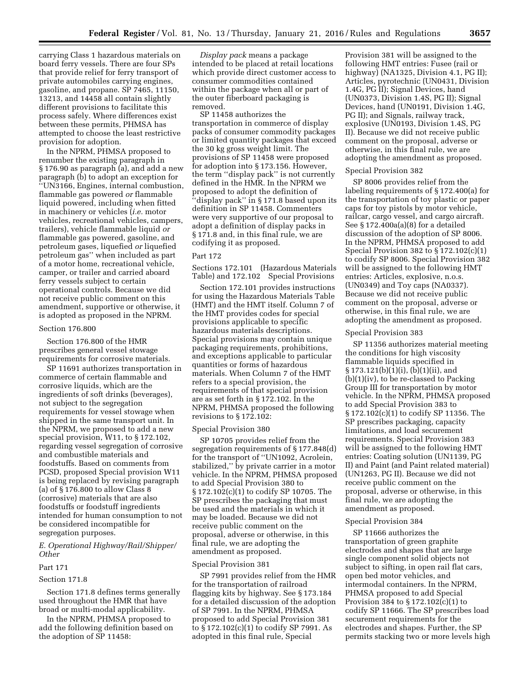carrying Class 1 hazardous materials on board ferry vessels. There are four SPs that provide relief for ferry transport of private automobiles carrying engines, gasoline, and propane. SP 7465, 11150, 13213, and 14458 all contain slightly different provisions to facilitate this process safely. Where differences exist between these permits, PHMSA has attempted to choose the least restrictive provision for adoption.

In the NPRM, PHMSA proposed to renumber the existing paragraph in § 176.90 as paragraph (a), and add a new paragraph (b) to adopt an exception for ''UN3166, Engines, internal combustion, flammable gas powered *or* flammable liquid powered, including when fitted in machinery or vehicles (*i.e.* motor vehicles, recreational vehicles, campers, trailers), vehicle flammable liquid *or*  flammable gas powered, gasoline, and petroleum gases, liquefied *or* liquefied petroleum gas'' when included as part of a motor home, recreational vehicle, camper, or trailer and carried aboard ferry vessels subject to certain operational controls. Because we did not receive public comment on this amendment, supportive or otherwise, it is adopted as proposed in the NPRM.

#### Section 176.800

Section 176.800 of the HMR prescribes general vessel stowage requirements for corrosive materials.

SP 11691 authorizes transportation in commerce of certain flammable and corrosive liquids, which are the ingredients of soft drinks (beverages), not subject to the segregation requirements for vessel stowage when shipped in the same transport unit. In the NPRM, we proposed to add a new special provision, W11, to § 172.102, regarding vessel segregation of corrosive and combustible materials and foodstuffs. Based on comments from PCSD, proposed Special provision W11 is being replaced by revising paragraph (a) of § 176.800 to allow Class 8 (corrosive) materials that are also foodstuffs or foodstuff ingredients intended for human consumption to not be considered incompatible for segregation purposes.

*E. Operational Highway/Rail/Shipper/ Other* 

#### Part 171

#### Section 171.8

Section 171.8 defines terms generally used throughout the HMR that have broad or multi-modal applicability.

In the NPRM, PHMSA proposed to add the following definition based on the adoption of SP 11458:

*Display pack* means a package intended to be placed at retail locations which provide direct customer access to consumer commodities contained within the package when all or part of the outer fiberboard packaging is removed.

SP 11458 authorizes the transportation in commerce of display packs of consumer commodity packages or limited quantity packages that exceed the 30 kg gross weight limit. The provisions of SP 11458 were proposed for adoption into § 173.156. However, the term ''display pack'' is not currently defined in the HMR. In the NPRM we proposed to adopt the definition of ''display pack'' in § 171.8 based upon its definition in SP 11458. Commenters were very supportive of our proposal to adopt a definition of display packs in § 171.8 and, in this final rule, we are codifying it as proposed.

#### Part 172

Sections 172.101 (Hazardous Materials Table) and 172.102 Special Provisions

Section 172.101 provides instructions for using the Hazardous Materials Table (HMT) and the HMT itself. Column 7 of the HMT provides codes for special provisions applicable to specific hazardous materials descriptions. Special provisions may contain unique packaging requirements, prohibitions, and exceptions applicable to particular quantities or forms of hazardous materials. When Column 7 of the HMT refers to a special provision, the requirements of that special provision are as set forth in § 172.102. In the NPRM, PHMSA proposed the following revisions to § 172.102:

#### Special Provision 380

SP 10705 provides relief from the segregation requirements of § 177.848(d) for the transport of ''UN1092, Acrolein, stabilized,'' by private carrier in a motor vehicle. In the NPRM, PHMSA proposed to add Special Provision 380 to § 172.102(c)(1) to codify SP 10705. The SP prescribes the packaging that must be used and the materials in which it may be loaded. Because we did not receive public comment on the proposal, adverse or otherwise, in this final rule, we are adopting the amendment as proposed.

#### Special Provision 381

SP 7991 provides relief from the HMR for the transportation of railroad flagging kits by highway. See § 173.184 for a detailed discussion of the adoption of SP 7991. In the NPRM, PHMSA proposed to add Special Provision 381 to § 172.102(c)(1) to codify SP 7991. As adopted in this final rule, Special

Provision 381 will be assigned to the following HMT entries: Fusee (rail or highway) (NA1325, Division 4.1, PG II); Articles, pyrotechnic (UN0431, Division 1.4G, PG II); Signal Devices, hand (UN0373, Division 1.4S, PG II); Signal Devices, hand (UN0191, Division 1.4G, PG II); and Signals, railway track, explosive (UN0193, Division 1.4S, PG II). Because we did not receive public comment on the proposal, adverse or otherwise, in this final rule, we are adopting the amendment as proposed.

#### Special Provision 382

SP 8006 provides relief from the labeling requirements of § 172.400(a) for the transportation of toy plastic or paper caps for toy pistols by motor vehicle, railcar, cargo vessel, and cargo aircraft. See § 172.400a(a)(8) for a detailed discussion of the adoption of SP 8006. In the NPRM, PHMSA proposed to add Special Provision 382 to § 172.102(c)(1) to codify SP 8006. Special Provision 382 will be assigned to the following HMT entries: Articles, explosive, n.o.s. (UN0349) and Toy caps (NA0337). Because we did not receive public comment on the proposal, adverse or otherwise, in this final rule, we are adopting the amendment as proposed.

#### Special Provision 383

SP 11356 authorizes material meeting the conditions for high viscosity flammable liquids specified in § 173.121(b)(1)(i), (b)(1)(ii), and (b)(1)(iv), to be re-classed to Packing Group III for transportation by motor vehicle. In the NPRM, PHMSA proposed to add Special Provision 383 to § 172.102(c)(1) to codify SP 11356. The SP prescribes packaging, capacity limitations, and load securement requirements. Special Provision 383 will be assigned to the following HMT entries: Coating solution (UN1139, PG II) and Paint (and Paint related material) (UN1263, PG II). Because we did not receive public comment on the proposal, adverse or otherwise, in this final rule, we are adopting the amendment as proposed.

#### Special Provision 384

SP 11666 authorizes the transportation of green graphite electrodes and shapes that are large single component solid objects not subject to sifting, in open rail flat cars, open bed motor vehicles, and intermodal containers. In the NPRM, PHMSA proposed to add Special Provision 384 to § 172.102(c)(1) to codify SP 11666. The SP prescribes load securement requirements for the electrodes and shapes. Further, the SP permits stacking two or more levels high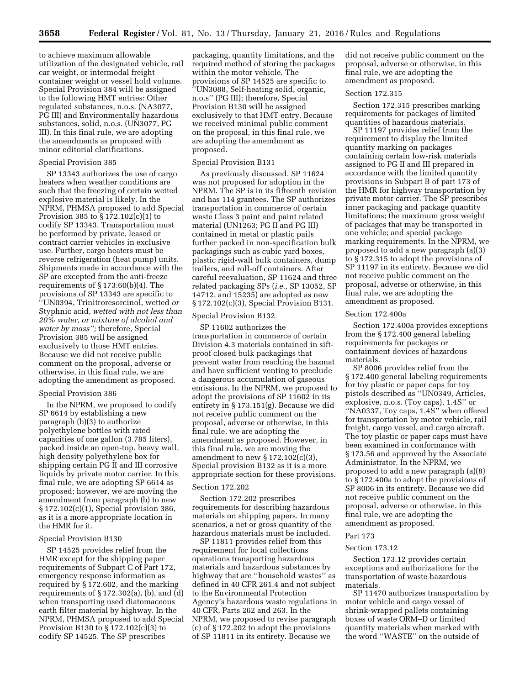to achieve maximum allowable utilization of the designated vehicle, rail car weight, or intermodal freight container weight or vessel hold volume. Special Provision 384 will be assigned to the following HMT entries: Other regulated substances, n.o.s. (NA3077, PG III) and Environmentally hazardous substances, solid, n.o.s. (UN3077, PG III). In this final rule, we are adopting the amendments as proposed with minor editorial clarifications.

#### Special Provision 385

SP 13343 authorizes the use of cargo heaters when weather conditions are such that the freezing of certain wetted explosive material is likely. In the NPRM, PHMSA proposed to add Special Provision 385 to § 172.102(c)(1) to codify SP 13343. Transportation must be performed by private, leased or contract carrier vehicles in exclusive use. Further, cargo heaters must be reverse refrigeration (heat pump) units. Shipments made in accordance with the SP are excepted from the anti-freeze requirements of § 173.60(b)(4). The provisions of SP 13343 are specific to ''UN0394, Trinitroresorcinol, wetted *or*  Styphnic acid, *wetted with not less than 20% water, or mixture of alcohol and water by mass'';* therefore, Special Provision 385 will be assigned exclusively to those HMT entries. Because we did not receive public comment on the proposal, adverse or otherwise, in this final rule, we are adopting the amendment as proposed.

#### Special Provision 386

In the NPRM, we proposed to codify SP 6614 by establishing a new paragraph (b)(3) to authorize polyethylene bottles with rated capacities of one gallon (3.785 liters), packed inside an open-top, heavy wall, high density polyethylene box for shipping certain PG II and III corrosive liquids by private motor carrier. In this final rule, we are adopting SP 6614 as proposed; however, we are moving the amendment from paragraph (b) to new § 172.102(c)(1), Special provision 386, as it is a more appropriate location in the HMR for it.

#### Special Provision B130

SP 14525 provides relief from the HMR except for the shipping paper requirements of Subpart C of Part 172, emergency response information as required by § 172.602, and the marking requirements of  $\S 172.302(a)$ , (b), and  $\overline{d}$ ) when transporting used diatomaceous earth filter material by highway. In the NPRM, PHMSA proposed to add Special Provision B130 to § 172.102(c)(3) to codify SP 14525. The SP prescribes

packaging, quantity limitations, and the required method of storing the packages within the motor vehicle. The provisions of SP 14525 are specific to ''UN3088, Self-heating solid, organic, n.o.s'' (PG III); therefore, Special Provision B130 will be assigned exclusively to that HMT entry. Because we received minimal public comment on the proposal, in this final rule, we are adopting the amendment as proposed.

#### Special Provision B131

As previously discussed, SP 11624 was not proposed for adoption in the NPRM. The SP is in its fifteenth revision and has 114 grantees. The SP authorizes transportation in commerce of certain waste Class 3 paint and paint related material (UN1263; PG II and PG III) contained in metal or plastic pails further packed in non-specification bulk packagings such as cubic yard boxes, plastic rigid-wall bulk containers, dump trailers, and roll-off containers. After careful reevaluation, SP 11624 and three related packaging SPs (*i.e.,* SP 13052, SP 14712, and 15235) are adopted as new § 172.102(c)(3), Special Provision B131.

#### Special Provision B132

SP 11602 authorizes the transportation in commerce of certain Division 4.3 materials contained in siftproof closed bulk packagings that prevent water from reaching the hazmat and have sufficient venting to preclude a dangerous accumulation of gaseous emissions. In the NPRM, we proposed to adopt the provisions of SP 11602 in its entirety in § 173.151(g). Because we did not receive public comment on the proposal, adverse or otherwise, in this final rule, we are adopting the amendment as proposed. However, in this final rule, we are moving the amendment to new § 172.102(c)(3), Special provision B132 as it is a more appropriate section for these provisions.

#### Section 172.202

Section 172.202 prescribes requirements for describing hazardous materials on shipping papers. In many scenarios, a net or gross quantity of the hazardous materials must be included.

SP 11811 provides relief from this requirement for local collections operations transporting hazardous materials and hazardous substances by highway that are ''household wastes'' as defined in 40 CFR 261.4 and not subject to the Environmental Protection Agency's hazardous waste regulations in 40 CFR, Parts 262 and 263. In the NPRM, we proposed to revise paragraph (c) of § 172.202 to adopt the provisions of SP 11811 in its entirety. Because we

did not receive public comment on the proposal, adverse or otherwise, in this final rule, we are adopting the amendment as proposed.

#### Section 172.315

Section 172.315 prescribes marking requirements for packages of limited quantities of hazardous materials.

SP 11197 provides relief from the requirement to display the limited quantity marking on packages containing certain low-risk materials assigned to PG II and III prepared in accordance with the limited quantity provisions in Subpart B of part 173 of the HMR for highway transportation by private motor carrier. The SP prescribes inner packaging and package quantity limitations; the maximum gross weight of packages that may be transported in one vehicle; and special package marking requirements. In the NPRM, we proposed to add a new paragraph (a)(3) to § 172.315 to adopt the provisions of SP 11197 in its entirety. Because we did not receive public comment on the proposal, adverse or otherwise, in this final rule, we are adopting the amendment as proposed.

#### Section 172.400a

Section 172.400a provides exceptions from the § 172.400 general labeling requirements for packages or containment devices of hazardous materials.

SP 8006 provides relief from the § 172.400 general labeling requirements for toy plastic or paper caps for toy pistols described as ''UN0349, Articles, explosive, n.o.s. (Toy caps), 1.4S'' or ''NA0337, Toy caps, 1.4S'' when offered for transportation by motor vehicle, rail freight, cargo vessel, and cargo aircraft. The toy plastic or paper caps must have been examined in conformance with § 173.56 and approved by the Associate Administrator. In the NPRM, we proposed to add a new paragraph (a)(8) to § 172.400a to adopt the provisions of SP 8006 in its entirety. Because we did not receive public comment on the proposal, adverse or otherwise, in this final rule, we are adopting the amendment as proposed.

#### Part 173

#### Section 173.12

Section 173.12 provides certain exceptions and authorizations for the transportation of waste hazardous materials.

SP 11470 authorizes transportation by motor vehicle and cargo vessel of shrink-wrapped pallets containing boxes of waste ORM–D or limited quantity materials when marked with the word ''WASTE'' on the outside of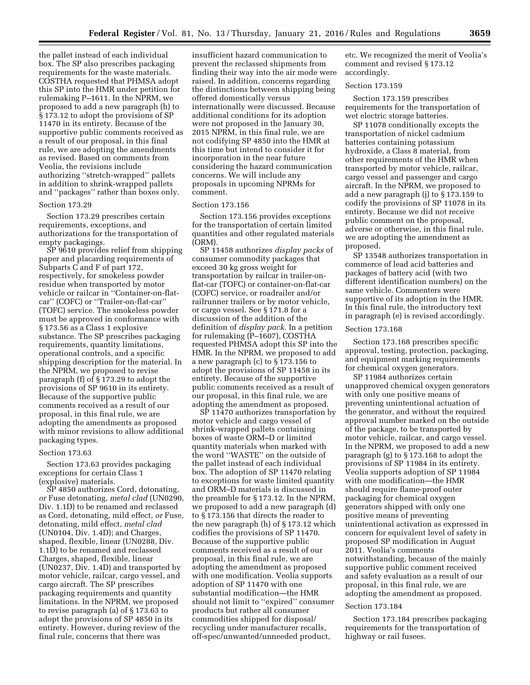the pallet instead of each individual box. The SP also prescribes packaging requirements for the waste materials. COSTHA requested that PHMSA adopt this SP into the HMR under petition for rulemaking P–1611. In the NPRM, we proposed to add a new paragraph (h) to § 173.12 to adopt the provisions of SP 11470 in its entirety. Because of the supportive public comments received as a result of our proposal, in this final rule, we are adopting the amendments as revised. Based on comments from Veolia, the revisions include authorizing ''stretch-wrapped'' pallets in addition to shrink-wrapped pallets and ''packages'' rather than boxes only.

#### Section 173.29

Section 173.29 prescribes certain requirements, exceptions, and authorizations for the transportation of empty packagings.

SP 9610 provides relief from shipping paper and placarding requirements of Subparts C and F of part 172, respectively, for smokeless powder residue when transported by motor vehicle or railcar in ''Container-on-flatcar'' (COFC) or ''Trailer-on-flat-car'' (TOFC) service. The smokeless powder must be approved in conformance with § 173.56 as a Class 1 explosive substance. The SP prescribes packaging requirements, quantity limitations, operational controls, and a specific shipping description for the material. In the NPRM, we proposed to revise paragraph (f) of § 173.29 to adopt the provisions of SP 9610 in its entirety. Because of the supportive public comments received as a result of our proposal, in this final rule, we are adopting the amendments as proposed with minor revisions to allow additional packaging types.

#### Section 173.63

Section 173.63 provides packaging exceptions for certain Class 1 (explosive) materials.

SP 4850 authorizes Cord, detonating, *or* Fuse detonating, *metal clad* (UN0290, Div. 1.1D) to be renamed and reclassed as Cord, detonating, mild effect, *or* Fuse, detonating, mild effect, *metal clad*  (UN0104, Div. 1.4D); and Charges, shaped, flexible, linear (UN0288, Div. 1.1D) to be renamed and reclassed Charges, shaped, flexible, linear (UN0237, Div. 1.4D) and transported by motor vehicle, railcar, cargo vessel, and cargo aircraft. The SP prescribes packaging requirements and quantity limitations. In the NPRM, we proposed to revise paragraph (a) of § 173.63 to adopt the provisions of SP 4850 in its entirety. However, during review of the final rule, concerns that there was

insufficient hazard communication to prevent the reclassed shipments from finding their way into the air mode were raised. In addition, concerns regarding the distinctions between shipping being offered domestically versus internationally were discussed. Because additional conditions for its adoption were not proposed in the January 30, 2015 NPRM, in this final rule, we are not codifying SP 4850 into the HMR at this time but intend to consider it for incorporation in the near future considering the hazard communication concerns. We will include any proposals in upcoming NPRMs for comment.

#### Section 173.156

Section 173.156 provides exceptions for the transportation of certain limited quantities and other regulated materials (ORM).

SP 11458 authorizes *display packs* of consumer commodity packages that exceed 30 kg gross weight for transportation by railcar in trailer-onflat-car (TOFC) or container-on-flat-car (COFC) service, or roadrailer and/or railrunner trailers or by motor vehicle, or cargo vessel. See § 171.8 for a discussion of the addition of the definition of *display pack.* In a petition for rulemaking (P–1607), COSTHA requested PHMSA adopt this SP into the HMR. In the NPRM, we proposed to add a new paragraph (c) to § 173.156 to adopt the provisions of SP 11458 in its entirety. Because of the supportive public comments received as a result of our proposal, in this final rule, we are adopting the amendment as proposed.

SP 11470 authorizes transportation by motor vehicle and cargo vessel of shrink-wrapped pallets containing boxes of waste ORM–D or limited quantity materials when marked with the word ''WASTE'' on the outside of the pallet instead of each individual box. The adoption of SP 11470 relating to exceptions for waste limited quantity and ORM–D materials is discussed in the preamble for § 173.12. In the NPRM, we proposed to add a new paragraph (d) to § 173.156 that directs the reader to the new paragraph (h) of § 173.12 which codifies the provisions of SP 11470. Because of the supportive public comments received as a result of our proposal, in this final rule, we are adopting the amendment as proposed with one modification. Veolia supports adoption of SP 11470 with one substantial modification—the HMR should not limit to ''expired'' consumer products but rather all consumer commodities shipped for disposal/ recycling under manufacturer recalls, off-spec/unwanted/unneeded product,

etc. We recognized the merit of Veolia's comment and revised § 173.12 accordingly.

#### Section 173.159

Section 173.159 prescribes requirements for the transportation of wet electric storage batteries.

SP 11078 conditionally excepts the transportation of nickel cadmium batteries containing potassium hydroxide, a Class 8 material, from other requirements of the HMR when transported by motor vehicle, railcar, cargo vessel and passenger and cargo aircraft. In the NPRM, we proposed to add a new paragraph (j) to § 173.159 to codify the provisions of SP 11078 in its entirety. Because we did not receive public comment on the proposal, adverse or otherwise, in this final rule, we are adopting the amendment as proposed.

SP 13548 authorizes transportation in commerce of lead acid batteries and packages of battery acid (with two different identification numbers) on the same vehicle. Commenters were supportive of its adoption in the HMR. In this final rule, the introductory text in paragraph (e) is revised accordingly.

#### Section 173.168

Section 173.168 prescribes specific approval, testing, protection, packaging, and equipment marking requirements for chemical oxygen generators.

SP 11984 authorizes certain unapproved chemical oxygen generators with only one positive means of preventing unintentional actuation of the generator, and without the required approval number marked on the outside of the package, to be transported by motor vehicle, railcar, and cargo vessel. In the NPRM, we proposed to add a new paragraph (g) to § 173.168 to adopt the provisions of SP 11984 in its entirety. Veolia supports adoption of SP 11984 with one modification—the HMR should require flame-proof outer packaging for chemical oxygen generators shipped with only one positive means of preventing unintentional activation as expressed in concern for equivalent level of safety in proposed SP modification in August 2011. Veolia's comments notwithstanding, because of the mainly supportive public comment received and safety evaluation as a result of our proposal, in this final rule, we are adopting the amendment as proposed.

#### Section 173.184

Section 173.184 prescribes packaging requirements for the transportation of highway or rail fusees.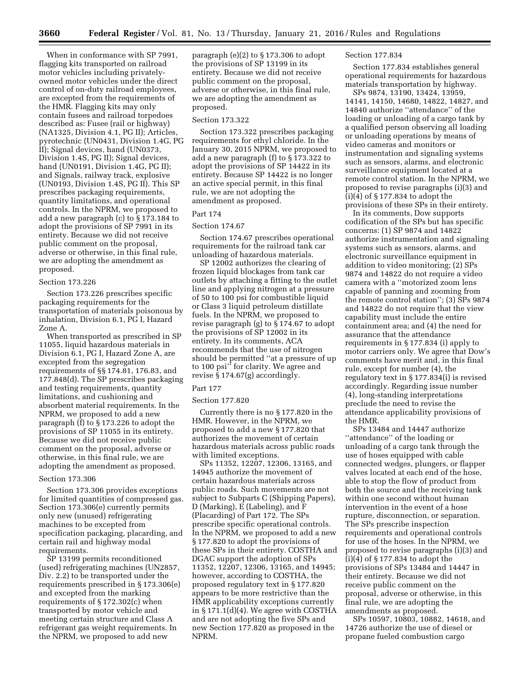When in conformance with SP 7991, flagging kits transported on railroad motor vehicles including privatelyowned motor vehicles under the direct control of on-duty railroad employees, are excepted from the requirements of the HMR. Flagging kits may only contain fusees and railroad torpedoes described as: Fusee (rail or highway) (NA1325, Division 4.1, PG II); Articles, pyrotechnic (UN0431, Division 1.4G, PG II); Signal devices, hand (UN0373, Division 1.4S, PG II); Signal devices, hand (UN0191, Division 1.4G, PG II); and Signals, railway track, explosive (UN0193, Division 1.4S, PG II). This SP prescribes packaging requirements, quantity limitations, and operational controls. In the NPRM, we proposed to add a new paragraph (c) to § 173.184 to adopt the provisions of SP 7991 in its entirety. Because we did not receive public comment on the proposal, adverse or otherwise, in this final rule, we are adopting the amendment as proposed.

#### Section 173.226

Section 173.226 prescribes specific packaging requirements for the transportation of materials poisonous by inhalation, Division 6.1, PG I, Hazard Zone A.

When transported as prescribed in SP 11055, liquid hazardous materials in Division 6.1, PG I, Hazard Zone A, are excepted from the segregation requirements of §§ 174.81, 176.83, and 177.848(d). The SP prescribes packaging and testing requirements, quantity limitations, and cushioning and absorbent material requirements. In the NPRM, we proposed to add a new paragraph (f) to § 173.226 to adopt the provisions of SP 11055 in its entirety. Because we did not receive public comment on the proposal, adverse or otherwise, in this final rule, we are adopting the amendment as proposed.

#### Section 173.306

Section 173.306 provides exceptions for limited quantities of compressed gas. Section 173.306(e) currently permits only new (unused) refrigerating machines to be excepted from specification packaging, placarding, and certain rail and highway modal requirements.

SP 13199 permits reconditioned (used) refrigerating machines (UN2857, Div. 2.2) to be transported under the requirements prescribed in § 173.306(e) and excepted from the marking requirements of § 172.302(c) when transported by motor vehicle and meeting certain structure and Class A refrigerant gas weight requirements. In the NPRM, we proposed to add new

paragraph (e)(2) to § 173.306 to adopt the provisions of SP 13199 in its entirety. Because we did not receive public comment on the proposal, adverse or otherwise, in this final rule, we are adopting the amendment as proposed.

#### Section 173.322

Section 173.322 prescribes packaging requirements for ethyl chloride. In the January 30, 2015 NPRM, we proposed to add a new paragraph (f) to § 173.322 to adopt the provisions of SP 14422 in its entirety. Because SP 14422 is no longer an active special permit, in this final rule, we are not adopting the amendment as proposed.

#### Part 174

#### Section 174.67

Section 174.67 prescribes operational requirements for the railroad tank car unloading of hazardous materials.

SP 12002 authorizes the clearing of frozen liquid blockages from tank car outlets by attaching a fitting to the outlet line and applying nitrogen at a pressure of 50 to 100 psi for combustible liquid or Class 3 liquid petroleum distillate fuels. In the NPRM, we proposed to revise paragraph (g) to § 174.67 to adopt the provisions of SP 12002 in its entirety. In its comments, ACA recommends that the use of nitrogen should be permitted ''at a pressure of up to 100 psi'' for clarity. We agree and revise § 174.67(g) accordingly.

#### Part 177

#### Section 177.820

Currently there is no § 177.820 in the HMR. However, in the NPRM, we proposed to add a new § 177.820 that authorizes the movement of certain hazardous materials across public roads with limited exceptions.

SPs 11352, 12207, 12306, 13165, and 14945 authorize the movement of certain hazardous materials across public roads. Such movements are not subject to Subparts C (Shipping Papers), D (Marking), E (Labeling), and F (Placarding) of Part 172. The SPs prescribe specific operational controls. In the NPRM, we proposed to add a new § 177.820 to adopt the provisions of these SPs in their entirety. COSTHA and DGAC support the adoption of SPs 11352, 12207, 12306, 13165, and 14945; however, according to COSTHA, the proposed regulatory text in § 177.820 appears to be more restrictive than the HMR applicability exceptions currently in § 171.1(d)(4). We agree with COSTHA and are not adopting the five SPs and new Section 177.820 as proposed in the NPRM.

#### Section 177.834

Section 177.834 establishes general operational requirements for hazardous materials transportation by highway.

SPs 9874, 13190, 13424, 13959, 14141, 14150, 14680, 14822, 14827, and 14840 authorize ''attendance'' of the loading or unloading of a cargo tank by a qualified person observing all loading or unloading operations by means of video cameras and monitors or instrumentation and signaling systems such as sensors, alarms, and electronic surveillance equipment located at a remote control station. In the NPRM, we proposed to revise paragraphs (i)(3) and (i)(4) of § 177.834 to adopt the provisions of these SPs in their entirety.

In its comments, Dow supports codification of the SPs but has specific concerns: (1) SP 9874 and 14822 authorize instrumentation and signaling systems such as sensors, alarms, and electronic surveillance equipment in addition to video monitoring; (2) SPs 9874 and 14822 do not require a video camera with a ''motorized zoom lens capable of panning and zooming from the remote control station''; (3) SPs 9874 and 14822 do not require that the view capability must include the entire containment area; and (4) the need for assurance that the attendance requirements in § 177.834 (i) apply to motor carriers only. We agree that Dow's comments have merit and, in this final rule, except for number (4), the regulatory text in § 177.834(i) is revised accordingly. Regarding issue number (4), long-standing interpretations preclude the need to revise the attendance applicability provisions of the HMR.

SPs 13484 and 14447 authorize ''attendance'' of the loading or unloading of a cargo tank through the use of hoses equipped with cable connected wedges, plungers, or flapper valves located at each end of the hose, able to stop the flow of product from both the source and the receiving tank within one second without human intervention in the event of a hose rupture, disconnection, or separation. The SPs prescribe inspection requirements and operational controls for use of the hoses. In the NPRM, we proposed to revise paragraphs (i)(3) and (i)(4) of § 177.834 to adopt the provisions of SPs 13484 and 14447 in their entirety. Because we did not receive public comment on the proposal, adverse or otherwise, in this final rule, we are adopting the amendments as proposed.

SPs 10597, 10803, 10882, 14618, and 14726 authorize the use of diesel or propane fueled combustion cargo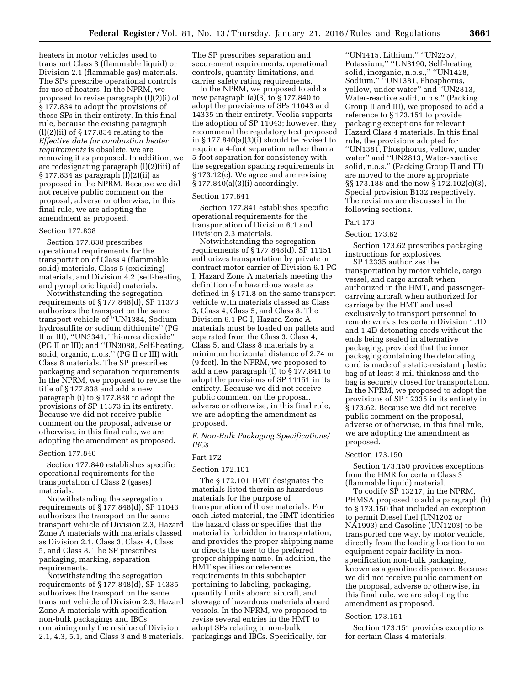heaters in motor vehicles used to transport Class 3 (flammable liquid) or Division 2.1 (flammable gas) materials. The SPs prescribe operational controls for use of heaters. In the NPRM, we proposed to revise paragraph (l)(2)(i) of § 177.834 to adopt the provisions of these SPs in their entirety. In this final rule, because the existing paragraph  $(l)(2)(ii)$  of § 177.834 relating to the *Effective date for combustion heater requirements* is obsolete, we are removing it as proposed. In addition, we are redesignating paragraph (l)(2)(iii) of § 177.834 as paragraph (l)(2)(ii) as proposed in the NPRM. Because we did not receive public comment on the proposal, adverse or otherwise, in this final rule, we are adopting the amendment as proposed.

#### Section 177.838

Section 177.838 prescribes operational requirements for the transportation of Class 4 (flammable solid) materials, Class 5 (oxidizing) materials, and Division 4.2 (self-heating and pyrophoric liquid) materials.

Notwithstanding the segregation requirements of § 177.848(d), SP 11373 authorizes the transport on the same transport vehicle of ''UN1384, Sodium hydrosulfite *or* sodium dithionite'' (PG II or III), ''UN3341, Thiourea dioxide'' (PG II or III); and ''UN3088, Self-heating, solid, organic, n.o.s.'' (PG II or III) with Class 8 materials. The SP prescribes packaging and separation requirements. In the NPRM, we proposed to revise the title of § 177.838 and add a new paragraph (i) to § 177.838 to adopt the provisions of SP 11373 in its entirety. Because we did not receive public comment on the proposal, adverse or otherwise, in this final rule, we are adopting the amendment as proposed.

#### Section 177.840

Section 177.840 establishes specific operational requirements for the transportation of Class 2 (gases) materials.

Notwithstanding the segregation requirements of § 177.848(d), SP 11043 authorizes the transport on the same transport vehicle of Division 2.3, Hazard Zone A materials with materials classed as Division 2.1, Class 3, Class 4, Class 5, and Class 8. The SP prescribes packaging, marking, separation requirements.

Notwithstanding the segregation requirements of § 177.848(d), SP 14335 authorizes the transport on the same transport vehicle of Division 2.3, Hazard Zone A materials with specification non-bulk packagings and IBCs containing only the residue of Division 2.1, 4.3, 5.1, and Class 3 and 8 materials.

The SP prescribes separation and securement requirements, operational controls, quantity limitations, and carrier safety rating requirements.

In the NPRM, we proposed to add a new paragraph (a)(3) to § 177.840 to adopt the provisions of SPs 11043 and 14335 in their entirety. Veolia supports the adoption of SP 11043; however, they recommend the regulatory text proposed in § 177.840(a)(3)(i) should be revised to require a 4-foot separation rather than a 5-foot separation for consistency with the segregation spacing requirements in § 173.12(e). We agree and are revising § 177.840(a)(3)(i) accordingly.

#### Section 177.841

Section 177.841 establishes specific operational requirements for the transportation of Division 6.1 and Division 2.3 materials.

Notwithstanding the segregation requirements of § 177.848(d), SP 11151 authorizes transportation by private or contract motor carrier of Division 6.1 PG I, Hazard Zone A materials meeting the definition of a hazardous waste as defined in § 171.8 on the same transport vehicle with materials classed as Class 3, Class 4, Class 5, and Class 8. The Division 6.1 PG I, Hazard Zone A materials must be loaded on pallets and separated from the Class 3, Class 4, Class 5, and Class 8 materials by a minimum horizontal distance of 2.74 m (9 feet). In the NPRM, we proposed to add a new paragraph (f) to § 177.841 to adopt the provisions of SP 11151 in its entirety. Because we did not receive public comment on the proposal, adverse or otherwise, in this final rule, we are adopting the amendment as proposed.

*F. Non-Bulk Packaging Specifications/ IBCs* 

#### Part 172

#### Section 172.101

The § 172.101 HMT designates the materials listed therein as hazardous materials for the purpose of transportation of those materials. For each listed material, the HMT identifies the hazard class or specifies that the material is forbidden in transportation, and provides the proper shipping name or directs the user to the preferred proper shipping name. In addition, the HMT specifies or references requirements in this subchapter pertaining to labeling, packaging, quantity limits aboard aircraft, and stowage of hazardous materials aboard vessels. In the NPRM, we proposed to revise several entries in the HMT to adopt SPs relating to non-bulk packagings and IBCs. Specifically, for

''UN1415, Lithium,'' ''UN2257, Potassium,'' ''UN3190, Self-heating solid, inorganic, n.o.s.," "UN1428, Sodium,'' ''UN1381, Phosphorus, yellow, under water'' and ''UN2813, Water-reactive solid, n.o.s.'' (Packing Group II and III), we proposed to add a reference to § 173.151 to provide packaging exceptions for relevant Hazard Class 4 materials. In this final rule, the provisions adopted for ''UN1381, Phosphorus, yellow, under water'' and ''UN2813, Water-reactive solid, n.o.s.'' (Packing Group II and III) are moved to the more appropriate §§ 173.188 and the new § 172.102(c)(3), Special provision B132 respectively. The revisions are discussed in the following sections.

#### Part 173

#### Section 173.62

Section 173.62 prescribes packaging instructions for explosives.

SP 12335 authorizes the transportation by motor vehicle, cargo vessel, and cargo aircraft when authorized in the HMT, and passengercarrying aircraft when authorized for carriage by the HMT and used exclusively to transport personnel to remote work sites certain Division 1.1D and 1.4D detonating cords without the ends being sealed in alternative packaging, provided that the inner packaging containing the detonating cord is made of a static-resistant plastic bag of at least 3 mil thickness and the bag is securely closed for transportation. In the NPRM, we proposed to adopt the provisions of SP 12335 in its entirety in § 173.62. Because we did not receive public comment on the proposal, adverse or otherwise, in this final rule, we are adopting the amendment as proposed.

#### Section 173.150

Section 173.150 provides exceptions from the HMR for certain Class 3 (flammable liquid) material.

To codify  $S\dot{P}$  13217, in the NPRM, PHMSA proposed to add a paragraph (h) to § 173.150 that included an exception to permit Diesel fuel (UN1202 or NA1993) and Gasoline (UN1203) to be transported one way, by motor vehicle, directly from the loading location to an equipment repair facility in nonspecification non-bulk packaging, known as a gasoline dispenser. Because we did not receive public comment on the proposal, adverse or otherwise, in this final rule, we are adopting the amendment as proposed.

#### Section 173.151

Section 173.151 provides exceptions for certain Class 4 materials.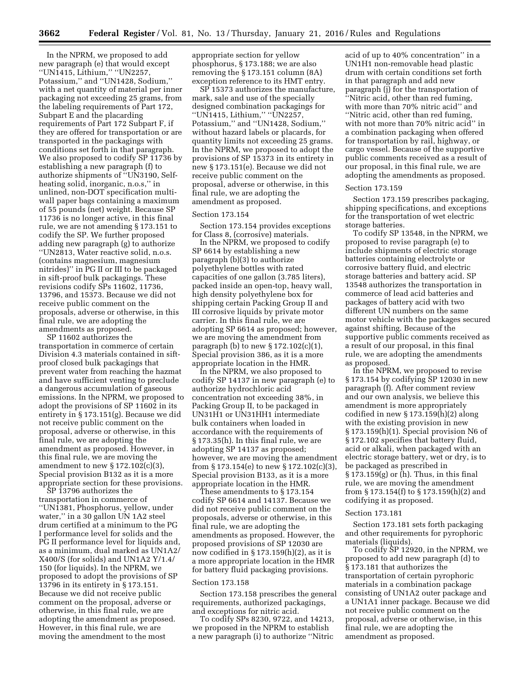In the NPRM, we proposed to add new paragraph (e) that would except ''UN1415, Lithium,'' ''UN2257, Potassium,'' and ''UN1428, Sodium,'' with a net quantity of material per inner packaging not exceeding 25 grams, from the labeling requirements of Part 172, Subpart E and the placarding requirements of Part 172 Subpart F, if they are offered for transportation or are transported in the packagings with conditions set forth in that paragraph. We also proposed to codify SP 11736 by establishing a new paragraph (f) to authorize shipments of ''UN3190, Selfheating solid, inorganic, n.o.s,'' in unlined, non-DOT specification multiwall paper bags containing a maximum of 55 pounds (net) weight. Because SP 11736 is no longer active, in this final rule, we are not amending § 173.151 to codify the SP. We further proposed adding new paragraph (g) to authorize ''UN2813, Water reactive solid, n.o.s. (contains magnesium, magnesium nitrides)'' in PG II or III to be packaged in sift-proof bulk packagings. These revisions codify SPs 11602, 11736, 13796, and 15373. Because we did not receive public comment on the proposals, adverse or otherwise, in this final rule, we are adopting the amendments as proposed.

SP 11602 authorizes the transportation in commerce of certain Division 4.3 materials contained in siftproof closed bulk packagings that prevent water from reaching the hazmat and have sufficient venting to preclude a dangerous accumulation of gaseous emissions. In the NPRM, we proposed to adopt the provisions of SP 11602 in its entirety in § 173.151(g). Because we did not receive public comment on the proposal, adverse or otherwise, in this final rule, we are adopting the amendment as proposed. However, in this final rule, we are moving the amendment to new § 172.102(c)(3), Special provision B132 as it is a more appropriate section for these provisions.

SP 13796 authorizes the transportation in commerce of ''UN1381, Phosphorus, yellow, under water,'' in a 30 gallon UN 1A2 steel drum certified at a minimum to the PG I performance level for solids and the PG II performance level for liquids and, as a minimum, dual marked as UN1A2/ X400/S (for solids) and UN1A2 Y/1.4/ 150 (for liquids). In the NPRM, we proposed to adopt the provisions of SP 13796 in its entirety in § 173.151. Because we did not receive public comment on the proposal, adverse or otherwise, in this final rule, we are adopting the amendment as proposed. However, in this final rule, we are moving the amendment to the most

appropriate section for yellow phosphorus, § 173.188; we are also removing the § 173.151 column (8A) exception reference to its HMT entry.

SP 15373 authorizes the manufacture, mark, sale and use of the specially designed combination packagings for ''UN1415, Lithium,'' ''UN2257, Potassium,'' and ''UN1428, Sodium,'' without hazard labels or placards, for quantity limits not exceeding 25 grams. In the NPRM, we proposed to adopt the provisions of SP 15373 in its entirety in new § 173.151(e). Because we did not receive public comment on the proposal, adverse or otherwise, in this final rule, we are adopting the amendment as proposed.

#### Section 173.154

Section 173.154 provides exceptions for Class 8, (corrosive) materials.

In the NPRM, we proposed to codify SP 6614 by establishing a new paragraph (b)(3) to authorize polyethylene bottles with rated capacities of one gallon (3.785 liters), packed inside an open-top, heavy wall, high density polyethylene box for shipping certain Packing Group II and III corrosive liquids by private motor carrier. In this final rule, we are adopting SP 6614 as proposed; however, we are moving the amendment from paragraph (b) to new  $\S 172.102(c)(1)$ , Special provision 386, as it is a more appropriate location in the HMR.

In the NPRM, we also proposed to codify SP 14137 in new paragraph (e) to authorize hydrochloric acid concentration not exceeding 38%, in Packing Group II, to be packaged in UN31H1 or UN31HH1 intermediate bulk containers when loaded in accordance with the requirements of § 173.35(h). In this final rule, we are adopting SP 14137 as proposed; however, we are moving the amendment from § 173.154(e) to new § 172.102(c)(3), Special provision B133, as it is a more appropriate location in the HMR.

These amendments to § 173.154 codify SP 6614 and 14137. Because we did not receive public comment on the proposals, adverse or otherwise, in this final rule, we are adopting the amendments as proposed. However, the proposed provisions of SP 12030 are now codified in  $\S 173.159(h)(2)$ , as it is a more appropriate location in the HMR for battery fluid packaging provisions.

#### Section 173.158

Section 173.158 prescribes the general requirements, authorized packagings, and exceptions for nitric acid.

To codify SPs 8230, 9722, and 14213, we proposed in the NPRM to establish a new paragraph (i) to authorize ''Nitric

acid of up to 40% concentration'' in a UN1H1 non-removable head plastic drum with certain conditions set forth in that paragraph and add new paragraph (j) for the transportation of ''Nitric acid, other than red fuming, with more than 70% nitric acid'' and ''Nitric acid, other than red fuming, with not more than 70% nitric acid'' in a combination packaging when offered for transportation by rail, highway, or cargo vessel. Because of the supportive public comments received as a result of our proposal, in this final rule, we are adopting the amendments as proposed.

#### Section 173.159

Section 173.159 prescribes packaging, shipping specifications, and exceptions for the transportation of wet electric storage batteries.

To codify SP 13548, in the NPRM, we proposed to revise paragraph (e) to include shipments of electric storage batteries containing electrolyte or corrosive battery fluid, and electric storage batteries and battery acid. SP 13548 authorizes the transportation in commerce of lead acid batteries and packages of battery acid with two different UN numbers on the same motor vehicle with the packages secured against shifting. Because of the supportive public comments received as a result of our proposal, in this final rule, we are adopting the amendments as proposed.

In the NPRM, we proposed to revise § 173.154 by codifying SP 12030 in new paragraph (f). After comment review and our own analysis, we believe this amendment is more appropriately codified in new § 173.159(h)(2) along with the existing provision in new § 173.159(h)(1). Special provision N6 of § 172.102 specifies that battery fluid, acid or alkali, when packaged with an electric storage battery, wet or dry, is to be packaged as prescribed in  $\S 173.159(g)$  or (h). Thus, in this final rule, we are moving the amendment from § 173.154(f) to § 173.159(h)(2) and codifying it as proposed.

#### Section 173.181

Section 173.181 sets forth packaging and other requirements for pyrophoric materials (liquids).

To codify SP 12920, in the NPRM, we proposed to add new paragraph (d) to § 173.181 that authorizes the transportation of certain pyrophoric materials in a combination package consisting of UN1A2 outer package and a UN1A1 inner package. Because we did not receive public comment on the proposal, adverse or otherwise, in this final rule, we are adopting the amendment as proposed.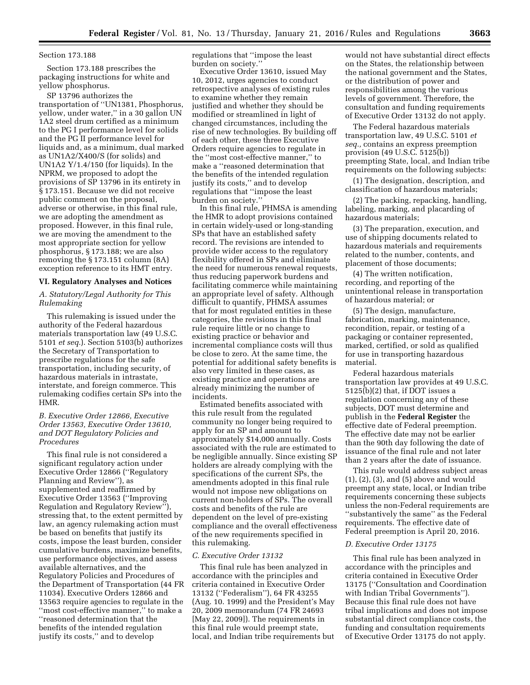#### Section 173.188

Section 173.188 prescribes the packaging instructions for white and yellow phosphorus.

SP 13796 authorizes the transportation of ''UN1381, Phosphorus, yellow, under water,'' in a 30 gallon UN 1A2 steel drum certified as a minimum to the PG I performance level for solids and the PG II performance level for liquids and, as a minimum, dual marked as UN1A2/X400/S (for solids) and UN1A2 Y/1.4/150 (for liquids). In the NPRM, we proposed to adopt the provisions of SP 13796 in its entirety in § 173.151. Because we did not receive public comment on the proposal, adverse or otherwise, in this final rule, we are adopting the amendment as proposed. However, in this final rule, we are moving the amendment to the most appropriate section for yellow phosphorus, § 173.188; we are also removing the § 173.151 column (8A) exception reference to its HMT entry.

#### **VI. Regulatory Analyses and Notices**

*A. Statutory/Legal Authority for This Rulemaking* 

This rulemaking is issued under the authority of the Federal hazardous materials transportation law (49 U.S.C. 5101 *et seq.*). Section 5103(b) authorizes the Secretary of Transportation to prescribe regulations for the safe transportation, including security, of hazardous materials in intrastate, interstate, and foreign commerce. This rulemaking codifies certain SPs into the HMR.

#### *B. Executive Order 12866, Executive Order 13563, Executive Order 13610, and DOT Regulatory Policies and Procedures*

This final rule is not considered a significant regulatory action under Executive Order 12866 (''Regulatory Planning and Review''), as supplemented and reaffirmed by Executive Order 13563 (''Improving Regulation and Regulatory Review''), stressing that, to the extent permitted by law, an agency rulemaking action must be based on benefits that justify its costs, impose the least burden, consider cumulative burdens, maximize benefits, use performance objectives, and assess available alternatives, and the Regulatory Policies and Procedures of the Department of Transportation (44 FR 11034). Executive Orders 12866 and 13563 require agencies to regulate in the ''most cost-effective manner,'' to make a ''reasoned determination that the benefits of the intended regulation justify its costs,'' and to develop

regulations that ''impose the least burden on society.''

Executive Order 13610, issued May 10, 2012, urges agencies to conduct retrospective analyses of existing rules to examine whether they remain justified and whether they should be modified or streamlined in light of changed circumstances, including the rise of new technologies. By building off of each other, these three Executive Orders require agencies to regulate in the ''most cost-effective manner,'' to make a ''reasoned determination that the benefits of the intended regulation justify its costs,'' and to develop regulations that ''impose the least burden on society.''

In this final rule, PHMSA is amending the HMR to adopt provisions contained in certain widely-used or long-standing SPs that have an established safety record. The revisions are intended to provide wider access to the regulatory flexibility offered in SPs and eliminate the need for numerous renewal requests, thus reducing paperwork burdens and facilitating commerce while maintaining an appropriate level of safety. Although difficult to quantify, PHMSA assumes that for most regulated entities in these categories, the revisions in this final rule require little or no change to existing practice or behavior and incremental compliance costs will thus be close to zero. At the same time, the potential for additional safety benefits is also very limited in these cases, as existing practice and operations are already minimizing the number of incidents.

Estimated benefits associated with this rule result from the regulated community no longer being required to apply for an SP and amount to approximately \$14,000 annually. Costs associated with the rule are estimated to be negligible annually. Since existing SP holders are already complying with the specifications of the current SPs, the amendments adopted in this final rule would not impose new obligations on current non-holders of SPs. The overall costs and benefits of the rule are dependent on the level of pre-existing compliance and the overall effectiveness of the new requirements specified in this rulemaking.

#### *C. Executive Order 13132*

This final rule has been analyzed in accordance with the principles and criteria contained in Executive Order 13132 (''Federalism''), 64 FR 43255 (Aug. 10. 1999) and the President's May 20, 2009 memorandum (74 FR 24693 [May 22, 2009]). The requirements in this final rule would preempt state, local, and Indian tribe requirements but

would not have substantial direct effects on the States, the relationship between the national government and the States, or the distribution of power and responsibilities among the various levels of government. Therefore, the consultation and funding requirements of Executive Order 13132 do not apply.

The Federal hazardous materials transportation law, 49 U.S.C. 5101 *et seq.,* contains an express preemption provision (49 U.S.C. 5125(b)) preempting State, local, and Indian tribe requirements on the following subjects:

(1) The designation, description, and classification of hazardous materials;

(2) The packing, repacking, handling, labeling, marking, and placarding of hazardous materials;

(3) The preparation, execution, and use of shipping documents related to hazardous materials and requirements related to the number, contents, and placement of those documents;

(4) The written notification, recording, and reporting of the unintentional release in transportation of hazardous material; or

(5) The design, manufacture, fabrication, marking, maintenance, recondition, repair, or testing of a packaging or container represented, marked, certified, or sold as qualified for use in transporting hazardous material.

Federal hazardous materials transportation law provides at 49 U.S.C. 5125(b)(2) that, if DOT issues a regulation concerning any of these subjects, DOT must determine and publish in the **Federal Register** the effective date of Federal preemption. The effective date may not be earlier than the 90th day following the date of issuance of the final rule and not later than 2 years after the date of issuance.

This rule would address subject areas (1), (2), (3), and (5) above and would preempt any state, local, or Indian tribe requirements concerning these subjects unless the non-Federal requirements are ''substantively the same'' as the Federal requirements. The effective date of Federal preemption is April 20, 2016.

#### *D. Executive Order 13175*

This final rule has been analyzed in accordance with the principles and criteria contained in Executive Order 13175 (''Consultation and Coordination with Indian Tribal Governments''). Because this final rule does not have tribal implications and does not impose substantial direct compliance costs, the funding and consultation requirements of Executive Order 13175 do not apply.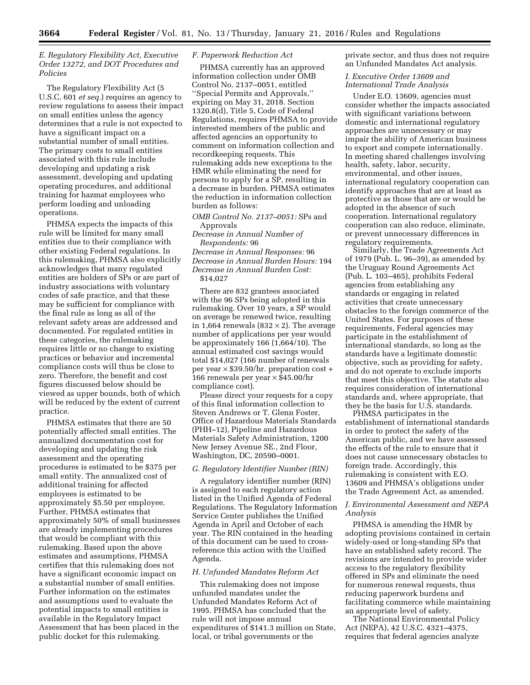#### *E. Regulatory Flexibility Act, Executive Order 13272, and DOT Procedures and Policies*

The Regulatory Flexibility Act (5 U.S.C. 601 *et seq.*) requires an agency to review regulations to assess their impact on small entities unless the agency determines that a rule is not expected to have a significant impact on a substantial number of small entities. The primary costs to small entities associated with this rule include developing and updating a risk assessment, developing and updating operating procedures, and additional training for hazmat employees who perform loading and unloading operations.

PHMSA expects the impacts of this rule will be limited for many small entities due to their compliance with other existing Federal regulations. In this rulemaking, PHMSA also explicitly acknowledges that many regulated entities are holders of SPs or are part of industry associations with voluntary codes of safe practice, and that these may be sufficient for compliance with the final rule as long as all of the relevant safety areas are addressed and documented. For regulated entities in these categories, the rulemaking requires little or no change to existing practices or behavior and incremental compliance costs will thus be close to zero. Therefore, the benefit and cost figures discussed below should be viewed as upper bounds, both of which will be reduced by the extent of current practice.

PHMSA estimates that there are 50 potentially affected small entities. The annualized documentation cost for developing and updating the risk assessment and the operating procedures is estimated to be \$375 per small entity. The annualized cost of additional training for affected employees is estimated to be approximately \$5.50 per employee. Further, PHMSA estimates that approximately 50% of small businesses are already implementing procedures that would be compliant with this rulemaking. Based upon the above estimates and assumptions, PHMSA certifies that this rulemaking does not have a significant economic impact on a substantial number of small entities. Further information on the estimates and assumptions used to evaluate the potential impacts to small entities is available in the Regulatory Impact Assessment that has been placed in the public docket for this rulemaking.

#### *F. Paperwork Reduction Act*

PHMSA currently has an approved information collection under OMB Control No. 2137–0051, entitled

''Special Permits and Approvals,'' expiring on May 31, 2018. Section 1320.8(d), Title 5, Code of Federal Regulations, requires PHMSA to provide interested members of the public and affected agencies an opportunity to comment on information collection and recordkeeping requests. This rulemaking adds new exceptions to the HMR while eliminating the need for persons to apply for a SP, resulting in a decrease in burden. PHMSA estimates the reduction in information collection burden as follows:

*OMB Control No. 2137–0051:* SPs and Approvals

*Decrease in Annual Number of Respondents:* 96

*Decrease in Annual Responses:* 96 *Decrease in Annual Burden Hours:* 194 *Decrease in Annual Burden Cost:*  \$14,027

There are 832 grantees associated with the 96 SPs being adopted in this rulemaking. Over 10 years, a SP would on average be renewed twice, resulting in 1,664 renewals (832  $\times$  2). The average number of applications per year would be approximately 166 (1,664/10). The annual estimated cost savings would total \$14,027 (166 number of renewals per year  $\times$  \$39.50/hr. preparation cost + 166 renewals per year  $\times$  \$45.00/hr compliance cost).

Please direct your requests for a copy of this final information collection to Steven Andrews or T. Glenn Foster, Office of Hazardous Materials Standards (PHH–12), Pipeline and Hazardous Materials Safety Administration, 1200 New Jersey Avenue SE., 2nd Floor, Washington, DC, 20590–0001.

#### *G. Regulatory Identifier Number (RIN)*

A regulatory identifier number (RIN) is assigned to each regulatory action listed in the Unified Agenda of Federal Regulations. The Regulatory Information Service Center publishes the Unified Agenda in April and October of each year. The RIN contained in the heading of this document can be used to crossreference this action with the Unified Agenda.

#### *H. Unfunded Mandates Reform Act*

This rulemaking does not impose unfunded mandates under the Unfunded Mandates Reform Act of 1995. PHMSA has concluded that the rule will not impose annual expenditures of \$141.3 million on State, local, or tribal governments or the

private sector, and thus does not require an Unfunded Mandates Act analysis.

#### *I. Executive Order 13609 and International Trade Analysis*

Under E.O. 13609, agencies must consider whether the impacts associated with significant variations between domestic and international regulatory approaches are unnecessary or may impair the ability of American business to export and compete internationally. In meeting shared challenges involving health, safety, labor, security, environmental, and other issues, international regulatory cooperation can identify approaches that are at least as protective as those that are or would be adopted in the absence of such cooperation. International regulatory cooperation can also reduce, eliminate, or prevent unnecessary differences in regulatory requirements.

Similarly, the Trade Agreements Act of 1979 (Pub. L. 96–39), as amended by the Uruguay Round Agreements Act (Pub. L. 103–465), prohibits Federal agencies from establishing any standards or engaging in related activities that create unnecessary obstacles to the foreign commerce of the United States. For purposes of these requirements, Federal agencies may participate in the establishment of international standards, so long as the standards have a legitimate domestic objective, such as providing for safety, and do not operate to exclude imports that meet this objective. The statute also requires consideration of international standards and, where appropriate, that they be the basis for U.S. standards.

PHMSA participates in the establishment of international standards in order to protect the safety of the American public, and we have assessed the effects of the rule to ensure that it does not cause unnecessary obstacles to foreign trade. Accordingly, this rulemaking is consistent with E.O. 13609 and PHMSA's obligations under the Trade Agreement Act, as amended.

#### *J. Environmental Assessment and NEPA Analysis*

PHMSA is amending the HMR by adopting provisions contained in certain widely-used or long-standing SPs that have an established safety record. The revisions are intended to provide wider access to the regulatory flexibility offered in SPs and eliminate the need for numerous renewal requests, thus reducing paperwork burdens and facilitating commerce while maintaining an appropriate level of safety.

The National Environmental Policy Act (NEPA), 42 U.S.C. 4321–4375, requires that federal agencies analyze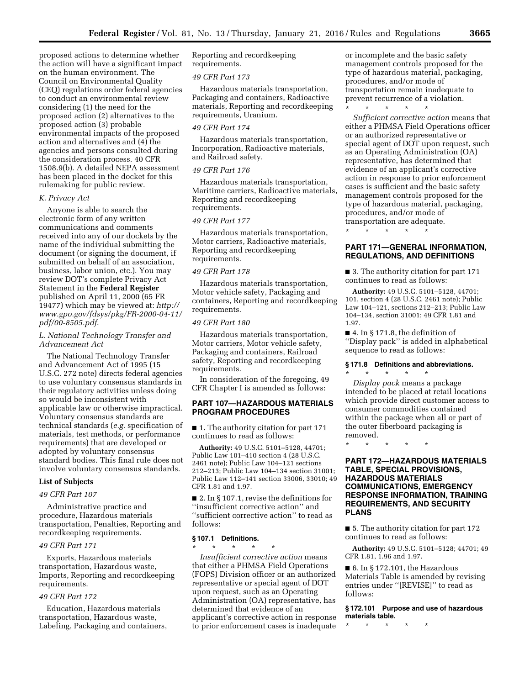proposed actions to determine whether the action will have a significant impact on the human environment. The Council on Environmental Quality (CEQ) regulations order federal agencies to conduct an environmental review considering (1) the need for the proposed action (2) alternatives to the proposed action (3) probable environmental impacts of the proposed action and alternatives and (4) the agencies and persons consulted during the consideration process. 40 CFR 1508.9(b). A detailed NEPA assessment has been placed in the docket for this rulemaking for public review.

#### *K. Privacy Act*

Anyone is able to search the electronic form of any written communications and comments received into any of our dockets by the name of the individual submitting the document (or signing the document, if submitted on behalf of an association, business, labor union, etc.). You may review DOT's complete Privacy Act Statement in the **Federal Register**  published on April 11, 2000 (65 FR 19477) which may be viewed at: *[http://](http://www.gpo.gov/fdsys/pkg/FR-2000-04-11/pdf/00-8505.pdf) [www.gpo.gov/fdsys/pkg/FR-2000-04-11/](http://www.gpo.gov/fdsys/pkg/FR-2000-04-11/pdf/00-8505.pdf) [pdf/00-8505.pdf](http://www.gpo.gov/fdsys/pkg/FR-2000-04-11/pdf/00-8505.pdf)*.

#### *L. National Technology Transfer and Advancement Act*

The National Technology Transfer and Advancement Act of 1995 (15 U.S.C. 272 note) directs federal agencies to use voluntary consensus standards in their regulatory activities unless doing so would be inconsistent with applicable law or otherwise impractical. Voluntary consensus standards are technical standards (*e.g.* specification of materials, test methods, or performance requirements) that are developed or adopted by voluntary consensus standard bodies. This final rule does not involve voluntary consensus standards.

#### **List of Subjects**

#### *49 CFR Part 107*

Administrative practice and procedure, Hazardous materials transportation, Penalties, Reporting and recordkeeping requirements.

#### *49 CFR Part 171*

Exports, Hazardous materials transportation, Hazardous waste, Imports, Reporting and recordkeeping requirements.

#### *49 CFR Part 172*

Education, Hazardous materials transportation, Hazardous waste, Labeling, Packaging and containers,

Reporting and recordkeeping requirements.

#### *49 CFR Part 173*

Hazardous materials transportation, Packaging and containers, Radioactive materials, Reporting and recordkeeping requirements, Uranium.

#### *49 CFR Part 174*

Hazardous materials transportation, Incorporation, Radioactive materials, and Railroad safety.

#### *49 CFR Part 176*

Hazardous materials transportation, Maritime carriers, Radioactive materials, Reporting and recordkeeping requirements.

#### *49 CFR Part 177*

Hazardous materials transportation, Motor carriers, Radioactive materials, Reporting and recordkeeping requirements.

#### *49 CFR Part 178*

Hazardous materials transportation, Motor vehicle safety, Packaging and containers, Reporting and recordkeeping requirements.

#### *49 CFR Part 180*

Hazardous materials transportation, Motor carriers, Motor vehicle safety, Packaging and containers, Railroad safety, Reporting and recordkeeping requirements.

In consideration of the foregoing, 49 CFR Chapter I is amended as follows:

#### **PART 107—HAZARDOUS MATERIALS PROGRAM PROCEDURES**

■ 1. The authority citation for part 171 continues to read as follows:

**Authority:** 49 U.S.C. 5101–5128, 44701; Public Law 101–410 section 4 (28 U.S.C. 2461 note); Public Law 104–121 sections 212–213; Public Law 104–134 section 31001; Public Law 112–141 section 33006, 33010; 49 CFR 1.81 and 1.97.

■ 2. In § 107.1, revise the definitions for ''insufficient corrective action'' and ''sufficient corrective action'' to read as follows:

#### **§ 107.1 Definitions.**

\* \* \* \* \*

*Insufficient corrective action* means that either a PHMSA Field Operations (FOPS) Division officer or an authorized representative or special agent of DOT upon request, such as an Operating Administration (OA) representative, has determined that evidence of an applicant's corrective action in response to prior enforcement cases is inadequate

or incomplete and the basic safety management controls proposed for the type of hazardous material, packaging, procedures, and/or mode of transportation remain inadequate to prevent recurrence of a violation.

\* \* \* \* \*

*Sufficient corrective action* means that either a PHMSA Field Operations officer or an authorized representative or special agent of DOT upon request, such as an Operating Administration (OA) representative, has determined that evidence of an applicant's corrective action in response to prior enforcement cases is sufficient and the basic safety management controls proposed for the type of hazardous material, packaging, procedures, and/or mode of transportation are adequate.

\* \* \* \* \*

#### **PART 171—GENERAL INFORMATION, REGULATIONS, AND DEFINITIONS**

■ 3. The authority citation for part 171 continues to read as follows:

**Authority:** 49 U.S.C. 5101–5128, 44701; 101, section 4 (28 U.S.C. 2461 note); Public Law 104–121, sections 212–213; Public Law 104–134, section 31001; 49 CFR 1.81 and 1.97.

■ 4. In § 171.8, the definition of ''Display pack'' is added in alphabetical sequence to read as follows:

#### **§ 171.8 Definitions and abbreviations.**

\* \* \* \* \* *Display pack* means a package intended to be placed at retail locations which provide direct customer access to consumer commodities contained within the package when all or part of the outer fiberboard packaging is removed.

\* \* \* \* \*

#### **PART 172—HAZARDOUS MATERIALS TABLE, SPECIAL PROVISIONS, HAZARDOUS MATERIALS COMMUNICATIONS, EMERGENCY RESPONSE INFORMATION, TRAINING REQUIREMENTS, AND SECURITY PLANS**

■ 5. The authority citation for part 172 continues to read as follows:

**Authority:** 49 U.S.C. 5101–5128; 44701; 49 CFR 1.81, 1.96 and 1.97.

 $\blacksquare$  6. In § 172.101, the Hazardous Materials Table is amended by revising entries under ''[REVISE]'' to read as follows:

**§ 172.101 Purpose and use of hazardous materials table.** 

\* \* \* \* \*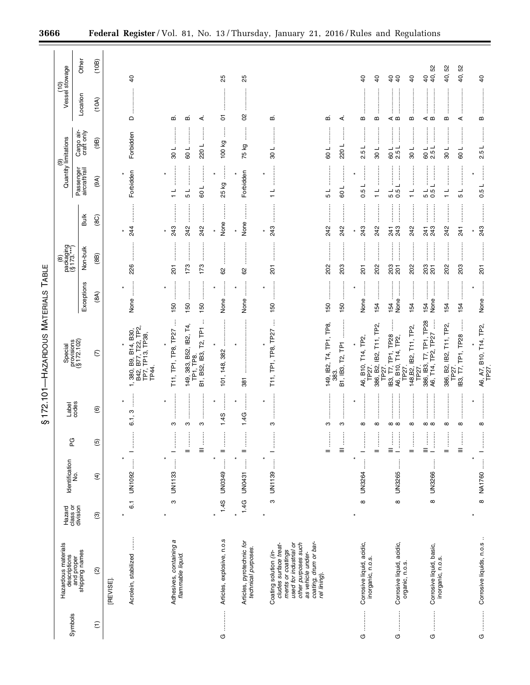|                                                                                                                                                                                                                                                                                                                                                                                                                                                                                                             |                                                                                               |                                |                               |                                                                                                                                                                                    | ဖာ                                           | 172.101-HAZARDOUS MATERIALS TABLE                                                          |                                                           |                                                                                                                                                                                                                                                                                                                                                                                                                                                                                                    |                                              |                                                                          |                                                                 |                            |                                                    |
|-------------------------------------------------------------------------------------------------------------------------------------------------------------------------------------------------------------------------------------------------------------------------------------------------------------------------------------------------------------------------------------------------------------------------------------------------------------------------------------------------------------|-----------------------------------------------------------------------------------------------|--------------------------------|-------------------------------|------------------------------------------------------------------------------------------------------------------------------------------------------------------------------------|----------------------------------------------|--------------------------------------------------------------------------------------------|-----------------------------------------------------------|----------------------------------------------------------------------------------------------------------------------------------------------------------------------------------------------------------------------------------------------------------------------------------------------------------------------------------------------------------------------------------------------------------------------------------------------------------------------------------------------------|----------------------------------------------|--------------------------------------------------------------------------|-----------------------------------------------------------------|----------------------------|----------------------------------------------------|
|                                                                                                                                                                                                                                                                                                                                                                                                                                                                                                             | Hazardous materials<br>descriptions                                                           |                                | Identification                |                                                                                                                                                                                    |                                              |                                                                                            |                                                           | $\begin{array}{c} (8) \ \text{packaging} \ (8173, **) \end{array}$                                                                                                                                                                                                                                                                                                                                                                                                                                 |                                              | Quantity limitations<br>ම                                                |                                                                 | Vessel stowage<br><u>၉</u> |                                                    |
| Symbols                                                                                                                                                                                                                                                                                                                                                                                                                                                                                                     | and proper<br>shipping names                                                                  | Hazard<br>class or<br>division | ż                             | PG                                                                                                                                                                                 | Label<br>codes                               | Special<br>provisions<br>(§ 172.102)                                                       | Exceptions                                                | Non-bulk                                                                                                                                                                                                                                                                                                                                                                                                                                                                                           | <b>Bulk</b>                                  | Passenger<br>aircraft/rail                                               | Cargo air-<br>craft only                                        | Location                   | Other                                              |
| $\widehat{\tau}$                                                                                                                                                                                                                                                                                                                                                                                                                                                                                            | $\widehat{\infty}$                                                                            | $\widehat{\mathfrak{G}}$       | $\widehat{f}$                 | $\overline{5}$                                                                                                                                                                     | $\circledcirc$                               | $\mathfrak{S}$                                                                             | (8A)                                                      | (88)                                                                                                                                                                                                                                                                                                                                                                                                                                                                                               | (8C)                                         | (9A)                                                                     | (96)                                                            | (10A)                      | (10B)                                              |
|                                                                                                                                                                                                                                                                                                                                                                                                                                                                                                             | Acrolein, stabilized<br>[REVISE]                                                              | $\overline{6}$ .               | UN1092                        |                                                                                                                                                                                    | ო<br>$\overline{6.1}$                        | , 380, B9, B14, B30,<br>B42, B77, T22, TP2,<br>TP7, TP13, TP38,<br>TP44.                   | None                                                      | 226                                                                                                                                                                                                                                                                                                                                                                                                                                                                                                | 244                                          | Forbidden                                                                | Forbidden                                                       | $\mathsf{\Omega}$          | ੩                                                  |
|                                                                                                                                                                                                                                                                                                                                                                                                                                                                                                             | Adhesives, containing a<br>flammable liquid.                                                  | ო                              | $\star$<br>$\vdots$<br>UN1133 | j<br>$=$<br>—                                                                                                                                                                      | ო<br>ω                                       | T11, TP1, TP8, TP27<br>¥                                                                   | <br>150<br>150                                            | 173<br>201                                                                                                                                                                                                                                                                                                                                                                                                                                                                                         | 243<br>242                                   | <br>5<br>$\frac{1}{1}$                                                   | 109<br>100                                                      | ഥാ<br>മ                    |                                                    |
| O                                                                                                                                                                                                                                                                                                                                                                                                                                                                                                           | Articles, explosive, n.o.s                                                                    | 1.4S<br>$\ast$                 | $\star$<br>$\vdots$<br>UN0349 | ļ<br>ļ<br>$\equiv$<br>$=$                                                                                                                                                          | $\star$<br>1.45<br>ო                         | 149, 383, B52, IB2, T4,<br>TP1, TP8.<br>B1, B52, IB3, T2, TP1<br>101, 148, 382             | ĺ<br>.<br>.<br>.<br>.<br>.<br>.<br>$\star$<br>None<br>150 | $\begin{array}{ccccccccccccc} \multicolumn{2}{c}{} & \multicolumn{2}{c}{} & \multicolumn{2}{c}{} & \multicolumn{2}{c}{} & \multicolumn{2}{c}{} & \multicolumn{2}{c}{} & \multicolumn{2}{c}{} & \multicolumn{2}{c}{} & \multicolumn{2}{c}{} & \multicolumn{2}{c}{} & \multicolumn{2}{c}{} & \multicolumn{2}{c}{} & \multicolumn{2}{c}{} & \multicolumn{2}{c}{} & \multicolumn{2}{c}{} & \multicolumn{2}{c}{} & \multicolumn{2}{c}{} & \multicolumn{2}{c}{} & \multicolumn{2}{c}{} & \$<br>173<br>62 | .<br>.<br>.<br>.<br>.<br>.<br>None<br>242    | ĺ<br><br>$\star$<br>25 kg<br>109                                         | ł<br>100 kg<br>220L                                             | 5<br>∢                     | 25                                                 |
|                                                                                                                                                                                                                                                                                                                                                                                                                                                                                                             | Articles, pyrotechnic for<br>technical purposes.                                              | 1.4G<br>$\star$                | j<br><b>UN0431</b>            | $\vdots$<br>$=$                                                                                                                                                                    | j<br>1.4G                                    | 381                                                                                        | $\vdots$<br>None                                          | 62                                                                                                                                                                                                                                                                                                                                                                                                                                                                                                 | $\ddot{\phantom{a}}$<br>None                 | Forbidden                                                                | j<br>75 kg                                                      | S                          | 25                                                 |
|                                                                                                                                                                                                                                                                                                                                                                                                                                                                                                             | used for industrial or<br>Coating solution (in-<br>cludes surface treat-<br>ments or coatings | ო                              | UN1139                        | ļ                                                                                                                                                                                  | ო                                            | T11, TP1, TP8, TP27                                                                        | 150                                                       | $\overline{201}$                                                                                                                                                                                                                                                                                                                                                                                                                                                                                   | 243                                          | $\frac{1}{\tau}$                                                         | 108                                                             | ഥ                          |                                                    |
|                                                                                                                                                                                                                                                                                                                                                                                                                                                                                                             | other purposes such<br>as vehicle under-<br>coating, drum or bar-<br>rel lining).             |                                |                               | ļ<br>$\begin{array}{c}\n\vdots \\ \vdots \\ \vdots\n\end{array}$<br>$\equiv$                                                                                                       | ო<br>ω                                       | 149, IB2, T4, TP1, TP8,<br>B1, IB3, T2, TP1<br>383.                                        | <br>150<br>150                                            | <br>202<br>203                                                                                                                                                                                                                                                                                                                                                                                                                                                                                     | 242<br>242                                   | :<br>:<br>:<br>:<br>109<br>5                                             | 220L<br>$-109$                                                  | ∢<br>ഥാ                    |                                                    |
| $\frac{1}{2}$<br>G                                                                                                                                                                                                                                                                                                                                                                                                                                                                                          | Corrosive liquid, acidic,<br>inorganic, n.o.s.                                                | $\infty$                       | $\vdots$<br>UN3264            | ļ<br>$\begin{array}{c} \begin{array}{c} \begin{array}{c} \end{array} \\ \begin{array}{c} \end{array} \end{array} \end{array}$                                                      | $\star$<br>${}^{\circ}$<br>$\infty$          | A6, B10, T14, TP2,<br>TP27.<br>386, B2, IB2, T11, TP2,<br>TP27.                            | $\ddot{\phantom{a}}$<br>None<br>154                       | 201<br>202                                                                                                                                                                                                                                                                                                                                                                                                                                                                                         | <br>243<br>242                               | 0.5L<br>$\frac{1}{1}$                                                    | :<br>:<br>:<br>2.5 L<br>108                                     | ŧ<br>B<br>B                | $\overline{a}$<br>੩                                |
| O                                                                                                                                                                                                                                                                                                                                                                                                                                                                                                           | Corrosive liquid, acidic,<br>organic, n.o.s.                                                  | $\infty$                       | j<br>UN3265                   | $\begin{array}{c} \begin{array}{c} \begin{array}{c} \begin{array}{c} \end{array} \end{array} \\ \begin{array}{c} \end{array} \end{array} \end{array}$<br>ļ<br>j<br>$\equiv$<br>$=$ | ŧ<br>$\infty$<br>$\infty$                    | ļ<br>48, B2, IB2, T11, TP2,<br>IB3, T7, TP1, TP28<br>A6, B10, T14, TP2,<br>TP27.           | $\frac{1}{2}$<br>None<br>154<br>154                       | 203<br>201<br>202                                                                                                                                                                                                                                                                                                                                                                                                                                                                                  | <b>.</b><br>.<br>.<br>.<br>243<br>242<br>241 | $\ddot{\phantom{a}}$<br>0.5L<br>$\frac{1}{1}$<br>$\frac{1}{5}$           | :<br>:<br>:<br>:<br>$\ddot{\phantom{a}}$<br>2.5 L<br>108<br>100 | ≤ മ<br>$\bf{m}$            | $\overline{4}$<br>$\overline{a}$<br>$\overline{a}$ |
| O                                                                                                                                                                                                                                                                                                                                                                                                                                                                                                           | Corrosive liquid, basic,<br>inorganic, n.o.s.                                                 | $\infty$                       | j<br>UN3266                   | ļ<br>$\equiv$                                                                                                                                                                      | $\vdots$<br>∞∞<br>$^\infty$                  | A6, T14, TP2, TP27<br>386, IB3, T7, TP1, TP28<br>386, B2, IB2, T11, TP2,<br>TP27.<br>TP27. | :<br>:<br>:<br>:<br>None<br>154<br>154                    | i<br>I<br>I<br>I<br>I<br>I<br>I<br>I<br>203<br>202<br>201                                                                                                                                                                                                                                                                                                                                                                                                                                          | :<br>:<br>:<br>:<br><br>243<br>242<br>241    | <br>┙<br>$\frac{1}{1}$<br>$\frac{1}{5}$<br>0.5                           | :<br>:<br>:<br>:<br>:<br>2.5L<br>$-100$<br>108                  | ⊲ ∞<br>$\bf{m}$            | 40, 52<br>40, 52<br>$\overline{40}$                |
| $\begin{minipage}{0.9\linewidth} \begin{tabular}{l} \toprule \end{tabular} \hline \begin{tabular}{l} \multicolumn{2}{c} \multicolumn{2}{c} \multicolumn{2}{c} \multicolumn{2}{c} \multicolumn{2}{c} \multicolumn{2}{c} \multicolumn{2}{c} \multicolumn{2}{c} \multicolumn{2}{c} \multicolumn{2}{c} \multicolumn{2}{c} \multicolumn{2}{c} \multicolumn{2}{c} \multicolumn{2}{c} \multicolumn{2}{c} \multicolumn{2}{c} \multicolumn{2}{c} \multicolumn{2}{c} \multicolumn{2}{c} \multicolumn{2}{c$<br>$\circ$ | Corrosive liquids, n.o.s                                                                      | $\infty$                       | NA1760                        | j<br>$\frac{1}{2}$<br>$\equiv$                                                                                                                                                     | <br>$\star$<br>ŧ<br>$\infty$<br>${}^{\circ}$ | B3, T7, TP1, TP28<br>A6, A7, B10, T14, TP2,<br>TP27.                                       | None<br>¥<br>154                                          | $\overline{5}$<br>203                                                                                                                                                                                                                                                                                                                                                                                                                                                                              | 243<br>241                                   | $\ddot{\phantom{a}}$<br>$\star$<br>0.5L<br>$\overline{\phantom{a}}$<br>Б | $\ddot{}}$<br>2.5 L<br>$\overline{\phantom{a}}$<br>80           | B<br>⋖                     | 40, 52<br>$\overline{a}$                           |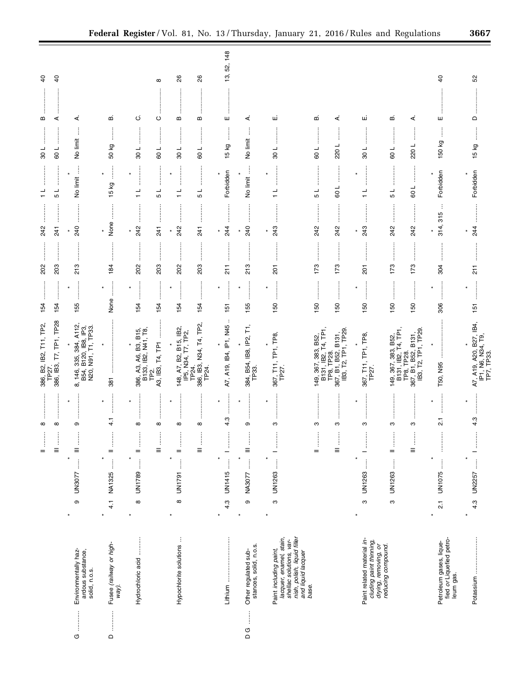|                                                                                                                                   |                                                                                  | $\infty$<br>$\begin{array}{c} \vdots \\ \vdots \\ \vdots \end{array}$ | 386, B2, IB2, T11, TP2,<br>TP27.                                                                       | 154                                                               | 202                          | 242                                                | $\frac{1}{1}$                        | 100                                           | j<br>m       | $\overline{6}$ |
|-----------------------------------------------------------------------------------------------------------------------------------|----------------------------------------------------------------------------------|-----------------------------------------------------------------------|--------------------------------------------------------------------------------------------------------|-------------------------------------------------------------------|------------------------------|----------------------------------------------------|--------------------------------------|-----------------------------------------------|--------------|----------------|
|                                                                                                                                   |                                                                                  | j<br>$\infty$<br>$\begin{array}{c} \frac{1}{2} \\ \equiv \end{array}$ | 386, IB3, T7, TP1, TP28                                                                                | <br>154                                                           | <br>203                      | 241                                                | <br>┙<br>5                           | :<br>:<br>:<br>:<br>100                       | ⋖            | $\overline{a}$ |
| Environmentally haz-<br>ardous substance,<br>solid, n.o.s.<br>$\begin{array}{cccc}\nG & \cdots & \cdots & \cdots\n\end{array}$    | $\vdots$<br>UN3077<br>$\circ$                                                    | თ<br>$\begin{array}{c}\n\vdots \\ \hline\n\end{array}$                | 8, 146, 335, 384, A112,<br>B54, B120, IB8, IP3,<br>N20, N91, T1, TP33.                                 | 155                                                               | 213                          | 240                                                | No limit                             | j<br>No limit                                 | ∢            |                |
| Fusee (railway or high-<br>way).<br>$\Omega$                                                                                      | $\begin{array}{c} \begin{array}{c} 1 \\ 1 \end{array} \end{array}$<br>4.1 NA1325 | .<br>.<br>.<br>.<br>.<br>¥<br>$\frac{1}{4}$<br>$\vdots$<br>$=$        | 381                                                                                                    | $\begin{array}{c} \vdots \\ \vdots \\ \vdots \end{array}$<br>None | <br>184                      | :<br>:<br>:<br>None                                | $\frac{1}{2}$<br>15 kg               | $\vdots$<br>50 kg                             | ഥാ           |                |
| Hydrochloric acid                                                                                                                 | UN1789<br>$\infty$                                                               | ŧ<br>$\infty$<br>$\vdots$<br>$=$                                      | 386, A3, A6, B3, B15,<br>B133, IB2, N41, T8,<br>A3, IB3, T4, TP1<br>TP <sub>2</sub>                    | <br>154                                                           | :<br>:<br>:<br>202           | <br>242                                            | $\frac{1}{\tau}$                     | <br>108                                       | ن            |                |
| Hypochlorite solutions                                                                                                            | j<br>UN1791<br>$\infty$                                                          | $^\infty$<br>$\infty$<br>ŧ<br>ļ<br>$\equiv$<br>$=$                    | 148, A7, B2, B15, IB2,<br>IP5, N34, T7, TP2,                                                           | .<br>.<br>.<br>.<br>.<br>$\star$<br>154<br>154                    | <br>203<br>202               | :<br>:<br>:<br>:<br> <br> <br> <br> <br>242<br>241 | ┙<br>$\frac{1}{\tau}$<br>5           | :<br>:<br>:<br>:<br>:<br>:<br>┙<br>1 09<br>80 | $\circ$<br>m | 26<br>∞        |
|                                                                                                                                   |                                                                                  | $\infty$<br>$\frac{1}{2}$                                             | 386, IB3, N34, T4, TP2,<br>TP24.<br>TP24.                                                              | 154                                                               | <br>203                      | <br>241                                            | $\overline{\phantom{a}}$<br>Ю        | :<br>:<br>:<br>:<br>109                       | <br>B        | 26             |
| Lithium                                                                                                                           | j<br>UN1415<br>4.3<br>×                                                          | <br>×<br>4.3<br>÷                                                     | ÷<br>A7, A19, IB4, IP1, N45                                                                            | <br>×<br>151                                                      | İ<br>$\frac{1}{21}$          | <br>24<br>×                                        | Forbidden                            | İ<br>Σò<br>15                                 | ш            | 13, 52, 148    |
| Other regulated sub-<br>stances, solid, n.o.s.<br><b>DG</b>                                                                       | $\ddot{\ddot{\cdot}}$<br>NA3077<br>$\circ$                                       | $\star$<br>თ<br>ļ<br>$\equiv$                                         | $\overline{\mathsf{r}}$<br>384, B54, IB8, IP2,<br>TP33.                                                | $\ast$<br>155                                                     | .<br>.<br>.<br>.<br>.<br>213 | 240                                                | Ĵ<br>$\ast$<br>No limit              | No limit                                      | ∢            |                |
| nish, polish, liquid filler<br>and liquid lacquer<br>lacquer, enamel, stain,<br>shellac solutions, var-<br>Paint including paint, | UN1263<br>ო                                                                      | ო                                                                     | 367, T11, TP1, TP8,<br>TP27.                                                                           | ×<br>150                                                          | $\overline{5}$               | 243<br>×                                           | ┙                                    | ┙<br>80                                       | ш            |                |
| base.                                                                                                                             |                                                                                  | ო<br>ļ<br>$=$                                                         | B131, IB2, T4, TP1<br>383, B52<br>149, 367,                                                            | 150                                                               | 173                          | 242                                                | ┙<br>Ю                               | ┙<br>8                                        | m            |                |
|                                                                                                                                   |                                                                                  | ო<br>ļ<br>Ξ                                                           | TP8, TP28.<br>367, B1, B52, B131,<br>IB3, T2, TP1, TP29.                                               | 150                                                               | 173                          | 242                                                | l<br>1 09                            | ┙<br>220                                      | ∢            |                |
| Paint related material in-<br>cluding paint thinning,<br>drying, removing, or<br>reducing compound.                               | UN1263<br>ო                                                                      | ო<br>j                                                                | 367, T11, TP1, TP8,<br>¥<br>TP27.                                                                      | ¥<br>150                                                          | $\overline{5}$               | 243<br>×                                           | :<br>:<br>:<br>:<br>$\frac{1}{\tau}$ | 100                                           | щ            |                |
|                                                                                                                                   | UN1263<br>ო                                                                      | ო<br>ļ<br>$=$                                                         |                                                                                                        | 150                                                               | 173                          | :<br>:<br>:<br>:<br>242                            | <br>┙<br>Ю                           | ÷<br>$-109$                                   | ഥ            |                |
|                                                                                                                                   |                                                                                  | S<br>$\begin{array}{c} 1 \\ 0 \\ 0 \end{array}$                       | 149, 367, 383, B52,<br>B131, IB2, T4, TP1,<br>TP8, TP28.<br>367, B1, B52, B131,<br>IB3, T2, TP1, TP29. | 150                                                               | 173                          | 242                                                | 109                                  | 220L                                          | ∢            |                |
| fied or Liquefied petro-<br>Petroleum gases, lique-<br>leum gas.                                                                  | $\ast$<br>UN1075<br>$\overline{21}$<br>×                                         | $\overline{2}$<br>İ                                                   | T50, N95                                                                                               | ¥<br>306                                                          | 304                          | ÷<br>314, 315                                      | Forbidden                            | Î<br>150 kg                                   | ш            | <del>4</del>   |
|                                                                                                                                   | UN2257  1<br>4.3<br>¥                                                            | 4.3                                                                   | A7, A19, A20, B27, IB4,<br>IP1, N6, N34, T9,<br>TP7, TP33.                                             | 151                                                               | $\overline{211}$             | 244<br>×                                           | Forbidden                            | 15 kg                                         | $\Omega$     | SS             |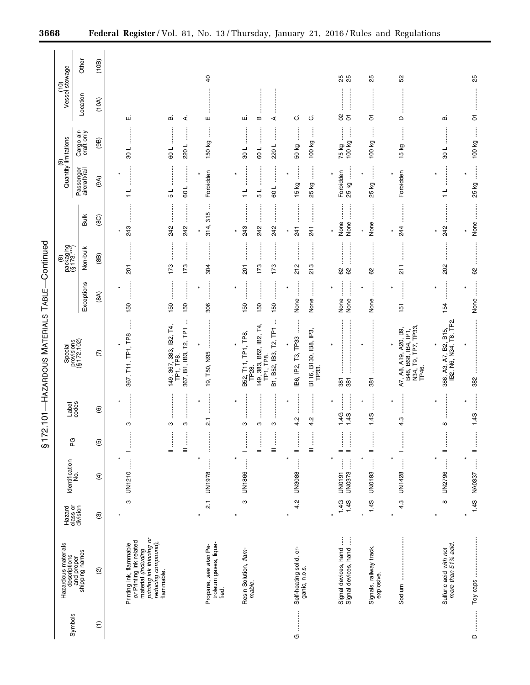|                 |                                                                                                       |                                |                                          | \$17                                         |                                    | 2.101-HAZARDOUS MATERIALS TABLE-                                                                   |                                                                                                                                                                                                                                                                                                                                              | -Continued                                                         |                            |                                             |                              |                                |                |
|-----------------|-------------------------------------------------------------------------------------------------------|--------------------------------|------------------------------------------|----------------------------------------------|------------------------------------|----------------------------------------------------------------------------------------------------|----------------------------------------------------------------------------------------------------------------------------------------------------------------------------------------------------------------------------------------------------------------------------------------------------------------------------------------------|--------------------------------------------------------------------|----------------------------|---------------------------------------------|------------------------------|--------------------------------|----------------|
| Symbols         | Hazardous materials<br>descriptions<br>and proper<br>shipping names                                   | Hazard<br>class or<br>division | Identification<br>No.                    | PG                                           | Label<br>codes                     | Special<br>provisions<br>(§ 172.102)                                                               |                                                                                                                                                                                                                                                                                                                                              | $\begin{array}{c} (8) \ \text{packaging} \ (8173, **) \end{array}$ |                            | (9)<br>Quantity limitations                 |                              | (10)<br>Vessel stowage         |                |
|                 |                                                                                                       |                                |                                          |                                              |                                    |                                                                                                    | Exceptions                                                                                                                                                                                                                                                                                                                                   | Non-bulk                                                           | Bulk                       | Passenger<br>aircraft/rail                  | Cargo air-<br>craft only     | Location                       | Other          |
| $\widehat{\Xi}$ | $\widehat{\omega}$                                                                                    | $\circledcirc$                 | $\widehat{f}$                            | $\widetilde{5}$                              | $\circlede$                        | $\widehat{C}$                                                                                      | (8A)                                                                                                                                                                                                                                                                                                                                         | (88)                                                               | (8C)                       | (9A)                                        | (9B)                         | (10A)                          | (10B)          |
|                 | printing ink thinning or<br>Printing ink, flammable<br>or Printing ink related<br>material (including |                                | j<br>UN1210<br>ო                         | İ                                            | $\star$<br>ო                       | j<br>367, T11, TP1, TP8                                                                            | 150                                                                                                                                                                                                                                                                                                                                          | <b>201</b>                                                         | 243                        | $\frac{1}{1}$                               | $\frac{1}{8}$                | ші                             |                |
|                 | reducing compound),<br>flammable.                                                                     |                                |                                          | ļ<br>ļ<br>$\equiv$<br>$=$                    | ÷<br>S<br>S                        | ÷<br>149, 367, 383, IB2, T4,<br>367, B1, IB3, T2, TP1<br>TP1, TP8.                                 | 150<br>150                                                                                                                                                                                                                                                                                                                                   | 173<br>173                                                         | 242<br>242                 | 100<br>5                                    | 220L<br>109                  | ∢<br>മ                         |                |
|                 | troleum gases, lique-<br>Propane, see also Pe-<br>fied.                                               | بر<br>21                       | j<br>UN1978                              | :<br>:<br>:<br>:<br>×                        | <br>$\star$<br>21                  | 19, T50, N95                                                                                       | :<br>:<br>:<br>:<br>×<br>306                                                                                                                                                                                                                                                                                                                 | 304                                                                | ÷<br>314, 315              | Forbidden<br>×                              | ļ<br>150 kg                  | ŧ<br>ш                         | $\overline{4}$ |
|                 | Resin Solution, flam-<br>mable.                                                                       | ო                              | j<br>UN1866                              | j<br>ļ<br>$=$<br><sup>-</sup><br>$\star$     | ŧ<br>÷<br>ო<br>ო<br>ო              | ÷<br>149, 383, B52, IB2, T4,<br>B1, B52, IB3, T2, TP1<br>B52, T11, TP1, TP8,<br>TP28.<br>TP1, TP8. | <br>.<br>.<br>.<br>.<br>.<br>.<br><br>150<br>150<br>150                                                                                                                                                                                                                                                                                      | $\vdots$<br><br>:<br>:<br>:<br>173<br>173<br>$\overline{201}$      | 243<br>242<br>242          | 109<br>$\frac{1}{1}$<br>$\frac{1}{5}$       | 220L<br>109<br>$\frac{1}{8}$ | ші<br>⋖<br>B                   |                |
| O               | Self-heating solid, or-<br>ganic, n.o.s.                                                              | 4.2                            | $\vdots$<br><b>UN3088</b>                | $\vdots$<br>$\vdots$<br>$\equiv$<br>$=$<br>× | <br> <br> <br> <br>×<br>4.2<br>4.2 | B116, B130, IB8, IP3,<br>TP33.<br>IB6, IP2, T3, TP33<br>$\star$                                    | $\begin{bmatrix} 1 & 0 & 0 & 0 \\ 0 & 1 & 0 & 0 \\ 0 & 0 & 0 & 0 \\ 0 & 0 & 0 & 0 \\ 0 & 0 & 0 & 0 \\ 0 & 0 & 0 & 0 \\ 0 & 0 & 0 & 0 \\ 0 & 0 & 0 & 0 & 0 \\ 0 & 0 & 0 & 0 & 0 \\ 0 & 0 & 0 & 0 & 0 \\ 0 & 0 & 0 & 0 & 0 & 0 \\ 0 & 0 & 0 & 0 & 0 & 0 \\ 0 & 0 & 0 & 0 & 0 & 0 \\ 0 & 0 & 0 & 0 & 0 & 0 \\ 0 & 0 & 0 & 0 & $<br>None<br>None | 213<br>212                                                         | 241<br>241<br>×            | ļ<br>25 kg<br>15 kg                         | ļ<br>100 kg<br>50 kg         | ن<br>ပ                         |                |
|                 | Ì<br>Signal devices, hand<br>Signal devices, hand                                                     | 1.4S<br>1.4G                   | j<br>Ĵ<br><b>UN0373</b><br><b>UN0191</b> | ļ<br>ļ<br>$=$<br>$\equiv$<br>۰               | 1.4G<br>1.4S                       | 381<br>381                                                                                         | l<br>None<br>None                                                                                                                                                                                                                                                                                                                            | 8<br>8                                                             | $\ddot{}}$<br>None<br>None | ļ<br>Forbidden<br>25 kg                     | j<br>100 kg<br>75 kg         | $\rm ^\odot$<br>$\overline{5}$ | 25<br>25       |
|                 | Signals, railway track,<br>explosive                                                                  | 1.4S<br>$\star$                | Î<br><b>UN0193</b>                       | ļ<br>$=$<br>$\star$                          | $\ddot{\phantom{a}}$<br>1.4S       | $\star$<br>381                                                                                     | <br> <br> <br> <br>None                                                                                                                                                                                                                                                                                                                      | <br>8                                                              | İ<br>None                  | ļ<br>$\ast$<br>25 kg                        | ļ<br>100 kg                  | 5                              | 25             |
|                 | Sodium                                                                                                | 4.3<br>÷                       | $\vdots$<br>UN1428                       | $\frac{1}{2}$                                | 4.3                                | N34, T9, TP7, TP33<br>A7, A8, A19, A20, B9,<br>B48, B68, IB4, IP1,<br>TP46.                        | 151                                                                                                                                                                                                                                                                                                                                          | $\frac{1}{2}$                                                      | 244                        | Forbidden                                   | 15 kg                        | $\Omega$                       | 52             |
|                 | Sulfuric acid with not<br>more than 51% acid.                                                         | $\infty$                       | $\frac{1}{2}$<br>UN2796                  | ļ<br>$=$<br>$\star$                          | $\star$<br>$\infty$                | 386, A3, A7, B2, B15,<br>IB2, N6, N34, T8, TP2.                                                    | 154                                                                                                                                                                                                                                                                                                                                          | <br>202                                                            | <br>242                    | .<br>.<br>.<br>.<br>.<br>.<br>$\frac{1}{1}$ | :<br>:<br>:<br>:<br>108      | മ                              |                |
| $\circ$         |                                                                                                       | 1.4S<br>$\star$                | NA0337  II                               |                                              | :<br>:<br>:<br>:<br>1.4S           | 382                                                                                                | $\ddot{\phantom{a}}$<br>None                                                                                                                                                                                                                                                                                                                 | <u>:</u><br>8                                                      | None<br>×                  | $\vdots$<br>25 kg                           | j<br>100 kg                  | $\overline{5}$                 | 25             |

Ξ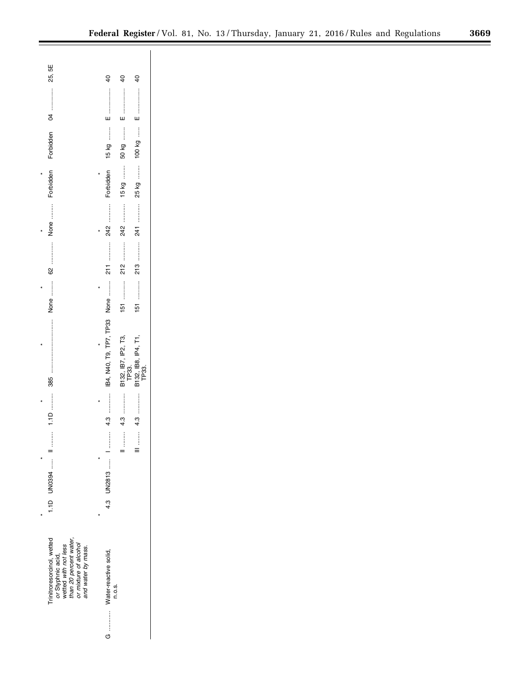|                                                                                                                                                | $\overline{6}$               | dd                           | 9                   |
|------------------------------------------------------------------------------------------------------------------------------------------------|------------------------------|------------------------------|---------------------|
|                                                                                                                                                | $E =$                        | $E =$                        |                     |
|                                                                                                                                                |                              |                              |                     |
|                                                                                                                                                | 15 kg                        | 50 kg                        |                     |
|                                                                                                                                                |                              |                              |                     |
| Forbidden                                                                                                                                      | Forbidden                    |                              |                     |
|                                                                                                                                                |                              |                              |                     |
|                                                                                                                                                |                              |                              |                     |
|                                                                                                                                                |                              |                              |                     |
|                                                                                                                                                |                              |                              |                     |
|                                                                                                                                                |                              |                              |                     |
|                                                                                                                                                |                              |                              |                     |
|                                                                                                                                                |                              |                              | $\frac{15}{2}$      |
|                                                                                                                                                |                              |                              |                     |
|                                                                                                                                                |                              |                              |                     |
|                                                                                                                                                | IB4, N40, T9, TP7, TP33 None | B132, IB7, IP2, T3,<br>TP33. | B132, IB8, IP4, T1, |
|                                                                                                                                                |                              |                              |                     |
| $\frac{1}{2}$                                                                                                                                  |                              |                              |                     |
|                                                                                                                                                |                              |                              |                     |
| I.1D UN0394  II                                                                                                                                | :<br>:<br>:<br>:             | $\vdots$                     | $\ddot{}\ddot{}$    |
|                                                                                                                                                | $4.3$ UN2813  1              |                              |                     |
|                                                                                                                                                |                              |                              |                     |
|                                                                                                                                                |                              |                              |                     |
|                                                                                                                                                |                              |                              |                     |
| initroresorcinol, wetted<br>than 20 percent water,<br>or mixture of alcohol<br>or Styphnic acid,<br>wetted with not less<br>and water by mass. |                              |                              |                     |
|                                                                                                                                                | Water-reactive solid,        |                              |                     |
|                                                                                                                                                | n.o.s.                       |                              |                     |
|                                                                                                                                                | $G$ , ,                      |                              |                     |
|                                                                                                                                                |                              |                              |                     |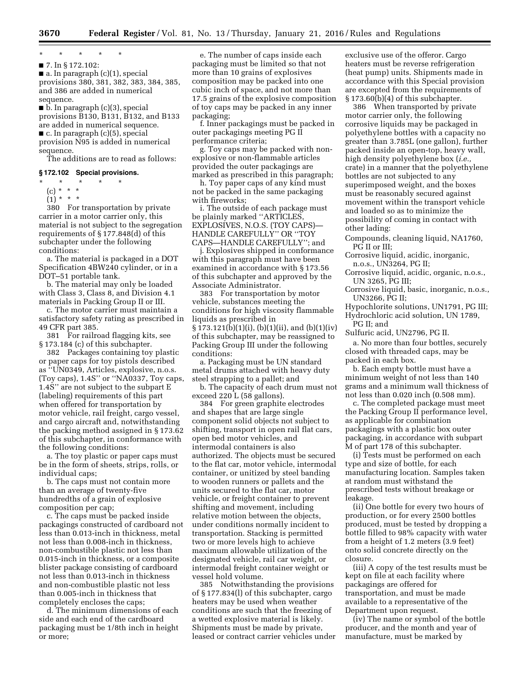#### \* \* \* \* \*

■ 7. In § 172.102:  $\blacksquare$  a. In paragraph  $(c)(1)$ , special provisions 380, 381, 382, 383, 384, 385, and 386 are added in numerical sequence.

 $\blacksquare$  b. In paragraph (c)(3), special provisions B130, B131, B132, and B133 are added in numerical sequence.

■ c. In paragraph (c)(5), special provision N95 is added in numerical

sequence. The additions are to read as follows:

#### **§ 172.102 Special provisions.**

- \* \* \* \* \*
- (c) \* \* \*
- $(1) * * * *$

380 For transportation by private carrier in a motor carrier only, this material is not subject to the segregation requirements of § 177.848(d) of this subchapter under the following conditions:

a. The material is packaged in a DOT Specification 4BW240 cylinder, or in a DOT–51 portable tank.

b. The material may only be loaded with Class 3, Class 8, and Division 4.1 materials in Packing Group II or III.

c. The motor carrier must maintain a satisfactory safety rating as prescribed in 49 CFR part 385.

381 For railroad flagging kits, see § 173.184 (c) of this subchapter.

382 Packages containing toy plastic or paper caps for toy pistols described as ''UN0349, Articles, explosive, n.o.s. (Toy caps), 1.4S'' or ''NA0337, Toy caps, 1.4S'' are not subject to the subpart E (labeling) requirements of this part when offered for transportation by motor vehicle, rail freight, cargo vessel, and cargo aircraft and, notwithstanding the packing method assigned in § 173.62 of this subchapter, in conformance with the following conditions:

a. The toy plastic or paper caps must be in the form of sheets, strips, rolls, or individual caps;

b. The caps must not contain more than an average of twenty-five hundredths of a grain of explosive composition per cap;

c. The caps must be packed inside packagings constructed of cardboard not less than 0.013-inch in thickness, metal not less than 0.008-inch in thickness, non-combustible plastic not less than 0.015-inch in thickness, or a composite blister package consisting of cardboard not less than 0.013-inch in thickness and non-combustible plastic not less than 0.005-inch in thickness that completely encloses the caps;

d. The minimum dimensions of each side and each end of the cardboard packaging must be 1/8th inch in height or more;

e. The number of caps inside each packaging must be limited so that not more than 10 grains of explosives composition may be packed into one cubic inch of space, and not more than 17.5 grains of the explosive composition of toy caps may be packed in any inner packaging;

f. Inner packagings must be packed in outer packagings meeting PG II performance criteria;

g. Toy caps may be packed with nonexplosive or non-flammable articles provided the outer packagings are marked as prescribed in this paragraph;

h. Toy paper caps of any kind must not be packed in the same packaging with fireworks;

i. The outside of each package must be plainly marked ''ARTICLES, EXPLOSIVES, N.O.S. (TOY CAPS)— HANDLE CAREFULLY'' OR ''TOY CAPS—HANDLE CAREFULLY''; and

j. Explosives shipped in conformance with this paragraph must have been examined in accordance with § 173.56 of this subchapter and approved by the Associate Administrator.

383 For transportation by motor vehicle, substances meeting the conditions for high viscosity flammable liquids as prescribed in § 173.121(b)(1)(i), (b)(1)(ii), and (b)(1)(iv) of this subchapter, may be reassigned to Packing Group III under the following conditions:

a. Packaging must be UN standard metal drums attached with heavy duty steel strapping to a pallet; and

b. The capacity of each drum must not exceed 220 L (58 gallons).

384 For green graphite electrodes and shapes that are large single component solid objects not subject to shifting, transport in open rail flat cars, open bed motor vehicles, and intermodal containers is also authorized. The objects must be secured to the flat car, motor vehicle, intermodal container, or unitized by steel banding to wooden runners or pallets and the units secured to the flat car, motor vehicle, or freight container to prevent shifting and movement, including relative motion between the objects, under conditions normally incident to transportation. Stacking is permitted two or more levels high to achieve maximum allowable utilization of the designated vehicle, rail car weight, or intermodal freight container weight or vessel hold volume.

385 Notwithstanding the provisions of § 177.834(l) of this subchapter, cargo heaters may be used when weather conditions are such that the freezing of a wetted explosive material is likely. Shipments must be made by private, leased or contract carrier vehicles under

exclusive use of the offeror. Cargo heaters must be reverse refrigeration (heat pump) units. Shipments made in accordance with this Special provision are excepted from the requirements of § 173.60(b)(4) of this subchapter.

386 When transported by private motor carrier only, the following corrosive liquids may be packaged in polyethylene bottles with a capacity no greater than 3.785L (one gallon), further packed inside an open-top, heavy wall, high density polyethylene box (*i.e.,*  crate) in a manner that the polyethylene bottles are not subjected to any superimposed weight, and the boxes must be reasonably secured against movement within the transport vehicle and loaded so as to minimize the possibility of coming in contact with other lading:

Compounds, cleaning liquid, NA1760, PG II or III;

Corrosive liquid, acidic, inorganic, n.o.s., UN3264, PG II;

Corrosive liquid, acidic, organic, n.o.s., UN 3265, PG III;

Corrosive liquid, basic, inorganic, n.o.s., UN3266, PG II;

Hypochlorite solutions, UN1791, PG III;

Hydrochloric acid solution, UN 1789, PG II; and

Sulfuric acid, UN2796, PG II.

a. No more than four bottles, securely closed with threaded caps, may be packed in each box.

b. Each empty bottle must have a minimum weight of not less than 140 grams and a minimum wall thickness of not less than 0.020 inch (0.508 mm).

c. The completed package must meet the Packing Group II performance level, as applicable for combination packagings with a plastic box outer packaging, in accordance with subpart M of part 178 of this subchapter.

(i) Tests must be performed on each type and size of bottle, for each manufacturing location. Samples taken at random must withstand the prescribed tests without breakage or leakage.

(ii) One bottle for every two hours of production, or for every 2500 bottles produced, must be tested by dropping a bottle filled to 98% capacity with water from a height of 1.2 meters (3.9 feet) onto solid concrete directly on the closure.

(iii) A copy of the test results must be kept on file at each facility where packagings are offered for transportation, and must be made available to a representative of the Department upon request.

(iv) The name or symbol of the bottle producer, and the month and year of manufacture, must be marked by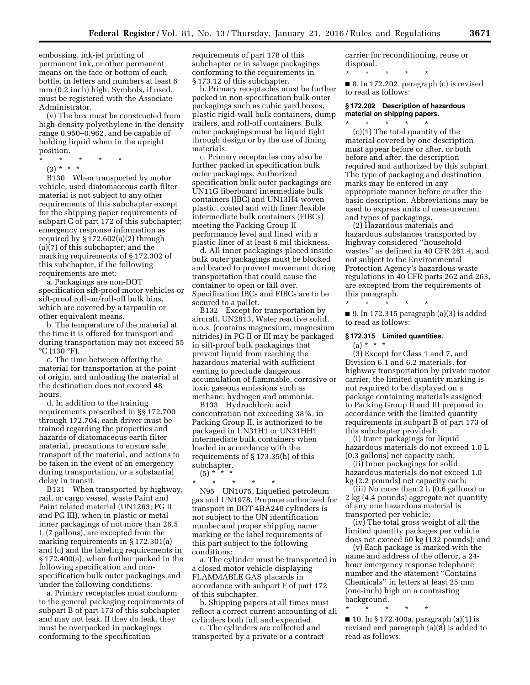embossing, ink-jet printing of permanent ink, or other permanent means on the face or bottom of each bottle, in letters and numbers at least 6 mm (0.2 inch) high. Symbols, if used, must be registered with the Associate Administrator.

(v) The box must be constructed from high-density polyethylene in the density range 0.950–0.962, and be capable of holding liquid when in the upright position.

\* \* \* \* \*

(3) \* \* \*

B130 When transported by motor vehicle, used diatomaceous earth filter material is not subject to any other requirements of this subchapter except for the shipping paper requirements of subpart C of part 172 of this subchapter; emergency response information as required by § 172.602(a)(2) through (a)(7) of this subchapter; and the marking requirements of § 172.302 of this subchapter, if the following requirements are met:

a. Packagings are non-DOT specification sift-proof motor vehicles or sift-proof roll-on/roll-off bulk bins, which are covered by a tarpaulin or other equivalent means.

b. The temperature of the material at the time it is offered for transport and during transportation may not exceed 55  $\mathrm{^{\circ}C}$  (130  $\mathrm{^{\circ}F}$ ).

c. The time between offering the material for transportation at the point of origin, and unloading the material at the destination does not exceed 48 hours.

d. In addition to the training requirements prescribed in §§ 172.700 through 172.704, each driver must be trained regarding the properties and hazards of diatomaceous earth filter material, precautions to ensure safe transport of the material, and actions to be taken in the event of an emergency during transportation, or a substantial delay in transit.

B131 When transported by highway, rail, or cargo vessel, waste Paint and Paint related material (UN1263; PG II and PG III), when in plastic or metal inner packagings of not more than 26.5 L (7 gallons), are excepted from the marking requirements in § 172.301(a) and (c) and the labeling requirements in § 172.400(a), when further packed in the following specification and nonspecification bulk outer packagings and under the following conditions:

a. Primary receptacles must conform to the general packaging requirements of subpart B of part 173 of this subchapter and may not leak. If they do leak, they must be overpacked in packagings conforming to the specification

requirements of part 178 of this subchapter or in salvage packagings conforming to the requirements in § 173.12 of this subchapter.

b. Primary receptacles must be further packed in non-specification bulk outer packagings such as cubic yard boxes, plastic rigid-wall bulk containers, dump trailers, and roll-off containers. Bulk outer packagings must be liquid tight through design or by the use of lining materials.

c. Primary receptacles may also be further packed in specification bulk outer packagings. Authorized specification bulk outer packagings are UN11G fiberboard intermediate bulk containers (IBC) and UN13H4 woven plastic, coated and with liner flexible intermediate bulk containers (FIBCs) meeting the Packing Group II performance level and lined with a plastic liner of at least 6 mil thickness.

d. All inner packagings placed inside bulk outer packagings must be blocked and braced to prevent movement during transportation that could cause the container to open or fall over. Specification IBCs and FIBCs are to be secured to a pallet.

B132 Except for transportation by aircraft, UN2813, Water reactive solid, n.o.s. (contains magnesium, magnesium nitrides) in PG II or III may be packaged in sift-proof bulk packagings that prevent liquid from reaching the hazardous material with sufficient venting to preclude dangerous accumulation of flammable, corrosive or toxic gaseous emissions such as methane, hydrogen and ammonia.

B133 Hydrochloric acid concentration not exceeding 38%, in Packing Group II, is authorized to be packaged in UN31H1 or UN31HH1 intermediate bulk containers when loaded in accordance with the requirements of § 173.35(h) of this subchapter.  $(5) *$  \* \*

\* \* \* \* \*

N95 UN1075, Liquefied petroleum gas and UN1978, Propane authorized for transport in DOT 4BA240 cylinders is not subject to the UN identification number and proper shipping name marking or the label requirements of this part subject to the following conditions:

a. The cylinder must be transported in a closed motor vehicle displaying FLAMMABLE GAS placards in accordance with subpart F of part 172 of this subchapter.

b. Shipping papers at all times must reflect a correct current accounting of all cylinders both full and expended.

c. The cylinders are collected and transported by a private or a contract carrier for reconditioning, reuse or disposal.

\* \* \* \* \* ■ 8. In 172.202, paragraph (c) is revised

to read as follows:

#### **§ 172.202 Description of hazardous material on shipping papers.**  \* \* \* \* \*

(c)(1) The total quantity of the material covered by one description must appear before or after, or both before and after, the description required and authorized by this subpart. The type of packaging and destination marks may be entered in any appropriate manner before or after the basic description. Abbreviations may be used to express units of measurement and types of packagings.

(2) Hazardous materials and hazardous substances transported by highway considered ''household wastes'' as defined in 40 CFR 261.4, and not subject to the Environmental Protection Agency's hazardous waste regulations in 40 CFR parts 262 and 263, are excepted from the requirements of this paragraph.

 $\blacksquare$  9. In 172.315 paragraph (a)(3) is added to read as follows:

#### **§ 172.315 Limited quantities.**

\* \* \* \* \*

 $(a) * * * *$ 

(3) Except for Class 1 and 7, and Division 6.1 and 6.2 materials, for highway transportation by private motor carrier, the limited quantity marking is not required to be displayed on a package containing materials assigned to Packing Group II and III prepared in accordance with the limited quantity requirements in subpart B of part 173 of this subchapter provided:

(i) Inner packagings for liquid hazardous materials do not exceed 1.0 L (0.3 gallons) net capacity each;

(ii) Inner packagings for solid hazardous materials do not exceed 1.0 kg (2.2 pounds) net capacity each;

(iii) No more than 2 L (0.6 gallons) or 2 kg (4.4 pounds) aggregate net quantity of any one hazardous material is transported per vehicle;

(iv) The total gross weight of all the limited quantity packages per vehicle does not exceed 60 kg (132 pounds); and

(v) Each package is marked with the name and address of the offeror, a 24 hour emergency response telephone number and the statement ''Contains Chemicals'' in letters at least 25 mm (one-inch) high on a contrasting background.

\* \* \* \* \* ■ 10. In § 172.400a, paragraph (a)(1) is revised and paragraph (a)(8) is added to read as follows: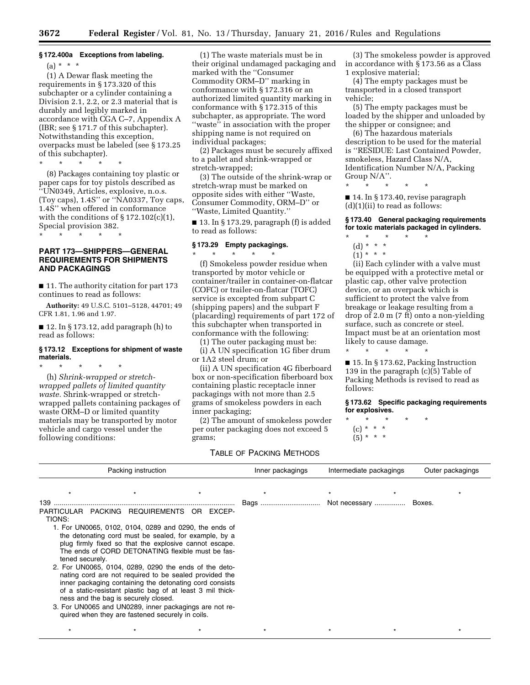#### **§ 172.400a Exceptions from labeling.**

#### $(a) * * * *$

(1) A Dewar flask meeting the requirements in § 173.320 of this subchapter or a cylinder containing a Division 2.1, 2.2, or 2.3 material that is durably and legibly marked in accordance with CGA C–7, Appendix A (IBR; see § 171.7 of this subchapter). Notwithstanding this exception, overpacks must be labeled (see § 173.25 of this subchapter).

\* \* \* \* \*

(8) Packages containing toy plastic or paper caps for toy pistols described as ''UN0349, Articles, explosive, n.o.s. (Toy caps), 1.4S'' or ''NA0337, Toy caps, 1.4S'' when offered in conformance with the conditions of  $\S 172.102(c)(1)$ , Special provision 382.

\* \* \* \* \*

#### **PART 173—SHIPPERS—GENERAL REQUIREMENTS FOR SHIPMENTS AND PACKAGINGS**

■ 11. The authority citation for part 173 continues to read as follows:

**Authority:** 49 U.S.C. 5101–5128, 44701; 49 CFR 1.81, 1.96 and 1.97.

■ 12. In § 173.12, add paragraph (h) to read as follows:

#### **§ 173.12 Exceptions for shipment of waste materials.**

\* \* \* \* \* (h) *Shrink-wrapped or stretchwrapped pallets of limited quantity waste.* Shrink-wrapped or stretchwrapped pallets containing packages of waste ORM–D or limited quantity materials may be transported by motor vehicle and cargo vessel under the following conditions:

(1) The waste materials must be in their original undamaged packaging and marked with the ''Consumer Commodity ORM–D'' marking in conformance with § 172.316 or an authorized limited quantity marking in conformance with § 172.315 of this subchapter, as appropriate. The word ''waste'' in association with the proper shipping name is not required on individual packages;

(2) Packages must be securely affixed to a pallet and shrink-wrapped or stretch-wrapped;

(3) The outside of the shrink-wrap or stretch-wrap must be marked on opposite sides with either ''Waste, Consumer Commodity, ORM–D'' or ''Waste, Limited Quantity.''

■ 13. In § 173.29, paragraph (f) is added to read as follows:

#### **§ 173.29 Empty packagings.**   $\star$   $\star$   $\star$

(f) Smokeless powder residue when transported by motor vehicle or container/trailer in container-on-flatcar (COFC) or trailer-on-flatcar (TOFC) service is excepted from subpart C (shipping papers) and the subpart F (placarding) requirements of part 172 of this subchapter when transported in conformance with the following:

(1) The outer packaging must be:

(i) A UN specification 1G fiber drum or 1A2 steel drum; or

(ii) A UN specification 4G fiberboard box or non-specification fiberboard box containing plastic receptacle inner packagings with not more than 2.5 grams of smokeless powders in each inner packaging;

(2) The amount of smokeless powder per outer packaging does not exceed 5 grams;

#### TABLE OF PACKING METHODS

(3) The smokeless powder is approved in accordance with § 173.56 as a Class 1 explosive material;

(4) The empty packages must be transported in a closed transport vehicle;

(5) The empty packages must be loaded by the shipper and unloaded by the shipper or consignee; and

(6) The hazardous materials description to be used for the material is ''RESIDUE: Last Contained Powder, smokeless, Hazard Class N/A, Identification Number N/A, Packing Group N/A''. \* \* \* \* \*

■ 14. In § 173.40, revise paragraph  $(d)(1)(ii)$  to read as follows:

#### **§ 173.40 General packaging requirements for toxic materials packaged in cylinders.**

- \* \* \* \* \*
	- (d) \* \* \*
	- $(1) * * * *$

(ii) Each cylinder with a valve must be equipped with a protective metal or plastic cap, other valve protection device, or an overpack which is sufficient to protect the valve from breakage or leakage resulting from a drop of 2.0 m (7 ft) onto a non-yielding surface, such as concrete or steel. Impact must be at an orientation most likely to cause damage. \* \* \* \* \*

■ 15. In § 173.62, Packing Instruction 139 in the paragraph (c)(5) Table of Packing Methods is revised to read as follows:

**§ 173.62 Specific packaging requirements for explosives.** 

\* \* \* \* \* (c) \* \* \*  $(5) * * * *$ 

Packing instruction The Inner packagings Intermediate packagings Outer packagings \*\*\*\*\*\*\* 139 .............................................................................................. Bags ............................... Not necessary ................ Boxes. PARTICULAR PACKING REQUIREMENTS OR EXCEP-TIONS: 1. For UN0065, 0102, 0104, 0289 and 0290, the ends of the detonating cord must be sealed, for example, by a plug firmly fixed so that the explosive cannot escape. The ends of CORD DETONATING flexible must be fastened securely. 2. For UN0065, 0104, 0289, 0290 the ends of the detonating cord are not required to be sealed provided the inner packaging containing the detonating cord consists of a static-resistant plastic bag of at least 3 mil thickness and the bag is securely closed. 3. For UN0065 and UN0289, inner packagings are not required when they are fastened securely in coils.

\* \* \* \* \* \* \* \* \* \* \* \* \* \* \*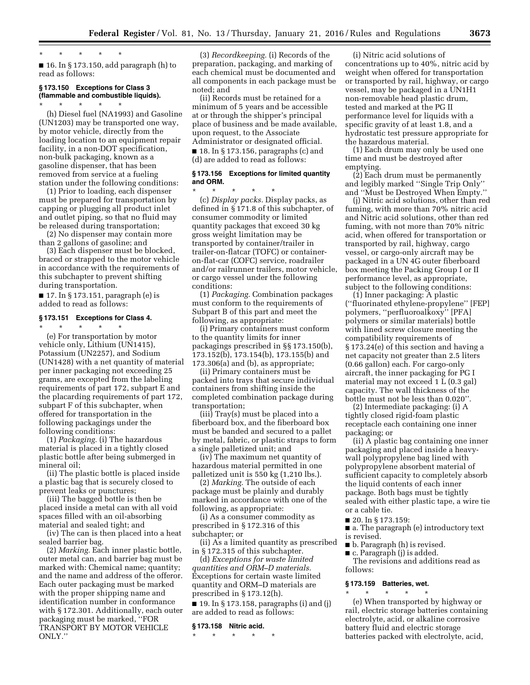#### \* \* \* \* \*

■ 16. In § 173.150, add paragraph (h) to read as follows:

#### **§ 173.150 Exceptions for Class 3 (flammable and combustible liquids).**  \* \* \* \* \*

(h) Diesel fuel (NA1993) and Gasoline (UN1203) may be transported one way, by motor vehicle, directly from the loading location to an equipment repair facility, in a non-DOT specification, non-bulk packaging, known as a gasoline dispenser, that has been removed from service at a fueling station under the following conditions:

(1) Prior to loading, each dispenser must be prepared for transportation by capping or plugging all product inlet and outlet piping, so that no fluid may be released during transportation;

(2) No dispenser may contain more than 2 gallons of gasoline; and

(3) Each dispenser must be blocked, braced or strapped to the motor vehicle in accordance with the requirements of this subchapter to prevent shifting during transportation.

■ 17. In § 173.151, paragraph (e) is added to read as follows:

#### **§ 173.151 Exceptions for Class 4.**  \* \* \* \* \*

(e) For transportation by motor vehicle only, Lithium (UN1415), Potassium (UN2257), and Sodium (UN1428) with a net quantity of material per inner packaging not exceeding 25 grams, are excepted from the labeling requirements of part 172, subpart E and the placarding requirements of part 172, subpart F of this subchapter, when offered for transportation in the following packagings under the following conditions:

(1) *Packaging.* (i) The hazardous material is placed in a tightly closed plastic bottle after being submerged in mineral oil;

(ii) The plastic bottle is placed inside a plastic bag that is securely closed to prevent leaks or punctures;

(iii) The bagged bottle is then be placed inside a metal can with all void spaces filled with an oil-absorbing material and sealed tight; and

(iv) The can is then placed into a heat sealed barrier bag.

(2) *Marking.* Each inner plastic bottle, outer metal can, and barrier bag must be marked with: Chemical name; quantity; and the name and address of the offeror. Each outer packaging must be marked with the proper shipping name and identification number in conformance with § 172.301. Additionally, each outer packaging must be marked, ''FOR TRANSPORT BY MOTOR VEHICLE ONLY.''

(3) *Recordkeeping.* (i) Records of the preparation, packaging, and marking of each chemical must be documented and all components in each package must be noted; and

(ii) Records must be retained for a minimum of 5 years and be accessible at or through the shipper's principal place of business and be made available, upon request, to the Associate Administrator or designated official.  $\blacksquare$  18. In § 173.156, paragraphs (c) and (d) are added to read as follows:

#### **§ 173.156 Exceptions for limited quantity and ORM.**

\* \* \* \* \* (c) *Display packs.* Display packs, as defined in § 171.8 of this subchapter, of consumer commodity or limited quantity packages that exceed 30 kg gross weight limitation may be transported by container/trailer in trailer-on-flatcar (TOFC) or containeron-flat-car (COFC) service, roadrailer and/or railrunner trailers, motor vehicle, or cargo vessel under the following conditions:

(1) *Packaging.* Combination packages must conform to the requirements of Subpart B of this part and meet the following, as appropriate:

(i) Primary containers must conform to the quantity limits for inner packagings prescribed in §§ 173.150(b), 173.152(b), 173.154(b), 173.155(b) and 173.306(a) and (b), as appropriate;

(ii) Primary containers must be packed into trays that secure individual containers from shifting inside the completed combination package during transportation;

(iii) Tray(s) must be placed into a fiberboard box, and the fiberboard box must be banded and secured to a pallet by metal, fabric, or plastic straps to form a single palletized unit; and

(iv) The maximum net quantity of hazardous material permitted in one palletized unit is 550 kg (1,210 lbs.).

(2) *Marking.* The outside of each package must be plainly and durably marked in accordance with one of the following, as appropriate:

(i) As a consumer commodity as prescribed in § 172.316 of this subchapter; or

(ii) As a limited quantity as prescribed in § 172.315 of this subchapter.

(d) *Exceptions for waste limited quantities and ORM–D materials.*  Exceptions for certain waste limited quantity and ORM–D materials are prescribed in § 173.12(h).

■ 19. In § 173.158, paragraphs (i) and (j) are added to read as follows:

#### **§ 173.158 Nitric acid.**

\* \* \* \* \*

(i) Nitric acid solutions of concentrations up to 40%, nitric acid by weight when offered for transportation or transported by rail, highway, or cargo vessel, may be packaged in a UN1H1 non-removable head plastic drum, tested and marked at the PG II performance level for liquids with a specific gravity of at least 1.8, and a hydrostatic test pressure appropriate for the hazardous material.

(1) Each drum may only be used one time and must be destroyed after emptying.

(2) Each drum must be permanently and legibly marked ''Single Trip Only'' and ''Must be Destroyed When Empty.''

(j) Nitric acid solutions, other than red fuming, with more than 70% nitric acid and Nitric acid solutions, other than red fuming, with not more than 70% nitric acid, when offered for transportation or transported by rail, highway, cargo vessel, or cargo-only aircraft may be packaged in a UN 4G outer fiberboard box meeting the Packing Group I or II performance level, as appropriate, subject to the following conditions:

(1) Inner packaging: A plastic (''fluorinated ethylene-propylene'' [FEP] polymers, ''perfluoroalkoxy'' [PFA] polymers or similar materials) bottle with lined screw closure meeting the compatibility requirements of § 173.24(e) of this section and having a net capacity not greater than 2.5 liters (0.66 gallon) each. For cargo-only aircraft, the inner packaging for PG I material may not exceed 1 L (0.3 gal) capacity. The wall thickness of the bottle must not be less than 0.020''.

(2) Intermediate packaging: (i) A tightly closed rigid-foam plastic receptacle each containing one inner packaging; or

(ii) A plastic bag containing one inner packaging and placed inside a heavywall polypropylene bag lined with polypropylene absorbent material of sufficient capacity to completely absorb the liquid contents of each inner package. Both bags must be tightly sealed with either plastic tape, a wire tie or a cable tie.

- 20. In § 173.159:
- a. The paragraph (e) introductory text is revised.
- b. Paragraph (h) is revised.
- c. Paragraph (j) is added.

The revisions and additions read as follows:

#### **§ 173.159 Batteries, wet.**

\* \* \* \* \* (e) When transported by highway or rail, electric storage batteries containing electrolyte, acid, or alkaline corrosive battery fluid and electric storage batteries packed with electrolyte, acid,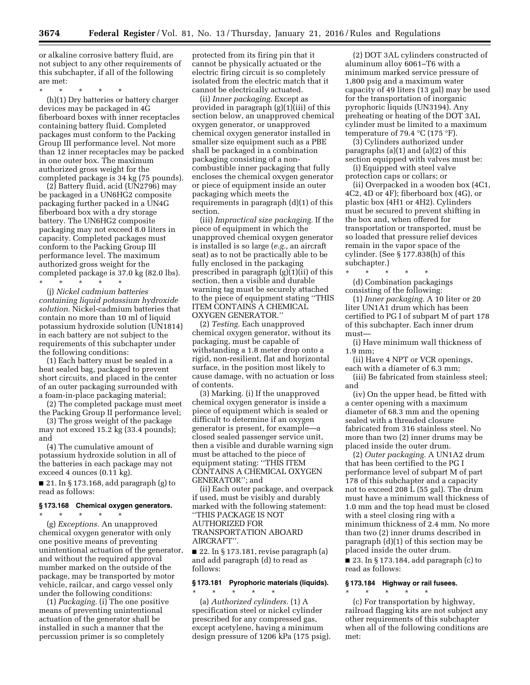or alkaline corrosive battery fluid, are not subject to any other requirements of this subchapter, if all of the following are met:

\* \* \* \* \*

(h)(1) Dry batteries or battery charger devices may be packaged in 4G fiberboard boxes with inner receptacles containing battery fluid. Completed packages must conform to the Packing Group III performance level. Not more than 12 inner receptacles may be packed in one outer box. The maximum authorized gross weight for the completed package is 34 kg (75 pounds).

(2) Battery fluid, acid (UN2796) may be packaged in a UN6HG2 composite packaging further packed in a UN4G fiberboard box with a dry storage battery. The UN6HG2 composite packaging may not exceed 8.0 liters in capacity. Completed packages must conform to the Packing Group III performance level. The maximum authorized gross weight for the completed package is 37.0 kg (82.0 lbs).

\* \* \* \* \* (j) *Nickel cadmium batteries containing liquid potassium hydroxide solution.* Nickel-cadmium batteries that contain no more than 10 ml of liquid potassium hydroxide solution (UN1814) in each battery are not subject to the requirements of this subchapter under the following conditions:

(1) Each battery must be sealed in a heat sealed bag, packaged to prevent short circuits, and placed in the center of an outer packaging surrounded with a foam-in-place packaging material;

(2) The completed package must meet the Packing Group II performance level;

(3) The gross weight of the package may not exceed 15.2 kg (33.4 pounds); and

(4) The cumulative amount of potassium hydroxide solution in all of the batteries in each package may not exceed 4 ounces (0.11 kg).

■ 21. In § 173.168, add paragraph (g) to read as follows:

#### **§ 173.168 Chemical oxygen generators.**  \* \* \* \* \*

(g) *Exceptions.* An unapproved chemical oxygen generator with only one positive means of preventing unintentional actuation of the generator, and without the required approval number marked on the outside of the package, may be transported by motor vehicle, railcar, and cargo vessel only under the following conditions:

(1) *Packaging.* (i) The one positive means of preventing unintentional actuation of the generator shall be installed in such a manner that the percussion primer is so completely

protected from its firing pin that it cannot be physically actuated or the electric firing circuit is so completely isolated from the electric match that it cannot be electrically actuated.

(ii) *Inner packaging.* Except as provided in paragraph (g)(1)(iii) of this section below, an unapproved chemical oxygen generator, or unapproved chemical oxygen generator installed in smaller size equipment such as a PBE shall be packaged in a combination packaging consisting of a noncombustible inner packaging that fully encloses the chemical oxygen generator or piece of equipment inside an outer packaging which meets the requirements in paragraph (d)(1) of this section.

(iii) *Impractical size packaging.* If the piece of equipment in which the unapproved chemical oxygen generator is installed is so large (*e.g.,* an aircraft seat) as to not be practically able to be fully enclosed in the packaging prescribed in paragraph (g)(1)(ii) of this section, then a visible and durable warning tag must be securely attached to the piece of equipment stating ''THIS ITEM CONTAINS A CHEMICAL OXYGEN GENERATOR.''

(2) *Testing.* Each unapproved chemical oxygen generator, without its packaging, must be capable of withstanding a 1.8 meter drop onto a rigid, non-resilient, flat and horizontal surface, in the position most likely to cause damage, with no actuation or loss of contents.

(3) Marking. (i) If the unapproved chemical oxygen generator is inside a piece of equipment which is sealed or difficult to determine if an oxygen generator is present, for example—a closed sealed passenger service unit, then a visible and durable warning sign must be attached to the piece of equipment stating: ''THIS ITEM CONTAINS A CHEMICAL OXYGEN GENERATOR''; and

(ii) Each outer package, and overpack if used, must be visibly and durably marked with the following statement: ''THIS PACKAGE IS NOT AUTHORIZED FOR TRANSPORTATION ABOARD AIRCRAFT''.

■ 22. In § 173.181, revise paragraph (a) and add paragraph (d) to read as follows:

#### **§ 173.181 Pyrophoric materials (liquids).**

\* \* \* \* \* (a) *Authorized cylinders.* (1) A specification steel or nickel cylinder prescribed for any compressed gas, except acetylene, having a minimum design pressure of 1206 kPa (175 psig).

(2) DOT 3AL cylinders constructed of aluminum alloy 6061–T6 with a minimum marked service pressure of 1,800 psig and a maximum water capacity of 49 liters (13 gal) may be used for the transportation of inorganic pyrophoric liquids (UN3194). Any preheating or heating of the DOT 3AL cylinder must be limited to a maximum temperature of 79.4  $^{\circ}$ C (175  $^{\circ}$ F).

(3) Cylinders authorized under paragraphs  $(a)(1)$  and  $(a)(2)$  of this section equipped with valves must be:

(i) Equipped with steel valve protection caps or collars; or

(ii) Overpacked in a wooden box (4C1, 4C2, 4D or 4F); fiberboard box (4G), or plastic box (4H1 or 4H2). Cylinders must be secured to prevent shifting in the box and, when offered for transportation or transported, must be so loaded that pressure relief devices remain in the vapor space of the cylinder. (See § 177.838(h) of this subchapter.)

\* \* \* \* \* (d) Combination packagings consisting of the following:

(1) *Inner packaging.* A 10 liter or 20 liter UN1A1 drum which has been certified to PG I of subpart M of part 178 of this subchapter. Each inner drum must—

(i) Have minimum wall thickness of 1.9 mm;

(ii) Have 4 NPT or VCR openings, each with a diameter of 6.3 mm;

(iii) Be fabricated from stainless steel; and

(iv) On the upper head, be fitted with a center opening with a maximum diameter of 68.3 mm and the opening sealed with a threaded closure fabricated from 316 stainless steel. No more than two (2) inner drums may be placed inside the outer drum.

(2) *Outer packaging.* A UN1A2 drum that has been certified to the PG I performance level of subpart M of part 178 of this subchapter and a capacity not to exceed 208 L (55 gal). The drum must have a minimum wall thickness of 1.0 mm and the top head must be closed with a steel closing ring with a minimum thickness of 2.4 mm. No more than two (2) inner drums described in paragraph (d)(1) of this section may be placed inside the outer drum.

■ 23. In § 173.184, add paragraph (c) to read as follows:

#### **§ 173.184 Highway or rail fusees.**

\* \* \* \* \* (c) For transportation by highway, railroad flagging kits are not subject any other requirements of this subchapter when all of the following conditions are met: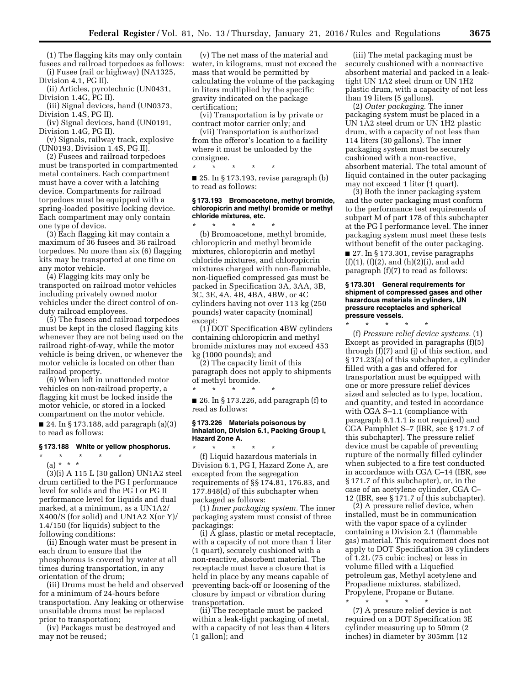(1) The flagging kits may only contain fusees and railroad torpedoes as follows:

(i) Fusee (rail or highway) (NA1325, Division 4.1, PG II).

(ii) Articles, pyrotechnic (UN0431, Division 1.4G, PG II).

(iii) Signal devices, hand (UN0373, Division 1.4S, PG II).

(iv) Signal devices, hand (UN0191, Division 1.4G, PG II).

(v) Signals, railway track, explosive (UN0193, Division 1.4S, PG II).

(2) Fusees and railroad torpedoes must be transported in compartmented metal containers. Each compartment must have a cover with a latching device. Compartments for railroad torpedoes must be equipped with a spring-loaded positive locking device. Each compartment may only contain one type of device.

(3) Each flagging kit may contain a maximum of 36 fusees and 36 railroad torpedoes. No more than six (6) flagging kits may be transported at one time on any motor vehicle.

(4) Flagging kits may only be transported on railroad motor vehicles including privately owned motor vehicles under the direct control of onduty railroad employees.

(5) The fusees and railroad torpedoes must be kept in the closed flagging kits whenever they are not being used on the railroad right-of-way, while the motor vehicle is being driven, or whenever the motor vehicle is located on other than railroad property.

(6) When left in unattended motor vehicles on non-railroad property, a flagging kit must be locked inside the motor vehicle, or stored in a locked compartment on the motor vehicle.

■ 24. In § 173.188, add paragraph (a)(3) to read as follows:

#### **§ 173.188 White or yellow phosphorus.**

\* \* \* \* \*

(a) \* \* \*

(3)(i) A 115 L (30 gallon) UN1A2 steel drum certified to the PG I performance level for solids and the PG I or PG II performance level for liquids and dual marked, at a minimum, as a UN1A2/ X400/S (for solid) and UN1A2 X(or Y)/ 1.4/150 (for liquids) subject to the following conditions:

(ii) Enough water must be present in each drum to ensure that the phosphorous is covered by water at all times during transportation, in any orientation of the drum;

(iii) Drums must be held and observed for a minimum of 24-hours before transportation. Any leaking or otherwise unsuitable drums must be replaced prior to transportation;

(iv) Packages must be destroyed and may not be reused;

(v) The net mass of the material and water, in kilograms, must not exceed the mass that would be permitted by calculating the volume of the packaging in liters multiplied by the specific gravity indicated on the package certification;

(vi) Transportation is by private or contract motor carrier only; and

(vii) Transportation is authorized from the offeror's location to a facility where it must be unloaded by the consignee.

\* \* \* \* \*  $\blacksquare$  25. In § 173.193, revise paragraph (b) to read as follows:

#### **§ 173.193 Bromoacetone, methyl bromide, chloropicrin and methyl bromide or methyl chloride mixtures, etc.**

\* \* \* \* \* (b) Bromoacetone, methyl bromide, chloropicrin and methyl bromide mixtures, chloropicrin and methyl chloride mixtures, and chloropicrin mixtures charged with non-flammable, non-liquefied compressed gas must be packed in Specification 3A, 3AA, 3B, 3C, 3E, 4A, 4B, 4BA, 4BW, or 4C cylinders having not over 113 kg (250 pounds) water capacity (nominal) except:

(1) DOT Specification 4BW cylinders containing chloropicrin and methyl bromide mixtures may not exceed 453 kg (1000 pounds); and

(2) The capacity limit of this paragraph does not apply to shipments % of methyl bromide.

\* \* \* \* \* ■ 26. In § 173.226, add paragraph (f) to read as follows:

#### **§ 173.226 Materials poisonous by inhalation, Division 6.1, Packing Group I, Hazard Zone A.**

\* \* \* \* \* (f) Liquid hazardous materials in Division 6.1, PG I, Hazard Zone A, are excepted from the segregation requirements of §§ 174.81, 176.83, and 177.848(d) of this subchapter when packaged as follows:

(1) *Inner packaging system.* The inner packaging system must consist of three packagings:

(i) A glass, plastic or metal receptacle, with a capacity of not more than 1 liter (1 quart), securely cushioned with a non-reactive, absorbent material. The receptacle must have a closure that is held in place by any means capable of preventing back-off or loosening of the closure by impact or vibration during transportation.

(ii) The receptacle must be packed within a leak-tight packaging of metal, with a capacity of not less than 4 liters (1 gallon); and

(iii) The metal packaging must be securely cushioned with a nonreactive absorbent material and packed in a leaktight UN 1A2 steel drum or UN 1H2 plastic drum, with a capacity of not less than 19 liters (5 gallons).

(2) *Outer packaging.* The inner packaging system must be placed in a UN 1A2 steel drum or UN 1H2 plastic drum, with a capacity of not less than 114 liters (30 gallons). The inner packaging system must be securely cushioned with a non-reactive, absorbent material. The total amount of liquid contained in the outer packaging may not exceed 1 liter (1 quart).

(3) Both the inner packaging system and the outer packaging must conform to the performance test requirements of subpart M of part 178 of this subchapter at the PG I performance level. The inner packaging system must meet these tests without benefit of the outer packaging.

■ 27. In § 173.301, revise paragraphs  $(f)(1)$ ,  $(f)(2)$ , and  $(h)(2)(i)$ , and add paragraph (f)(7) to read as follows:

#### **§ 173.301 General requirements for shipment of compressed gases and other hazardous materials in cylinders, UN pressure receptacles and spherical pressure vessels.**

\* \* \* \* \* (f) *Pressure relief device systems.* (1)

Except as provided in paragraphs (f)(5) through (f)(7) and (j) of this section, and § 171.23(a) of this subchapter, a cylinder filled with a gas and offered for transportation must be equipped with one or more pressure relief devices sized and selected as to type, location, and quantity, and tested in accordance with CGA S–1.1 (compliance with paragraph 9.1.1.1 is not required) and CGA Pamphlet S–7 (IBR, see § 171.7 of this subchapter). The pressure relief device must be capable of preventing rupture of the normally filled cylinder when subjected to a fire test conducted in accordance with CGA C–14 (IBR, see § 171.7 of this subchapter), or, in the case of an acetylene cylinder, CGA C– 12 (IBR, see § 171.7 of this subchapter).

(2) A pressure relief device, when installed, must be in communication with the vapor space of a cylinder containing a Division 2.1 (flammable gas) material. This requirement does not apply to DOT Specification 39 cylinders of 1.2L (75 cubic inches) or less in volume filled with a Liquefied petroleum gas, Methyl acetylene and Propadiene mixtures, stabilized, Propylene, Propane or Butane. \* \* \* \* \*

(7) A pressure relief device is not required on a DOT Specification 3E cylinder measuring up to 50mm (2 inches) in diameter by 305mm (12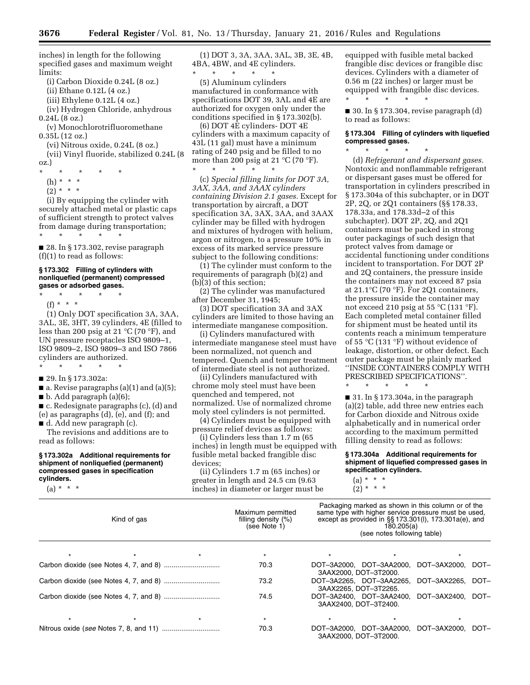inches) in length for the following specified gases and maximum weight limits:

(i) Carbon Dioxide 0.24L (8 oz.)

(ii) Ethane 0.12L (4 oz.)

(iii) Ethylene 0.12L (4 oz.)

(iv) Hydrogen Chloride, anhydrous

0.24L (8 oz.) (v) Monochlorotrifluoromethane 0.35L (12 oz.)

(vi) Nitrous oxide, 0.24L (8 oz.)

(vii) Vinyl fluoride, stabilized 0.24L (8 oz.)

\* \* \* \* \*

- (h) \* \* \*
- $(2) * * * *$

(i) By equipping the cylinder with securely attached metal or plastic caps of sufficient strength to protect valves from damage during transportation; \* \* \* \* \*

■ 28. In § 173.302, revise paragraph (f)(1) to read as follows:

#### **§ 173.302 Filling of cylinders with nonliquefied (permanent) compressed gases or adsorbed gases.**

\* \* \* \* \* (f) \* \* \*

(1) Only DOT specification 3A, 3AA, 3AL, 3E, 3HT, 39 cylinders, 4E (filled to less than 200 psig at 21 °C (70 °F), and UN pressure receptacles ISO 9809–1, ISO 9809–2, ISO 9809–3 and ISO 7866 cylinders are authorized.

\* \* \* \* \*

■ 29. In § 173.302a:

 $\blacksquare$  a. Revise paragraphs (a)(1) and (a)(5);

 $\blacksquare$  b. Add paragraph (a)(6);

■ c. Redesignate paragraphs (c), (d) and (e) as paragraphs (d), (e), and (f); and ■ d. Add new paragraph (c).

The revisions and additions are to read as follows:

#### **§ 173.302a Additional requirements for shipment of nonliquefied (permanent) compressed gases in specification cylinders.**

 $(a) * * * *$ 

(1) DOT 3, 3A, 3AA, 3AL, 3B, 3E, 4B, 4BA, 4BW, and 4E cylinders.

\* \* \* \* \* (5) Aluminum cylinders manufactured in conformance with specifications DOT 39, 3AL and 4E are authorized for oxygen only under the conditions specified in § 173.302(b).

(6) DOT 4E cylinders- DOT 4E cylinders with a maximum capacity of 43L (11 gal) must have a minimum rating of 240 psig and be filled to no more than 200 psig at 21  $^{\circ}$ C (70  $^{\circ}$ F). \* \* \* \* \*

(c) *Special filling limits for DOT 3A, 3AX, 3AA, and 3AAX cylinders containing Division 2.1 gases.* Except for transportation by aircraft, a DOT specification 3A, 3AX, 3AA, and 3AAX cylinder may be filled with hydrogen and mixtures of hydrogen with helium, argon or nitrogen, to a pressure 10% in excess of its marked service pressure subject to the following conditions:

(1) The cylinder must conform to the requirements of paragraph (b)(2) and (b)(3) of this section;

(2) The cylinder was manufactured after December 31, 1945;

(3) DOT specification 3A and 3AX cylinders are limited to those having an intermediate manganese composition.

(i) Cylinders manufactured with intermediate manganese steel must have been normalized, not quench and tempered. Quench and temper treatment of intermediate steel is not authorized.

(ii) Cylinders manufactured with chrome moly steel must have been quenched and tempered, not normalized. Use of normalized chrome moly steel cylinders is not permitted.

(4) Cylinders must be equipped with pressure relief devices as follows:

(i) Cylinders less than 1.7 m (65 inches) in length must be equipped with fusible metal backed frangible disc devices;

(ii) Cylinders 1.7 m (65 inches) or greater in length and 24.5 cm (9.63 inches) in diameter or larger must be

equipped with fusible metal backed frangible disc devices or frangible disc devices. Cylinders with a diameter of 0.56 m (22 inches) or larger must be equipped with frangible disc devices. \* \* \* \* \*

 $\blacksquare$  30. In § 173.304, revise paragraph (d) to read as follows:

#### **§ 173.304 Filling of cylinders with liquefied compressed gases.**  \* \* \* \* \*

(d) *Refrigerant and dispersant gases.*  Nontoxic and nonflammable refrigerant or dispersant gases must be offered for transportation in cylinders prescribed in § 173.304a of this subchapter, or in DOT 2P, 2Q, or 2Q1 containers (§§ 178.33, 178.33a, and 178.33d–2 of this subchapter). DOT 2P, 2Q, and 2Q1 containers must be packed in strong outer packagings of such design that protect valves from damage or accidental functioning under conditions incident to transportation. For DOT 2P and 2Q containers, the pressure inside the containers may not exceed 87 psia at 21.1°C (70 °F). For 2Q1 containers, the pressure inside the container may not exceed 210 psig at 55  $\mathrm{C}$  (131  $\mathrm{F}$ ). Each completed metal container filled for shipment must be heated until its contents reach a minimum temperature of 55 °C (131 °F) without evidence of leakage, distortion, or other defect. Each outer package must be plainly marked ''INSIDE CONTAINERS COMPLY WITH PRESCRIBED SPECIFICATIONS''.

■ 31. In § 173.304a, in the paragraph (a)(2) table, add three new entries each for Carbon dioxide and Nitrous oxide alphabetically and in numerical order according to the maximum permitted filling density to read as follows:

\* \* \* \* \*

**§ 173.304a Additional requirements for shipment of liquefied compressed gases in specification cylinders.** 

 $(a) * * * *$  $(2) * * * *$ 

| Kind of gas | Maximum permitted<br>filling density $(\%)$<br>(see Note 1) | Packaging marked as shown in this column or of the<br>same type with higher service pressure must be used,<br>except as provided in $\S$ § 173.301(I), 173.301a(e), and<br>180.205(a)<br>(see notes following table) |                   |      |
|-------------|-------------------------------------------------------------|----------------------------------------------------------------------------------------------------------------------------------------------------------------------------------------------------------------------|-------------------|------|
|             | $\star$                                                     |                                                                                                                                                                                                                      |                   |      |
|             | 70.3                                                        | DOT-3A2000. DOT-3AA2000.<br>3AAX2000. DOT-3T2000.                                                                                                                                                                    | DOT-3AX2000. DOT- |      |
|             | 73.2                                                        | DOT-3A2265. DOT-3AA2265.<br>3AAX2265, DOT-3T2265.                                                                                                                                                                    | DOT-3AX2265. DOT- |      |
|             | 74.5                                                        | DOT-3A2400. DOT-3AA2400.<br>3AAX2400, DOT-3T2400.                                                                                                                                                                    | DOT-3AX2400. DOT- |      |
|             | $\star$                                                     |                                                                                                                                                                                                                      |                   |      |
|             | 70.3                                                        | DOT-3A2000, DOT-3AA2000, DOT-3AX2000,<br>3AAX2000, DOT-3T2000.                                                                                                                                                       |                   | DOT- |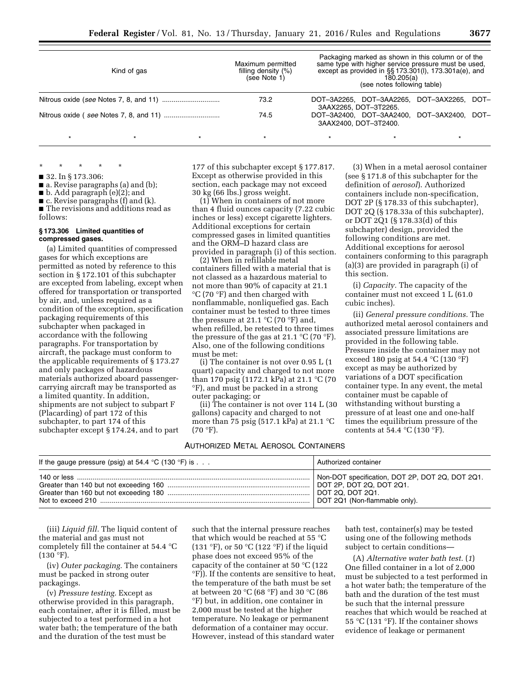|         | Kind of gas |         | Maximum permitted<br>filling density $(%)$<br>(see Note 1) |                                                   | 180.205(a)<br>(see notes following table)  | Packaging marked as shown in this column or of the<br>same type with higher service pressure must be used.<br>except as provided in $\S$ § 173.301(I), 173.301a(e), and |      |
|---------|-------------|---------|------------------------------------------------------------|---------------------------------------------------|--------------------------------------------|-------------------------------------------------------------------------------------------------------------------------------------------------------------------------|------|
|         |             |         | 73.2                                                       | DOT-3A2265, DOT-3AA2265,<br>3AAX2265, DOT-3T2265. |                                            | DOT-3AX2265.                                                                                                                                                            | DOT- |
|         |             | 74.5    | 3AAX2400, DOT-3T2400.                                      |                                                   | DOT-3A2400, DOT-3AA2400, DOT-3AX2400, DOT- |                                                                                                                                                                         |      |
| $\star$ | $\star$     | $\star$ | $\star$                                                    | $\star$                                           |                                            | $\star$                                                                                                                                                                 |      |

\* \* \* \* \* ■ 32. In § 173.306:

■ a. Revise paragraphs (a) and (b);

■ b. Add paragraph (e)(2); and

■ c. Revise paragraphs (f) and (k).

■ The revisions and additions read as follows:

#### **§ 173.306 Limited quantities of compressed gases.**

(a) Limited quantities of compressed gases for which exceptions are permitted as noted by reference to this section in § 172.101 of this subchapter are excepted from labeling, except when offered for transportation or transported by air, and, unless required as a condition of the exception, specification packaging requirements of this subchapter when packaged in accordance with the following paragraphs. For transportation by aircraft, the package must conform to the applicable requirements of § 173.27 and only packages of hazardous materials authorized aboard passengercarrying aircraft may be transported as a limited quantity. In addition, shipments are not subject to subpart F (Placarding) of part 172 of this subchapter, to part 174 of this subchapter except § 174.24, and to part

177 of this subchapter except § 177.817. Except as otherwise provided in this section, each package may not exceed 30 kg (66 lbs.) gross weight.

(1) When in containers of not more than 4 fluid ounces capacity (7.22 cubic inches or less) except cigarette lighters. Additional exceptions for certain compressed gases in limited quantities and the ORM–D hazard class are provided in paragraph (i) of this section.

(2) When in refillable metal containers filled with a material that is not classed as a hazardous material to not more than 90% of capacity at 21.1 °C (70 °F) and then charged with nonflammable, nonliquefied gas. Each container must be tested to three times the pressure at 21.1  $\mathrm{C}$  (70  $\mathrm{F}$ ) and, when refilled, be retested to three times the pressure of the gas at 21.1  $\mathrm{C}$  (70  $\mathrm{F}$ ). Also, one of the following conditions must be met:

(i) The container is not over 0.95 L (1 quart) capacity and charged to not more than 170 psig (1172.1 kPa) at 21.1 °C (70 °F), and must be packed in a strong outer packaging; or

(ii) The container is not over 114 L (30 gallons) capacity and charged to not more than 75 psig (517.1 kPa) at 21.1  $^{\circ}$ C  $(70 °F)$ .

#### AUTHORIZED METAL AEROSOL CONTAINERS

(3) When in a metal aerosol container (see § 171.8 of this subchapter for the definition of *aerosol*). Authorized containers include non-specification, DOT 2P (§ 178.33 of this subchapter), DOT 2Q (§ 178.33a of this subchapter), or DOT 2Q1 (§ 178.33(d) of this subchapter) design, provided the following conditions are met. Additional exceptions for aerosol containers conforming to this paragraph (a)(3) are provided in paragraph (i) of this section.

(i) *Capacity.* The capacity of the container must not exceed 1 L (61.0 cubic inches).

(ii) *General pressure conditions.* The authorized metal aerosol containers and associated pressure limitations are provided in the following table. Pressure inside the container may not exceed 180 psig at 54.4 °C (130 °F) except as may be authorized by variations of a DOT specification container type. In any event, the metal container must be capable of withstanding without bursting a pressure of at least one and one-half times the equilibrium pressure of the contents at 54.4  $\mathrm{C}(130 \mathrm{~}^{\circ}\mathrm{F})$ .

| If the gauge pressure (psig) at 54.4 °C (130 °F) is $\ldots$ | Authorized container                            |
|--------------------------------------------------------------|-------------------------------------------------|
|                                                              | Non-DOT specification, DOT 2P, DOT 2Q, DOT 2Q1. |

(iii) *Liquid fill.* The liquid content of the material and gas must not completely fill the container at 54.4 °C  $(130 °F)$ .

(iv) *Outer packaging.* The containers must be packed in strong outer packagings.

(v) *Pressure testing.* Except as otherwise provided in this paragraph, each container, after it is filled, must be subjected to a test performed in a hot water bath; the temperature of the bath and the duration of the test must be

such that the internal pressure reaches that which would be reached at 55 °C (131 °F), or 50 °C (122 °F) if the liquid phase does not exceed 95% of the capacity of the container at 50 °C (122 °F)). If the contents are sensitive to heat, the temperature of the bath must be set at between 20 °C (68 °F) and 30 °C (86 °F) but, in addition, one container in 2,000 must be tested at the higher temperature. No leakage or permanent deformation of a container may occur. However, instead of this standard water

bath test, container(s) may be tested using one of the following methods subject to certain conditions—

(A) *Alternative water bath test.* (*1*) One filled container in a lot of 2,000 must be subjected to a test performed in a hot water bath; the temperature of the bath and the duration of the test must be such that the internal pressure reaches that which would be reached at 55 °C (131 °F). If the container shows evidence of leakage or permanent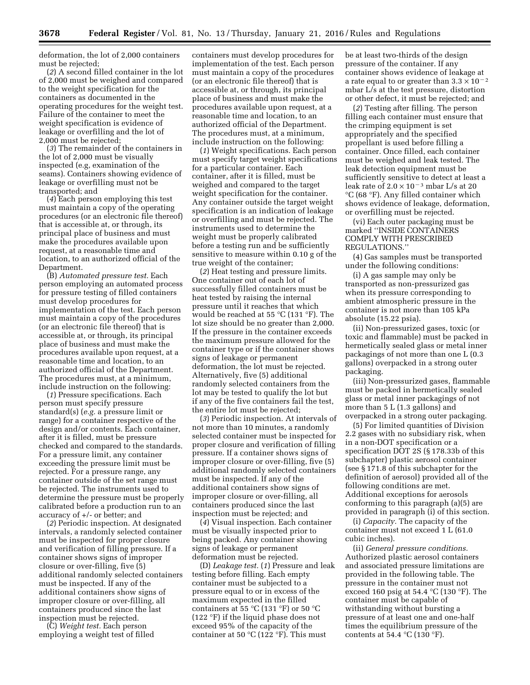deformation, the lot of 2,000 containers must be rejected;

(*2*) A second filled container in the lot of 2,000 must be weighed and compared to the weight specification for the containers as documented in the operating procedures for the weight test. Failure of the container to meet the weight specification is evidence of leakage or overfilling and the lot of 2,000 must be rejected;

(*3*) The remainder of the containers in the lot of 2,000 must be visually inspected (e.g, examination of the seams). Containers showing evidence of leakage or overfilling must not be transported; and

(*4*) Each person employing this test must maintain a copy of the operating procedures (or an electronic file thereof) that is accessible at, or through, its principal place of business and must make the procedures available upon request, at a reasonable time and location, to an authorized official of the Department.

(B) *Automated pressure test.* Each person employing an automated process for pressure testing of filled containers must develop procedures for implementation of the test. Each person must maintain a copy of the procedures (or an electronic file thereof) that is accessible at, or through, its principal place of business and must make the procedures available upon request, at a reasonable time and location, to an authorized official of the Department. The procedures must, at a minimum, include instruction on the following:

(*1*) Pressure specifications. Each person must specify pressure standard(s) (*e.g.* a pressure limit or range) for a container respective of the design and/or contents. Each container, after it is filled, must be pressure checked and compared to the standards. For a pressure limit, any container exceeding the pressure limit must be rejected. For a pressure range, any container outside of the set range must be rejected. The instruments used to determine the pressure must be properly calibrated before a production run to an accuracy of +/- or better; and

(*2*) Periodic inspection. At designated intervals, a randomly selected container must be inspected for proper closure and verification of filling pressure. If a container shows signs of improper closure or over-filling, five (5) additional randomly selected containers must be inspected. If any of the additional containers show signs of improper closure or over-filling, all containers produced since the last inspection must be rejected.

(C) *Weight test.* Each person employing a weight test of filled

containers must develop procedures for implementation of the test. Each person must maintain a copy of the procedures (or an electronic file thereof) that is accessible at, or through, its principal place of business and must make the procedures available upon request, at a reasonable time and location, to an authorized official of the Department. The procedures must, at a minimum, include instruction on the following:

(*1*) Weight specifications. Each person must specify target weight specifications for a particular container. Each container, after it is filled, must be weighed and compared to the target weight specification for the container. Any container outside the target weight specification is an indication of leakage or overfilling and must be rejected. The instruments used to determine the weight must be properly calibrated before a testing run and be sufficiently sensitive to measure within 0.10 g of the true weight of the container;

(*2*) Heat testing and pressure limits. One container out of each lot of successfully filled containers must be heat tested by raising the internal pressure until it reaches that which would be reached at 55 °C (131 °F). The lot size should be no greater than 2,000. If the pressure in the container exceeds the maximum pressure allowed for the container type or if the container shows signs of leakage or permanent deformation, the lot must be rejected. Alternatively, five (5) additional randomly selected containers from the lot may be tested to qualify the lot but if any of the five containers fail the test, the entire lot must be rejected;

(*3*) Periodic inspection. At intervals of not more than 10 minutes, a randomly selected container must be inspected for proper closure and verification of filling pressure. If a container shows signs of improper closure or over-filling, five (5) additional randomly selected containers must be inspected. If any of the additional containers show signs of improper closure or over-filling, all containers produced since the last inspection must be rejected; and

(*4*) Visual inspection. Each container must be visually inspected prior to being packed. Any container showing signs of leakage or permanent deformation must be rejected.

(D) *Leakage test.* (*1*) Pressure and leak testing before filling. Each empty container must be subjected to a pressure equal to or in excess of the maximum expected in the filled containers at 55  $\mathrm{C}$  (131  $\mathrm{F}$ ) or 50  $\mathrm{C}$ (122 °F) if the liquid phase does not exceed 95% of the capacity of the container at 50  $\mathrm{C}(122 \mathrm{~}^{\circ}\mathrm{F})$ . This must

be at least two-thirds of the design pressure of the container. If any container shows evidence of leakage at a rate equal to or greater than  $3.3 \times 10^{-2}$ mbar L/s at the test pressure, distortion or other defect, it must be rejected; and

(*2*) Testing after filling. The person filling each container must ensure that the crimping equipment is set appropriately and the specified propellant is used before filling a container. Once filled, each container must be weighed and leak tested. The leak detection equipment must be sufficiently sensitive to detect at least a leak rate of  $2.0 \times 10^{-3}$  mbar L/s at 20 °C (68 °F). Any filled container which shows evidence of leakage, deformation, or overfilling must be rejected.

(vi) Each outer packaging must be marked ''INSIDE CONTAINERS COMPLY WITH PRESCRIBED REGULATIONS.''

(4) Gas samples must be transported under the following conditions:

(i) A gas sample may only be transported as non-pressurized gas when its pressure corresponding to ambient atmospheric pressure in the container is not more than 105 kPa absolute (15.22 psia).

(ii) Non-pressurized gases, toxic (or toxic and flammable) must be packed in hermetically sealed glass or metal inner packagings of not more than one L (0.3 gallons) overpacked in a strong outer packaging.

(iii) Non-pressurized gases, flammable must be packed in hermetically sealed glass or metal inner packagings of not more than 5 L (1.3 gallons) and overpacked in a strong outer packaging.

(5) For limited quantities of Division 2.2 gases with no subsidiary risk, when in a non-DOT specification or a specification DOT 2S (§ 178.33b of this subchapter) plastic aerosol container (see § 171.8 of this subchapter for the definition of aerosol) provided all of the following conditions are met. Additional exceptions for aerosols conforming to this paragraph (a)(5) are provided in paragraph (i) of this section.

(i) *Capacity.* The capacity of the container must not exceed 1 L (61.0 cubic inches).

(ii) *General pressure conditions.*  Authorized plastic aerosol containers and associated pressure limitations are provided in the following table. The pressure in the container must not exceed 160 psig at 54.4 °C (130 °F). The container must be capable of withstanding without bursting a pressure of at least one and one-half times the equilibrium pressure of the contents at 54.4  $\mathrm{C}(130 \mathrm{~}^{\circ}\mathrm{F})$ .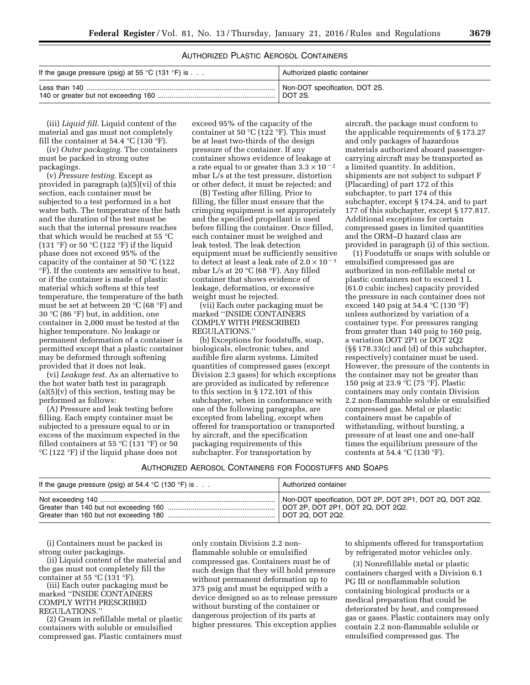#### AUTHORIZED PLASTIC AEROSOL CONTAINERS

| If the gauge pressure (psig) at 55 °C (131 °F) is $\dots$ | Authorized plastic container   |
|-----------------------------------------------------------|--------------------------------|
|                                                           | Non-DOT specification, DOT 2S. |
|                                                           | DOT 2S.                        |

(iii) *Liquid fill.* Liquid content of the material and gas must not completely fill the container at 54.4  $\mathrm{C}$  (130  $\mathrm{F}$ ).

(iv) *Outer packaging.* The containers must be packed in strong outer packagings.

(v) *Pressure testing.* Except as provided in paragraph (a)(5)(vi) of this section, each container must be subjected to a test performed in a hot water bath. The temperature of the bath and the duration of the test must be such that the internal pressure reaches that which would be reached at 55 °C (131 °F) or 50 °C (122 °F) if the liquid phase does not exceed 95% of the capacity of the container at 50 °C (122 °F). If the contents are sensitive to heat, or if the container is made of plastic material which softens at this test temperature, the temperature of the bath must be set at between 20 °C (68 °F) and 30 °C (86 °F) but, in addition, one container in 2,000 must be tested at the higher temperature. No leakage or permanent deformation of a container is permitted except that a plastic container may be deformed through softening provided that it does not leak.

(vi) *Leakage test.* As an alternative to the hot water bath test in paragraph  $(a)(5)(v)$  of this section, testing may be performed as follows:

(A) Pressure and leak testing before filling. Each empty container must be subjected to a pressure equal to or in excess of the maximum expected in the filled containers at 55  $\mathrm{C}(131 \mathrm{~}^\circ\mathrm{F})$  or 50 °C (122 °F) if the liquid phase does not

exceed 95% of the capacity of the container at 50  $\mathrm{C}(122 \mathrm{~}^{\circ}\mathrm{F})$ . This must be at least two-thirds of the design pressure of the container. If any container shows evidence of leakage at a rate equal to or greater than  $3.3\times10^{-2}$ mbar L/s at the test pressure, distortion or other defect, it must be rejected; and

(B) Testing after filling. Prior to filling, the filler must ensure that the crimping equipment is set appropriately and the specified propellant is used before filling the container. Once filled, each container must be weighed and leak tested. The leak detection equipment must be sufficiently sensitive to detect at least a leak rate of  $2.0 \times 10^{-3}$ mbar L/s at 20 °C (68 °F). Any filled container that shows evidence of leakage, deformation, or excessive weight must be rejected.

(vii) Each outer packaging must be marked ''INSIDE CONTAINERS COMPLY WITH PRESCRIBED REGULATIONS.''

(b) Exceptions for foodstuffs, soap, biologicals, electronic tubes, and audible fire alarm systems. Limited quantities of compressed gases (except Division 2.3 gases) for which exceptions are provided as indicated by reference to this section in § 172.101 of this subchapter, when in conformance with one of the following paragraphs, are excepted from labeling, except when offered for transportation or transported by aircraft, and the specification packaging requirements of this subchapter. For transportation by

aircraft, the package must conform to the applicable requirements of § 173.27 and only packages of hazardous materials authorized aboard passengercarrying aircraft may be transported as a limited quantity. In addition, shipments are not subject to subpart F (Placarding) of part 172 of this subchapter, to part 174 of this subchapter, except § 174.24, and to part 177 of this subchapter, except § 177.817. Additional exceptions for certain compressed gases in limited quantities and the ORM–D hazard class are provided in paragraph (i) of this section.

(1) Foodstuffs or soaps with soluble or emulsified compressed gas are authorized in non-refillable metal or plastic containers not to exceed 1 L (61.0 cubic inches) capacity provided the pressure in each container does not exceed 140 psig at 54.4 °C (130 °F) unless authorized by variation of a container type. For pressures ranging from greater than 140 psig to 160 psig, a variation DOT 2P1 or DOT 2Q2 (§§ 178.33(c) and (d) of this subchapter, respectively) container must be used. However, the pressure of the contents in the container may not be greater than 150 psig at 23.9 °C (75 °F). Plastic containers may only contain Division 2.2 non-flammable soluble or emulsified compressed gas. Metal or plastic containers must be capable of withstanding, without bursting, a pressure of at least one and one-half times the equilibrium pressure of the contents at 54.4  $^{\circ}$ C (130  $^{\circ}$ F).

| Authorized Aerosol Containers for Foodstuffs and Soaps |  |  |  |  |  |  |  |  |
|--------------------------------------------------------|--|--|--|--|--|--|--|--|
|--------------------------------------------------------|--|--|--|--|--|--|--|--|

| If the gauge pressure (psig) at 54.4 °C (130 °F) is $\ldots$ | Authorized container                                                                            |
|--------------------------------------------------------------|-------------------------------------------------------------------------------------------------|
|                                                              | Non-DOT specification, DOT 2P, DOT 2P1, DOT 2Q, DOT 2Q2.<br>  DOT 2P, DOT 2P1, DOT 2Q, DOT 2Q2. |

(i) Containers must be packed in strong outer packagings.

(ii) Liquid content of the material and the gas must not completely fill the container at 55  $\mathrm{C}$  (131  $\mathrm{F}$ ).

(iii) Each outer packaging must be marked ''INSIDE CONTAINERS COMPLY WITH PRESCRIBED REGULATIONS.''

(2) Cream in refillable metal or plastic containers with soluble or emulsified compressed gas. Plastic containers must

only contain Division 2.2 nonflammable soluble or emulsified compressed gas. Containers must be of such design that they will hold pressure without permanent deformation up to 375 psig and must be equipped with a device designed so as to release pressure without bursting of the container or dangerous projection of its parts at higher pressures. This exception applies

to shipments offered for transportation by refrigerated motor vehicles only.

(3) Nonrefillable metal or plastic containers charged with a Division 6.1 PG III or nonflammable solution containing biological products or a medical preparation that could be deteriorated by heat, and compressed gas or gases. Plastic containers may only contain 2.2 non-flammable soluble or emulsified compressed gas. The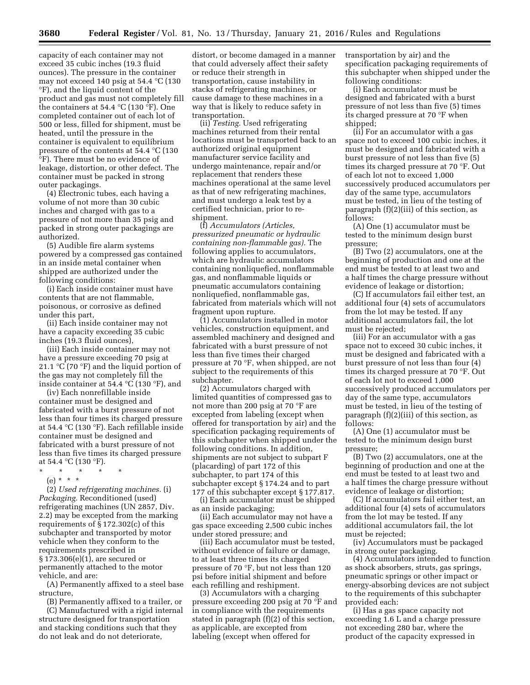capacity of each container may not exceed 35 cubic inches (19.3 fluid ounces). The pressure in the container may not exceed 140 psig at 54.4 °C (130 °F), and the liquid content of the product and gas must not completely fill the containers at 54.4 °C (130 °F). One completed container out of each lot of 500 or less, filled for shipment, must be heated, until the pressure in the container is equivalent to equilibrium pressure of the contents at 54.4 °C (130 °F). There must be no evidence of leakage, distortion, or other defect. The container must be packed in strong outer packagings.

(4) Electronic tubes, each having a volume of not more than 30 cubic inches and charged with gas to a pressure of not more than 35 psig and packed in strong outer packagings are authorized.

(5) Audible fire alarm systems powered by a compressed gas contained in an inside metal container when shipped are authorized under the following conditions:

(i) Each inside container must have contents that are not flammable, poisonous, or corrosive as defined under this part,

(ii) Each inside container may not have a capacity exceeding 35 cubic inches (19.3 fluid ounces),

(iii) Each inside container may not have a pressure exceeding 70 psig at 21.1  $\mathrm{C}$  (70  $\mathrm{F}$ ) and the liquid portion of the gas may not completely fill the inside container at 54.4 °C (130 °F), and

(iv) Each nonrefillable inside container must be designed and fabricated with a burst pressure of not less than four times its charged pressure at 54.4 °C (130 °F). Each refillable inside container must be designed and fabricated with a burst pressure of not less than five times its charged pressure at 54.4 °C (130 °F).

- \* \* \* \* \*
	- (e) \* \* \*

(2) *Used refrigerating machines.* (i) *Packaging.* Reconditioned (used) refrigerating machines (UN 2857, Div. 2.2) may be excepted from the marking requirements of § 172.302(c) of this subchapter and transported by motor vehicle when they conform to the requirements prescribed in § 173.306(e)(1), are secured or permanently attached to the motor vehicle, and are:

(A) Permanently affixed to a steel base structure,

(B) Permanently affixed to a trailer, or (C) Manufactured with a rigid internal structure designed for transportation and stacking conditions such that they do not leak and do not deteriorate,

distort, or become damaged in a manner that could adversely affect their safety or reduce their strength in transportation, cause instability in stacks of refrigerating machines, or cause damage to these machines in a way that is likely to reduce safety in transportation.

(ii) *Testing.* Used refrigerating machines returned from their rental locations must be transported back to an authorized original equipment manufacturer service facility and undergo maintenance, repair and/or replacement that renders these machines operational at the same level as that of new refrigerating machines, and must undergo a leak test by a certified technician, prior to reshipment.

(f) *Accumulators (Articles, pressurized pneumatic or hydraulic containing non-flammable gas).* The following applies to accumulators, which are hydraulic accumulators containing nonliquefied, nonflammable gas, and nonflammable liquids or pneumatic accumulators containing nonliquefied, nonflammable gas, fabricated from materials which will not fragment upon rupture.

(1) Accumulators installed in motor vehicles, construction equipment, and assembled machinery and designed and fabricated with a burst pressure of not less than five times their charged pressure at 70 °F, when shipped, are not subject to the requirements of this subchapter.

(2) Accumulators charged with limited quantities of compressed gas to not more than 200 psig at 70 °F are excepted from labeling (except when offered for transportation by air) and the specification packaging requirements of this subchapter when shipped under the following conditions. In addition, shipments are not subject to subpart F (placarding) of part 172 of this subchapter, to part 174 of this subchapter except § 174.24 and to part 177 of this subchapter except § 177.817.

(i) Each accumulator must be shipped as an inside packaging;

(ii) Each accumulator may not have a gas space exceeding 2,500 cubic inches under stored pressure; and

(iii) Each accumulator must be tested, without evidence of failure or damage, to at least three times its charged pressure of 70 °F, but not less than 120 psi before initial shipment and before each refilling and reshipment.

(3) Accumulators with a charging pressure exceeding 200 psig at 70 °F and in compliance with the requirements stated in paragraph (f)(2) of this section, as applicable, are excepted from labeling (except when offered for

transportation by air) and the specification packaging requirements of this subchapter when shipped under the following conditions:

(i) Each accumulator must be designed and fabricated with a burst pressure of not less than five (5) times its charged pressure at 70 °F when shipped;

(ii) For an accumulator with a gas space not to exceed 100 cubic inches, it must be designed and fabricated with a burst pressure of not less than five (5) times its charged pressure at 70 °F. Out of each lot not to exceed 1,000 successively produced accumulators per day of the same type, accumulators must be tested, in lieu of the testing of paragraph (f)(2)(iii) of this section, as follows:

(A) One (1) accumulator must be tested to the minimum design burst pressure;

(B) Two (2) accumulators, one at the beginning of production and one at the end must be tested to at least two and a half times the charge pressure without evidence of leakage or distortion;

(C) If accumulators fail either test, an additional four (4) sets of accumulators from the lot may be tested. If any additional accumulators fail, the lot must be rejected;

(iii) For an accumulator with a gas space not to exceed 30 cubic inches, it must be designed and fabricated with a burst pressure of not less than four (4) times its charged pressure at 70 °F. Out of each lot not to exceed 1,000 successively produced accumulators per day of the same type, accumulators must be tested, in lieu of the testing of paragraph (f)(2)(iii) of this section, as follows:

(A) One (1) accumulator must be tested to the minimum design burst pressure;

(B) Two (2) accumulators, one at the beginning of production and one at the end must be tested to at least two and a half times the charge pressure without evidence of leakage or distortion;

(C) If accumulators fail either test, an additional four (4) sets of accumulators from the lot may be tested. If any additional accumulators fail, the lot must be rejected;

(iv) Accumulators must be packaged in strong outer packaging.

(4) Accumulators intended to function as shock absorbers, struts, gas springs, pneumatic springs or other impact or energy-absorbing devices are not subject to the requirements of this subchapter provided each:

(i) Has a gas space capacity not exceeding 1.6 L and a charge pressure not exceeding 280 bar, where the product of the capacity expressed in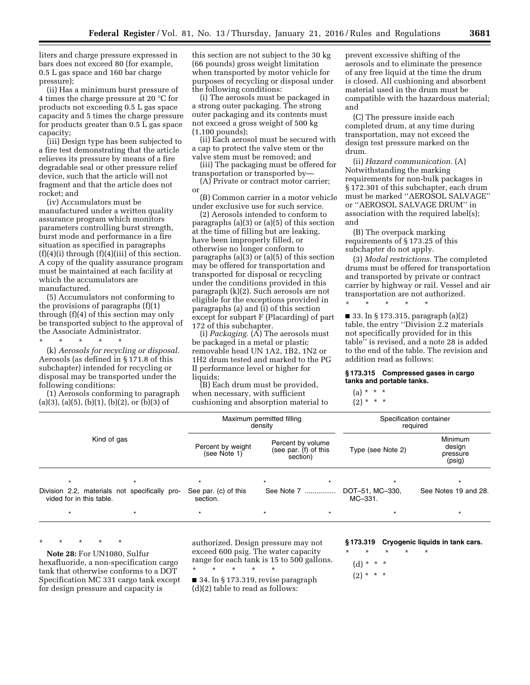liters and charge pressure expressed in bars does not exceed 80 (for example, 0.5 L gas space and 160 bar charge pressure);

(ii) Has a minimum burst pressure of 4 times the charge pressure at 20 °C for products not exceeding 0.5 L gas space capacity and 5 times the charge pressure for products greater than 0.5 L gas space capacity;

(iii) Design type has been subjected to a fire test demonstrating that the article relieves its pressure by means of a fire degradable seal or other pressure relief device, such that the article will not fragment and that the article does not rocket; and

(iv) Accumulators must be manufactured under a written quality assurance program which monitors parameters controlling burst strength, burst mode and performance in a fire situation as specified in paragraphs  $(f)(4)(i)$  through  $(f)(4)(iii)$  of this section. A copy of the quality assurance program must be maintained at each facility at which the accumulators are manufactured.

(5) Accumulators not conforming to the provisions of paragraphs (f)(1) through (f)(4) of this section may only be transported subject to the approval of the Associate Administrator.

#### \* \* \* \* \* (k) *Aerosols for recycling or disposal.*  Aerosols (as defined in § 171.8 of this subchapter) intended for recycling or disposal may be transported under the following conditions:

(1) Aerosols conforming to paragraph  $(a)(3)$ ,  $(a)(5)$ ,  $(b)(1)$ ,  $(b)(2)$ , or  $(b)(3)$  of

this section are not subject to the 30 kg (66 pounds) gross weight limitation when transported by motor vehicle for purposes of recycling or disposal under the following conditions:

(i) The aerosols must be packaged in a strong outer packaging. The strong outer packaging and its contents must not exceed a gross weight of 500 kg (1,100 pounds);

(ii) Each aerosol must be secured with a cap to protect the valve stem or the valve stem must be removed; and

(iii) The packaging must be offered for transportation or transported by—

(A) Private or contract motor carrier; or

(B) Common carrier in a motor vehicle under exclusive use for such service.

(2) Aerosols intended to conform to paragraphs (a)(3) or (a)(5) of this section at the time of filling but are leaking, have been improperly filled, or otherwise no longer conform to paragraphs (a)(3) or (a)(5) of this section may be offered for transportation and transported for disposal or recycling under the conditions provided in this paragraph (k)(2). Such aerosols are not eligible for the exceptions provided in paragraphs (a) and (i) of this section except for subpart F (Placarding) of part 172 of this subchapter.

(i) *Packaging.* (A) The aerosols must be packaged in a metal or plastic removable head UN 1A2, 1B2, 1N2 or 1H2 drum tested and marked to the PG II performance level or higher for liquids:

(B) Each drum must be provided, when necessary, with sufficient cushioning and absorption material to

prevent excessive shifting of the aerosols and to eliminate the presence of any free liquid at the time the drum is closed. All cushioning and absorbent material used in the drum must be compatible with the hazardous material; and

(C) The pressure inside each completed drum, at any time during transportation, may not exceed the design test pressure marked on the drum.

(ii) *Hazard communication.* (A) Notwithstanding the marking requirements for non-bulk packages in § 172.301 of this subchapter, each drum must be marked ''AEROSOL SALVAGE'' or ''AEROSOL SALVAGE DRUM'' in association with the required label(s); and

(B) The overpack marking requirements of § 173.25 of this subchapter do not apply.

(3) *Modal restrictions.* The completed drums must be offered for transportation and transported by private or contract carrier by highway or rail. Vessel and air transportation are not authorized.

\* \* \* \* \*

■ 33. In § 173.315, paragraph (a)(2) table, the entry ''Division 2.2 materials not specifically provided for in this table'' is revised, and a note 28 is added to the end of the table. The revision and addition read as follows:

#### **§ 173.315 Compressed gases in cargo tanks and portable tanks.**

#### $(a) * * * *$

 $(2) * * * *$ 

|                                                                           |                                   | Maximum permitted filling<br>density                   |                            | Specification container<br>required     |  |  |
|---------------------------------------------------------------------------|-----------------------------------|--------------------------------------------------------|----------------------------|-----------------------------------------|--|--|
| Kind of gas                                                               | Percent by weight<br>(see Note 1) | Percent by volume<br>(see par. (f) of this<br>section) | Type (see Note 2)          | Minimum<br>design<br>pressure<br>(psig) |  |  |
| $\star$                                                                   | $\star$                           | $\star$                                                |                            |                                         |  |  |
| Division 2.2, materials not specifically pro-<br>vided for in this table. | See par. (c) of this<br>section.  | See Note 7                                             | DOT-51, MC-330,<br>MC-331. | See Notes 19 and 28.                    |  |  |
|                                                                           |                                   |                                                        |                            |                                         |  |  |

\* \* \* \* \*

**Note 28:** For UN1080, Sulfur hexafluoride, a non-specification cargo tank that otherwise conforms to a DOT Specification MC 331 cargo tank except for design pressure and capacity is

authorized. Design pressure may not exceed 600 psig. The water capacity range for each tank is 15 to 500 gallons. \* \* \* \* \*

■ 34. In § 173.319, revise paragraph (d)(2) table to read as follows:

#### **§ 173.319 Cryogenic liquids in tank cars.**

\* \* \* \* \*  $(d) * * * *$ 

 $(2) * * * *$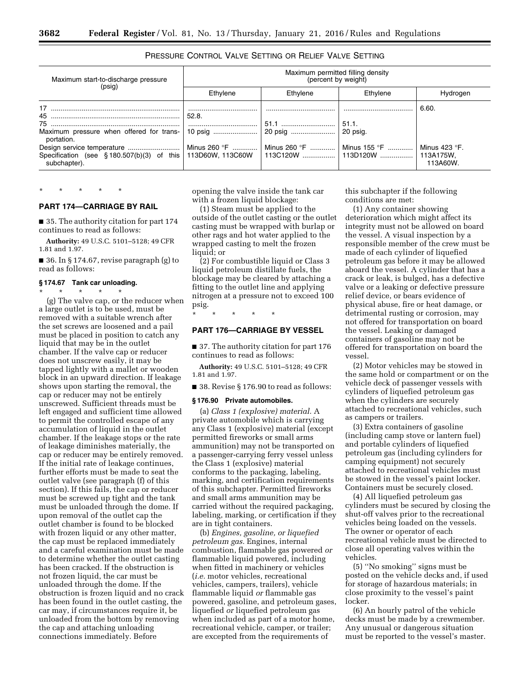#### PRESSURE CONTROL VALVE SETTING OR RELIEF VALVE SETTING

| Maximum start-to-discharge pressure                                                                                                            | Maximum permitted filling density<br>(percent by weight) |                                      |                                     |                                               |  |
|------------------------------------------------------------------------------------------------------------------------------------------------|----------------------------------------------------------|--------------------------------------|-------------------------------------|-----------------------------------------------|--|
| (psig)                                                                                                                                         | Ethylene                                                 | Ethylene                             | Ethvlene                            | Hydrogen                                      |  |
| 45<br>Maximum pressure when offered for trans-<br>portation.<br>Specification (see $\S$ 180.507(b)(3) of this 113D60W, 113C60W<br>subchapter). | 52.8.<br>                                                | 51.1<br>Minus 260 °F    Minus 260 °F | 51.1 <br>20 psig.<br>│ Minus 155 °F | 6.60<br>Minus 423 °F.<br>113A175W,<br>113A60W |  |

## **PART 174—CARRIAGE BY RAIL**

\* \* \* \* \*

■ 35. The authority citation for part 174

continues to read as follows: **Authority:** 49 U.S.C. 5101–5128; 49 CFR

1.81 and 1.97.

■ 36. In § 174.67, revise paragraph (g) to read as follows:

#### **§ 174.67 Tank car unloading.**

\* \* \* \* \*

(g) The valve cap, or the reducer when a large outlet is to be used, must be removed with a suitable wrench after the set screws are loosened and a pail must be placed in position to catch any liquid that may be in the outlet chamber. If the valve cap or reducer does not unscrew easily, it may be tapped lightly with a mallet or wooden block in an upward direction. If leakage shows upon starting the removal, the cap or reducer may not be entirely unscrewed. Sufficient threads must be left engaged and sufficient time allowed to permit the controlled escape of any accumulation of liquid in the outlet chamber. If the leakage stops or the rate of leakage diminishes materially, the cap or reducer may be entirely removed. If the initial rate of leakage continues, further efforts must be made to seat the outlet valve (see paragraph (f) of this section). If this fails, the cap or reducer must be screwed up tight and the tank must be unloaded through the dome. If upon removal of the outlet cap the outlet chamber is found to be blocked with frozen liquid or any other matter, the cap must be replaced immediately and a careful examination must be made to determine whether the outlet casting has been cracked. If the obstruction is not frozen liquid, the car must be unloaded through the dome. If the obstruction is frozen liquid and no crack has been found in the outlet casting, the car may, if circumstances require it, be unloaded from the bottom by removing the cap and attaching unloading connections immediately. Before

opening the valve inside the tank car with a frozen liquid blockage:

(1) Steam must be applied to the outside of the outlet casting or the outlet casting must be wrapped with burlap or other rags and hot water applied to the wrapped casting to melt the frozen liquid; or

(2) For combustible liquid or Class 3 liquid petroleum distillate fuels, the blockage may be cleared by attaching a fitting to the outlet line and applying nitrogen at a pressure not to exceed 100 psig.

#### **PART 176—CARRIAGE BY VESSEL**

■ 37. The authority citation for part 176 continues to read as follows:

**Authority:** 49 U.S.C. 5101–5128; 49 CFR 1.81 and 1.97.

■ 38. Revise § 176.90 to read as follows:

#### **§ 176.90 Private automobiles.**

\* \* \* \* \*

(a) *Class 1 (explosive) material.* A private automobile which is carrying any Class 1 (explosive) material (except permitted fireworks or small arms ammunition) may not be transported on a passenger-carrying ferry vessel unless the Class 1 (explosive) material conforms to the packaging, labeling, marking, and certification requirements of this subchapter. Permitted fireworks and small arms ammunition may be carried without the required packaging, labeling, marking, or certification if they are in tight containers.

(b) *Engines, gasoline, or liquefied petroleum gas.* Engines, internal combustion, flammable gas powered *or*  flammable liquid powered, including when fitted in machinery or vehicles (*i.e.* motor vehicles, recreational vehicles, campers, trailers), vehicle flammable liquid *or* flammable gas powered, gasoline, and petroleum gases, liquefied *or* liquefied petroleum gas when included as part of a motor home, recreational vehicle, camper, or trailer; are excepted from the requirements of

this subchapter if the following conditions are met:

(1) Any container showing deterioration which might affect its integrity must not be allowed on board the vessel. A visual inspection by a responsible member of the crew must be made of each cylinder of liquefied petroleum gas before it may be allowed aboard the vessel. A cylinder that has a crack or leak, is bulged, has a defective valve or a leaking or defective pressure relief device, or bears evidence of physical abuse, fire or heat damage, or detrimental rusting or corrosion, may not offered for transportation on board the vessel. Leaking or damaged containers of gasoline may not be offered for transportation on board the vessel.

(2) Motor vehicles may be stowed in the same hold or compartment or on the vehicle deck of passenger vessels with cylinders of liquefied petroleum gas when the cylinders are securely attached to recreational vehicles, such as campers or trailers.

(3) Extra containers of gasoline (including camp stove or lantern fuel) and portable cylinders of liquefied petroleum gas (including cylinders for camping equipment) not securely attached to recreational vehicles must be stowed in the vessel's paint locker. Containers must be securely closed.

(4) All liquefied petroleum gas cylinders must be secured by closing the shut-off valves prior to the recreational vehicles being loaded on the vessels. The owner or operator of each recreational vehicle must be directed to close all operating valves within the vehicles.

(5) ''No smoking'' signs must be posted on the vehicle decks and, if used for storage of hazardous materials; in close proximity to the vessel's paint locker.

(6) An hourly patrol of the vehicle decks must be made by a crewmember. Any unusual or dangerous situation must be reported to the vessel's master.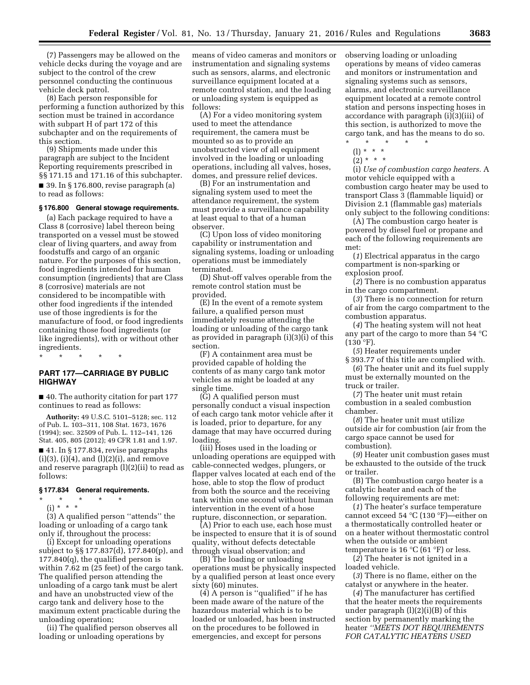(7) Passengers may be allowed on the vehicle decks during the voyage and are subject to the control of the crew personnel conducting the continuous vehicle deck patrol.

(8) Each person responsible for performing a function authorized by this section must be trained in accordance with subpart H of part 172 of this subchapter and on the requirements of this section.

(9) Shipments made under this paragraph are subject to the Incident Reporting requirements prescribed in §§ 171.15 and 171.16 of this subchapter. ■ 39. In § 176.800, revise paragraph (a) to read as follows:

#### **§ 176.800 General stowage requirements.**

(a) Each package required to have a Class 8 (corrosive) label thereon being transported on a vessel must be stowed clear of living quarters, and away from foodstuffs and cargo of an organic nature. For the purposes of this section, food ingredients intended for human consumption (ingredients) that are Class 8 (corrosive) materials are not considered to be incompatible with other food ingredients if the intended use of those ingredients is for the manufacture of food, or food ingredients containing those food ingredients (or like ingredients), with or without other ingredients.

\* \* \* \* \*

#### **PART 177—CARRIAGE BY PUBLIC HIGHWAY**

■ 40. The authority citation for part 177 continues to read as follows:

**Authority:** 49 U.S.C. 5101–5128; sec. 112 of Pub. L. 103–311, 108 Stat. 1673, 1676 (1994); sec. 32509 of Pub. L. 112–141, 126 Stat. 405, 805 (2012); 49 CFR 1.81 and 1.97. ■ 41. In § 177.834, revise paragraphs  $(i)(3)$ ,  $(i)(4)$ , and  $(l)(2)(i)$ , and remove and reserve paragraph (l)(2)(ii) to read as follows:

#### **§ 177.834 General requirements.**

- \* \* \* \* \*
- $(i) * * * *$

(3) A qualified person ''attends'' the loading or unloading of a cargo tank only if, throughout the process:

(i) Except for unloading operations subject to §§ 177.837(d), 177.840(p), and 177.840(q), the qualified person is within 7.62 m (25 feet) of the cargo tank. The qualified person attending the unloading of a cargo tank must be alert and have an unobstructed view of the cargo tank and delivery hose to the maximum extent practicable during the unloading operation;

(ii) The qualified person observes all loading or unloading operations by

means of video cameras and monitors or instrumentation and signaling systems such as sensors, alarms, and electronic surveillance equipment located at a remote control station, and the loading or unloading system is equipped as follows:

(A) For a video monitoring system used to meet the attendance requirement, the camera must be mounted so as to provide an unobstructed view of all equipment involved in the loading or unloading operations, including all valves, hoses, domes, and pressure relief devices.

(B) For an instrumentation and signaling system used to meet the attendance requirement, the system must provide a surveillance capability at least equal to that of a human observer.

(C) Upon loss of video monitoring capability or instrumentation and signaling systems, loading or unloading operations must be immediately terminated.

(D) Shut-off valves operable from the remote control station must be provided.

(E) In the event of a remote system failure, a qualified person must immediately resume attending the loading or unloading of the cargo tank as provided in paragraph (i)(3)(i) of this section.

(F) A containment area must be provided capable of holding the contents of as many cargo tank motor vehicles as might be loaded at any single time.

(G) A qualified person must personally conduct a visual inspection of each cargo tank motor vehicle after it is loaded, prior to departure, for any damage that may have occurred during loading.

(iii) Hoses used in the loading or unloading operations are equipped with cable-connected wedges, plungers, or flapper valves located at each end of the hose, able to stop the flow of product from both the source and the receiving tank within one second without human intervention in the event of a hose rupture, disconnection, or separation.

(A) Prior to each use, each hose must be inspected to ensure that it is of sound quality, without defects detectable through visual observation; and

(B) The loading or unloading operations must be physically inspected by a qualified person at least once every sixty (60) minutes.

(4) A person is ''qualified'' if he has been made aware of the nature of the hazardous material which is to be loaded or unloaded, has been instructed on the procedures to be followed in emergencies, and except for persons

observing loading or unloading operations by means of video cameras and monitors or instrumentation and signaling systems such as sensors, alarms, and electronic surveillance equipment located at a remote control station and persons inspecting hoses in accordance with paragraph (i)(3)(iii) of this section, is authorized to move the cargo tank, and has the means to do so.

\* \* \* \* \*

- (l) \* \* \*
- $(2) * * * *$

(i) *Use of combustion cargo heaters.* A motor vehicle equipped with a combustion cargo heater may be used to transport Class 3 (flammable liquid) or Division 2.1 (flammable gas) materials only subject to the following conditions:

(A) The combustion cargo heater is powered by diesel fuel or propane and each of the following requirements are met:

(*1*) Electrical apparatus in the cargo compartment is non-sparking or explosion proof.

(*2*) There is no combustion apparatus in the cargo compartment.

(*3*) There is no connection for return of air from the cargo compartment to the combustion apparatus.

(*4*) The heating system will not heat any part of the cargo to more than 54 °C  $(130 °F)$ .

(*5*) Heater requirements under § 393.77 of this title are complied with.

(*6*) The heater unit and its fuel supply must be externally mounted on the truck or trailer.

(*7*) The heater unit must retain combustion in a sealed combustion chamber.

(*8*) The heater unit must utilize outside air for combustion (air from the cargo space cannot be used for combustion).

(*9*) Heater unit combustion gases must be exhausted to the outside of the truck or trailer.

(B) The combustion cargo heater is a catalytic heater and each of the following requirements are met:

(*1*) The heater's surface temperature cannot exceed 54 °C (130 °F)—either on a thermostatically controlled heater or on a heater without thermostatic control when the outside or ambient temperature is 16  $\mathrm{C}(61 \mathrm{~}^{\circ}\mathrm{F})$  or less.

(*2*) The heater is not ignited in a loaded vehicle.

(*3*) There is no flame, either on the catalyst or anywhere in the heater.

(*4*) The manufacturer has certified that the heater meets the requirements under paragraph  $(l)(2)(i)(B)$  of this section by permanently marking the heater *''MEETS DOT REQUIREMENTS FOR CATALYTIC HEATERS USED*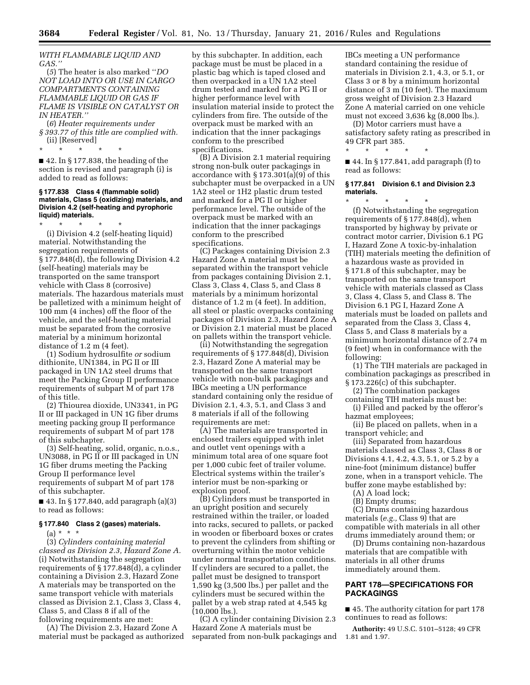*WITH FLAMMABLE LIQUID AND GAS.''* 

(*5*) The heater is also marked ''*DO NOT LOAD INTO OR USE IN CARGO COMPARTMENTS CONTAINING FLAMMABLE LIQUID OR GAS IF FLAME IS VISIBLE ON CATALYST OR IN HEATER.''* 

(*6*) *Heater requirements under § 393.77 of this title are complied with.*  (ii) [Reserved]

\* \* \* \* \*

■ 42. In § 177.838, the heading of the section is revised and paragraph (i) is added to read as follows:

#### **§ 177.838 Class 4 (flammable solid) materials, Class 5 (oxidizing) materials, and Division 4.2 (self-heating and pyrophoric liquid) materials.**

\* \* \* \* \*

(i) Division 4.2 (self-heating liquid) material. Notwithstanding the segregation requirements of § 177.848(d), the following Division 4.2 (self-heating) materials may be transported on the same transport vehicle with Class 8 (corrosive) materials. The hazardous materials must be palletized with a minimum height of 100 mm (4 inches) off the floor of the vehicle, and the self-heating material must be separated from the corrosive material by a minimum horizontal distance of 1.2 m (4 feet).

(1) Sodium hydrosulfite *or* sodium dithionite, UN1384, in PG II or III packaged in UN 1A2 steel drums that meet the Packing Group II performance requirements of subpart M of part 178 of this title.

(2) Thiourea dioxide, UN3341, in PG II or III packaged in UN 1G fiber drums meeting packing group II performance requirements of subpart M of part 178 of this subchapter.

(3) Self-heating, solid, organic, n.o.s., UN3088, in PG II or III packaged in UN 1G fiber drums meeting the Packing Group II performance level requirements of subpart M of part 178 of this subchapter.

■ 43. In § 177.840, add paragraph (a)(3) to read as follows:

#### **§ 177.840 Class 2 (gases) materials.**

(a) \* \* \*

(3) *Cylinders containing material classed as Division 2.3, Hazard Zone A.*  (i) Notwithstanding the segregation requirements of § 177.848(d), a cylinder containing a Division 2.3, Hazard Zone A materials may be transported on the same transport vehicle with materials classed as Division 2.1, Class 3, Class 4, Class 5, and Class 8 if all of the following requirements are met:

(A) The Division 2.3, Hazard Zone A material must be packaged as authorized by this subchapter. In addition, each package must be must be placed in a plastic bag which is taped closed and then overpacked in a UN 1A2 steel drum tested and marked for a PG II or higher performance level with insulation material inside to protect the cylinders from fire. The outside of the overpack must be marked with an indication that the inner packagings conform to the prescribed specifications.

(B) A Division 2.1 material requiring strong non-bulk outer packagings in accordance with § 173.301(a)(9) of this subchapter must be overpacked in a UN 1A2 steel or 1H2 plastic drum tested and marked for a PG II or higher performance level. The outside of the overpack must be marked with an indication that the inner packagings conform to the prescribed specifications.

(C) Packages containing Division 2.3 Hazard Zone A material must be separated within the transport vehicle from packages containing Division 2.1, Class 3, Class 4, Class 5, and Class 8 materials by a minimum horizontal distance of 1.2 m (4 feet). In addition, all steel or plastic overpacks containing packages of Division 2.3, Hazard Zone A or Division 2.1 material must be placed on pallets within the transport vehicle.

(ii) Notwithstanding the segregation requirements of § 177.848(d), Division 2.3, Hazard Zone A material may be transported on the same transport vehicle with non-bulk packagings and IBCs meeting a UN performance standard containing only the residue of Division 2.1, 4.3, 5.1, and Class 3 and 8 materials if all of the following requirements are met:

(A) The materials are transported in enclosed trailers equipped with inlet and outlet vent openings with a minimum total area of one square foot per 1,000 cubic feet of trailer volume. Electrical systems within the trailer's interior must be non-sparking or explosion proof.

(B) Cylinders must be transported in an upright position and securely restrained within the trailer, or loaded into racks, secured to pallets, or packed in wooden or fiberboard boxes or crates to prevent the cylinders from shifting or overturning within the motor vehicle under normal transportation conditions. If cylinders are secured to a pallet, the pallet must be designed to transport 1,590 kg (3,500 lbs.) per pallet and the cylinders must be secured within the pallet by a web strap rated at 4,545 kg (10,000 lbs.).

(C) A cylinder containing Division 2.3 Hazard Zone A materials must be separated from non-bulk packagings and IBCs meeting a UN performance standard containing the residue of materials in Division 2.1, 4.3, or 5.1, or Class 3 or 8 by a minimum horizontal distance of 3 m (10 feet). The maximum gross weight of Division 2.3 Hazard Zone A material carried on one vehicle must not exceed 3,636 kg (8,000 lbs.).

(D) Motor carriers must have a satisfactory safety rating as prescribed in 49 CFR part 385.

■ 44. In § 177.841, add paragraph (f) to read as follows:

\* \* \* \* \*

#### **§ 177.841 Division 6.1 and Division 2.3 materials.**

\* \* \* \* \* (f) Notwithstanding the segregation requirements of § 177.848(d), when transported by highway by private or contract motor carrier, Division 6.1 PG I, Hazard Zone A toxic-by-inhalation (TIH) materials meeting the definition of a hazardous waste as provided in § 171.8 of this subchapter, may be transported on the same transport vehicle with materials classed as Class 3, Class 4, Class 5, and Class 8. The Division 6.1 PG I, Hazard Zone A materials must be loaded on pallets and separated from the Class 3, Class 4, Class 5, and Class 8 materials by a minimum horizontal distance of 2.74 m (9 feet) when in conformance with the following:

(1) The TIH materials are packaged in combination packagings as prescribed in § 173.226(c) of this subchapter.

(2) The combination packages containing TIH materials must be:

(i) Filled and packed by the offeror's hazmat employees;

(ii) Be placed on pallets, when in a transport vehicle; and

(iii) Separated from hazardous materials classed as Class 3, Class 8 or Divisions 4.1, 4.2, 4.3, 5.1, or 5.2 by a nine-foot (minimum distance) buffer zone, when in a transport vehicle. The buffer zone maybe established by:

(A) A load lock;

(B) Empty drums;

(C) Drums containing hazardous materials (*e.g.,* Class 9) that are compatible with materials in all other drums immediately around them; or

(D) Drums containing non-hazardous materials that are compatible with materials in all other drums immediately around them.

#### **PART 178—SPECIFICATIONS FOR PACKAGINGS**

■ 45. The authority citation for part 178 continues to read as follows:

**Authority:** 49 U.S.C. 5101–5128; 49 CFR 1.81 and 1.97.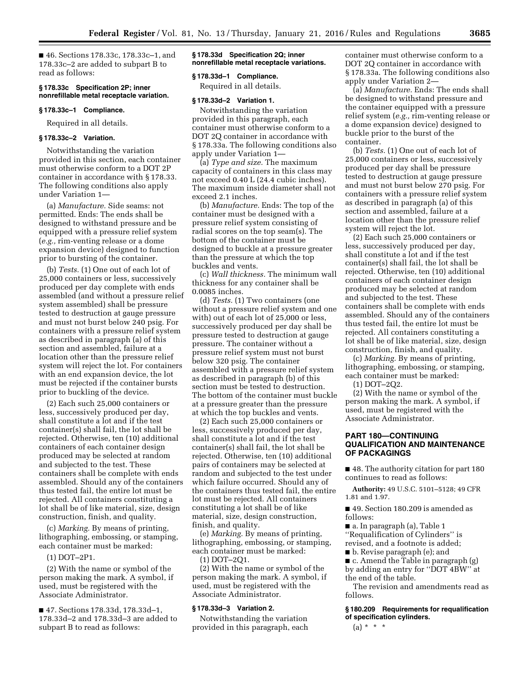■ 46. Sections 178.33c, 178.33c–1, and 178.33c–2 are added to subpart B to read as follows:

#### **§ 178.33c Specification 2P; inner nonrefillable metal receptacle variation.**

#### **§ 178.33c–1 Compliance.**

Required in all details.

#### **§ 178.33c–2 Variation.**

Notwithstanding the variation provided in this section, each container must otherwise conform to a DOT 2P container in accordance with § 178.33. The following conditions also apply under Variation 1—

(a) *Manufacture.* Side seams: not permitted. Ends: The ends shall be designed to withstand pressure and be equipped with a pressure relief system (*e.g.,* rim-venting release or a dome expansion device) designed to function prior to bursting of the container.

(b) *Tests.* (1) One out of each lot of 25,000 containers or less, successively produced per day complete with ends assembled (and without a pressure relief system assembled) shall be pressure tested to destruction at gauge pressure and must not burst below 240 psig. For containers with a pressure relief system as described in paragraph (a) of this section and assembled, failure at a location other than the pressure relief system will reject the lot. For containers with an end expansion device, the lot must be rejected if the container bursts prior to buckling of the device.

(2) Each such 25,000 containers or less, successively produced per day, shall constitute a lot and if the test container(s) shall fail, the lot shall be rejected. Otherwise, ten (10) additional containers of each container design produced may be selected at random and subjected to the test. These containers shall be complete with ends assembled. Should any of the containers thus tested fail, the entire lot must be rejected. All containers constituting a lot shall be of like material, size, design construction, finish, and quality.

(c) *Marking.* By means of printing, lithographing, embossing, or stamping, each container must be marked:

#### (1) DOT–2P1.

(2) With the name or symbol of the person making the mark. A symbol, if used, must be registered with the Associate Administrator.

■ 47. Sections 178.33d, 178.33d-1, 178.33d–2 and 178.33d–3 are added to subpart B to read as follows:

#### **§ 178.33d Specification 2Q; inner nonrefillable metal receptacle variations.**

#### **§ 178.33d–1 Compliance.**

Required in all details.

#### **§ 178.33d–2 Variation 1.**

Notwithstanding the variation provided in this paragraph, each container must otherwise conform to a DOT 2Q container in accordance with § 178.33a. The following conditions also apply under Variation 1—

(a) *Type and size.* The maximum capacity of containers in this class may not exceed 0.40 L (24.4 cubic inches). The maximum inside diameter shall not exceed 2.1 inches.

(b) *Manufacture.* Ends: The top of the container must be designed with a pressure relief system consisting of radial scores on the top seam(s). The bottom of the container must be designed to buckle at a pressure greater than the pressure at which the top buckles and vents.

(c) *Wall thickness.* The minimum wall thickness for any container shall be 0.0085 inches.

(d) *Tests.* (1) Two containers (one without a pressure relief system and one with) out of each lot of 25,000 or less, successively produced per day shall be pressure tested to destruction at gauge pressure. The container without a pressure relief system must not burst below 320 psig. The container assembled with a pressure relief system as described in paragraph (b) of this section must be tested to destruction. The bottom of the container must buckle at a pressure greater than the pressure at which the top buckles and vents.

(2) Each such 25,000 containers or less, successively produced per day, shall constitute a lot and if the test container(s) shall fail, the lot shall be rejected. Otherwise, ten (10) additional pairs of containers may be selected at random and subjected to the test under which failure occurred. Should any of the containers thus tested fail, the entire lot must be rejected. All containers constituting a lot shall be of like material, size, design construction, finish, and quality.

(e) *Marking.* By means of printing, lithographing, embossing, or stamping, each container must be marked: (1) DOT–2Q1.

(2) With the name or symbol of the

person making the mark. A symbol, if used, must be registered with the Associate Administrator.

#### **§ 178.33d–3 Variation 2.**

Notwithstanding the variation provided in this paragraph, each container must otherwise conform to a DOT 2Q container in accordance with § 178.33a. The following conditions also apply under Variation 2—

(a) *Manufacture.* Ends: The ends shall be designed to withstand pressure and the container equipped with a pressure relief system (*e.g.,* rim-venting release or a dome expansion device) designed to buckle prior to the burst of the container.

(b) *Tests.* (1) One out of each lot of 25,000 containers or less, successively produced per day shall be pressure tested to destruction at gauge pressure and must not burst below 270 psig. For containers with a pressure relief system as described in paragraph (a) of this section and assembled, failure at a location other than the pressure relief system will reject the lot.

(2) Each such 25,000 containers or less, successively produced per day, shall constitute a lot and if the test container(s) shall fail, the lot shall be rejected. Otherwise, ten (10) additional containers of each container design produced may be selected at random and subjected to the test. These containers shall be complete with ends assembled. Should any of the containers thus tested fail, the entire lot must be rejected. All containers constituting a lot shall be of like material, size, design construction, finish, and quality.

(c) *Marking.* By means of printing, lithographing, embossing, or stamping, each container must be marked:

(1) DOT–2Q2.

(2) With the name or symbol of the person making the mark. A symbol, if used, must be registered with the Associate Administrator.

#### **PART 180—CONTINUING QUALIFICATION AND MAINTENANCE OF PACKAGINGS**

■ 48. The authority citation for part 180 continues to read as follows:

**Authority:** 49 U.S.C. 5101–5128; 49 CFR 1.81 and 1.97.

■ 49. Section 180.209 is amended as follows:

■ a. In paragraph (a), Table 1 ''Requalification of Cylinders'' is

revised, and a footnote is added;

■ b. Revise paragraph (e); and

■ c. Amend the Table in paragraph (g) by adding an entry for ''DOT 4BW'' at the end of the table.

The revision and amendments read as follows.

**§ 180.209 Requirements for requalification of specification cylinders.** 

 $(a) * * * *$